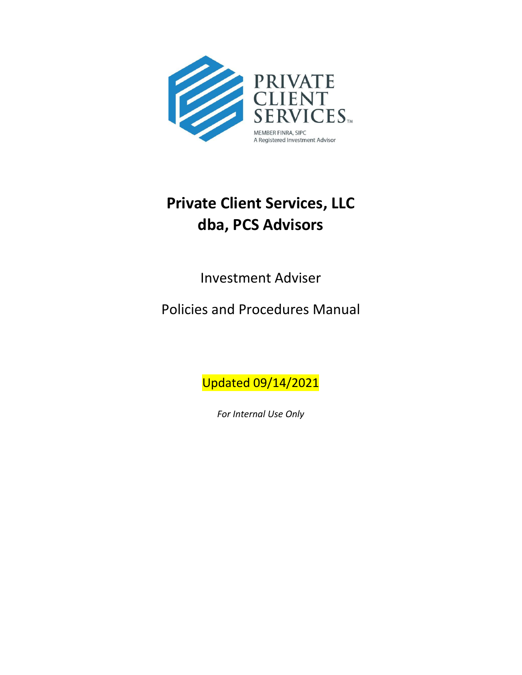

# **Private Client Services, LLC dba, PCS Advisors**

Investment Adviser

Policies and Procedures Manual

Updated 09/14/2021

*For Internal Use Only*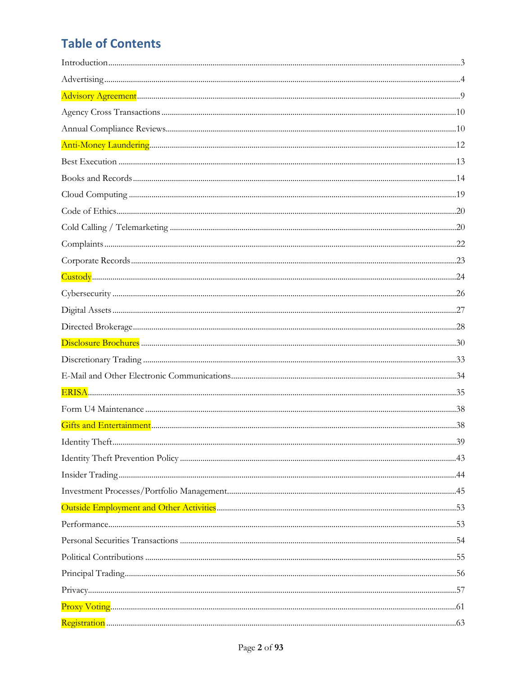# **Table of Contents**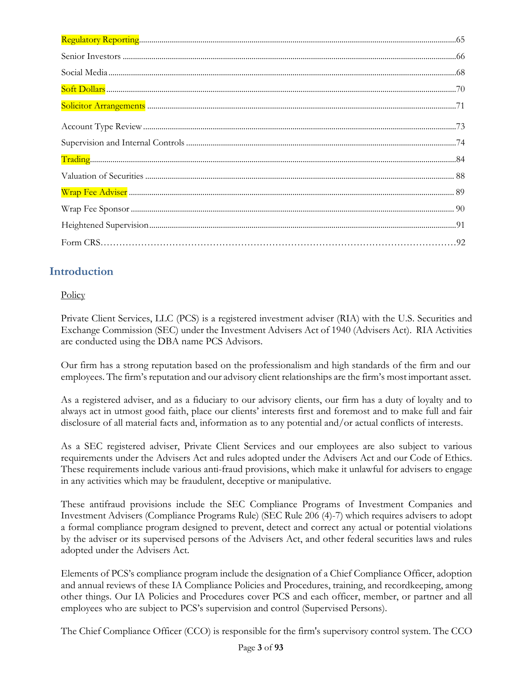# <span id="page-2-0"></span>**Introduction**

# **Policy**

Private Client Services, LLC (PCS) is a registered investment adviser (RIA) with the U.S. Securities and Exchange Commission (SEC) under the Investment Advisers Act of 1940 (Advisers Act). RIA Activities are conducted using the DBA name PCS Advisors.

Our firm has a strong reputation based on the professionalism and high standards of the firm and our employees. The firm's reputation and our advisory client relationships are the firm's most important asset.

As a registered adviser, and as a fiduciary to our advisory clients, our firm has a duty of loyalty and to always act in utmost good faith, place our clients' interests first and foremost and to make full and fair disclosure of all material facts and, information as to any potential and/or actual conflicts of interests.

As a SEC registered adviser, Private Client Services and our employees are also subject to various requirements under the Advisers Act and rules adopted under the Advisers Act and our Code of Ethics. These requirements include various anti-fraud provisions, which make it unlawful for advisers to engage in any activities which may be fraudulent, deceptive or manipulative.

These antifraud provisions include the SEC Compliance Programs of Investment Companies and Investment Advisers (Compliance Programs Rule) (SEC Rule 206 (4)-7) which requires advisers to adopt a formal compliance program designed to prevent, detect and correct any actual or potential violations by the adviser or its supervised persons of the Advisers Act, and other federal securities laws and rules adopted under the Advisers Act.

Elements of PCS's compliance program include the designation of a Chief Compliance Officer, adoption and annual reviews of these IA Compliance Policies and Procedures, training, and recordkeeping, among other things. Our IA Policies and Procedures cover PCS and each officer, member, or partner and all employees who are subject to PCS's supervision and control (Supervised Persons).

The Chief Compliance Officer (CCO) is responsible for the firm's supervisory control system. The CCO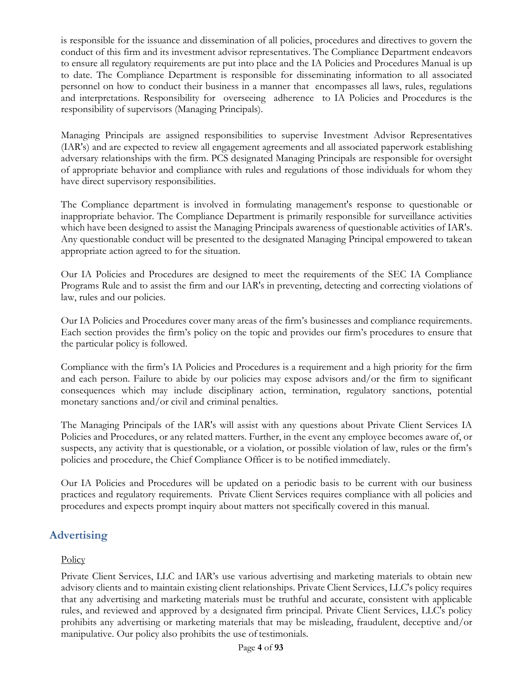is responsible for the issuance and dissemination of all policies, procedures and directives to govern the conduct of this firm and its investment advisor representatives. The Compliance Department endeavors to ensure all regulatory requirements are put into place and the IA Policies and Procedures Manual is up to date. The Compliance Department is responsible for disseminating information to all associated personnel on how to conduct their business in a manner that encompasses all laws, rules, regulations and interpretations. Responsibility for overseeing adherence to IA Policies and Procedures is the responsibility of supervisors (Managing Principals).

Managing Principals are assigned responsibilities to supervise Investment Advisor Representatives (IAR's) and are expected to review all engagement agreements and all associated paperwork establishing adversary relationships with the firm. PCS designated Managing Principals are responsible for oversight of appropriate behavior and compliance with rules and regulations of those individuals for whom they have direct supervisory responsibilities.

The Compliance department is involved in formulating management's response to questionable or inappropriate behavior. The Compliance Department is primarily responsible for surveillance activities which have been designed to assist the Managing Principals awareness of questionable activities of IAR's. Any questionable conduct will be presented to the designated Managing Principal empowered to takean appropriate action agreed to for the situation.

Our IA Policies and Procedures are designed to meet the requirements of the SEC IA Compliance Programs Rule and to assist the firm and our IAR's in preventing, detecting and correcting violations of law, rules and our policies.

Our IA Policies and Procedures cover many areas of the firm's businesses and compliance requirements. Each section provides the firm's policy on the topic and provides our firm's procedures to ensure that the particular policy is followed.

Compliance with the firm's IA Policies and Procedures is a requirement and a high priority for the firm and each person. Failure to abide by our policies may expose advisors and/or the firm to significant consequences which may include disciplinary action, termination, regulatory sanctions, potential monetary sanctions and/or civil and criminal penalties.

The Managing Principals of the IAR's will assist with any questions about Private Client Services IA Policies and Procedures, or any related matters. Further, in the event any employee becomes aware of, or suspects, any activity that is questionable, or a violation, or possible violation of law, rules or the firm's policies and procedure, the Chief Compliance Officer is to be notified immediately.

Our IA Policies and Procedures will be updated on a periodic basis to be current with our business practices and regulatory requirements. Private Client Services requires compliance with all policies and procedures and expects prompt inquiry about matters not specifically covered in this manual.

# <span id="page-3-0"></span>**Advertising**

## **Policy**

Private Client Services, LLC and IAR's use various advertising and marketing materials to obtain new advisory clients and to maintain existing client relationships. Private Client Services, LLC's policy requires that any advertising and marketing materials must be truthful and accurate, consistent with applicable rules, and reviewed and approved by a designated firm principal. Private Client Services, LLC's policy prohibits any advertising or marketing materials that may be misleading, fraudulent, deceptive and/or manipulative. Our policy also prohibits the use of testimonials.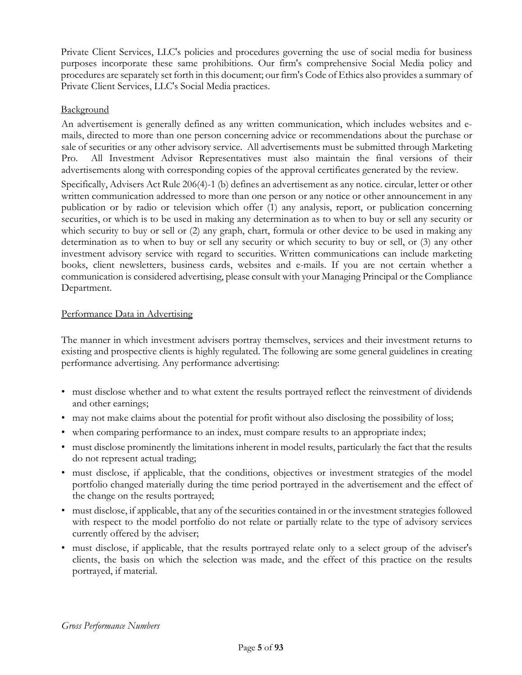Private Client Services, LLC's policies and procedures governing the use of social media for business purposes incorporate these same prohibitions. Our firm's comprehensive Social Media policy and procedures are separately set forth in this document; our firm's Code of Ethics also provides a summary of Private Client Services, LLC's Social Media practices.

### Background

An advertisement is generally defined as any written communication, which includes websites and emails, directed to more than one person concerning advice or recommendations about the purchase or sale of securities or any other advisory service. All advertisements must be submitted through Marketing Pro. All Investment Advisor Representatives must also maintain the final versions of their advertisements along with corresponding copies of the approval certificates generated by the review. Specifically, Advisers Act Rule 206(4)-1 (b) defines an advertisement as any notice. circular, letter or other written communication addressed to more than one person or any notice or other announcement in any publication or by radio or television which offer (1) any analysis, report, or publication concerning securities, or which is to be used in making any determination as to when to buy or sell any security or which security to buy or sell or (2) any graph, chart, formula or other device to be used in making any determination as to when to buy or sell any security or which security to buy or sell, or (3) any other investment advisory service with regard to securities. Written communications can include marketing books, client newsletters, business cards, websites and e-mails. If you are not certain whether a communication is considered advertising, please consult with your Managing Principal or the Compliance Department.

### Performance Data in Advertising

The manner in which investment advisers portray themselves, services and their investment returns to existing and prospective clients is highly regulated. The following are some general guidelines in creating performance advertising. Any performance advertising:

- must disclose whether and to what extent the results portrayed reflect the reinvestment of dividends and other earnings;
- may not make claims about the potential for profit without also disclosing the possibility of loss;
- when comparing performance to an index, must compare results to an appropriate index;
- must disclose prominently the limitations inherent in model results, particularly the fact that the results do not represent actual trading;
- must disclose, if applicable, that the conditions, objectives or investment strategies of the model portfolio changed materially during the time period portrayed in the advertisement and the effect of the change on the results portrayed;
- must disclose, if applicable, that any of the securities contained in or the investment strategies followed with respect to the model portfolio do not relate or partially relate to the type of advisory services currently offered by the adviser;
- must disclose, if applicable, that the results portrayed relate only to a select group of the adviser's clients, the basis on which the selection was made, and the effect of this practice on the results portrayed, if material.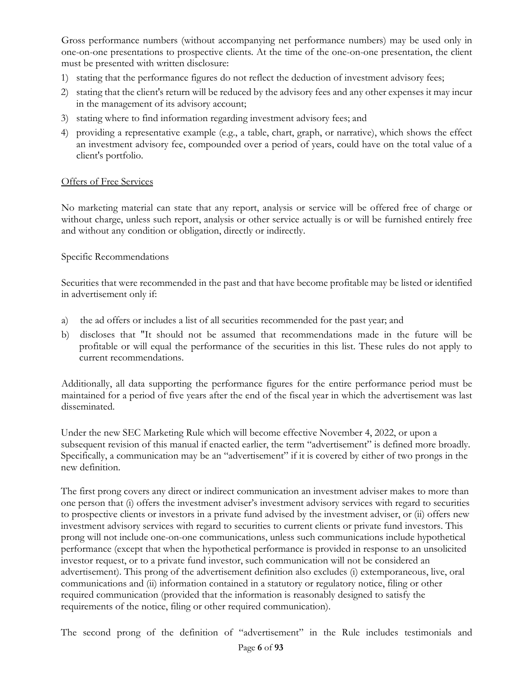Gross performance numbers (without accompanying net performance numbers) may be used only in one-on-one presentations to prospective clients. At the time of the one-on-one presentation, the client must be presented with written disclosure:

- 1) stating that the performance figures do not reflect the deduction of investment advisory fees;
- 2) stating that the client's return will be reduced by the advisory fees and any other expenses it may incur in the management of its advisory account;
- 3) stating where to find information regarding investment advisory fees; and
- 4) providing a representative example (e.g., a table, chart, graph, or narrative), which shows the effect an investment advisory fee, compounded over a period of years, could have on the total value of a client's portfolio.

#### Offers of Free Services

No marketing material can state that any report, analysis or service will be offered free of charge or without charge, unless such report, analysis or other service actually is or will be furnished entirely free and without any condition or obligation, directly or indirectly.

#### Specific Recommendations

Securities that were recommended in the past and that have become profitable may be listed or identified in advertisement only if:

- a) the ad offers or includes a list of all securities recommended for the past year; and
- b) discloses that "It should not be assumed that recommendations made in the future will be profitable or will equal the performance of the securities in this list. These rules do not apply to current recommendations.

Additionally, all data supporting the performance figures for the entire performance period must be maintained for a period of five years after the end of the fiscal year in which the advertisement was last disseminated.

Under the new SEC Marketing Rule which will become effective November 4, 2022, or upon a subsequent revision of this manual if enacted earlier, the term "advertisement" is defined more broadly. Specifically, a communication may be an "advertisement" if it is covered by either of two prongs in the new definition.

The first prong covers any direct or indirect communication an investment adviser makes to more than one person that (i) offers the investment adviser's investment advisory services with regard to securities to prospective clients or investors in a private fund advised by the investment adviser, or (ii) offers new investment advisory services with regard to securities to current clients or private fund investors. This prong will not include one-on-one communications, unless such communications include hypothetical performance (except that when the hypothetical performance is provided in response to an unsolicited investor request, or to a private fund investor, such communication will not be considered an advertisement). This prong of the advertisement definition also excludes (i) extemporaneous, live, oral communications and (ii) information contained in a statutory or regulatory notice, filing or other required communication (provided that the information is reasonably designed to satisfy the requirements of the notice, filing or other required communication).

The second prong of the definition of "advertisement" in the Rule includes testimonials and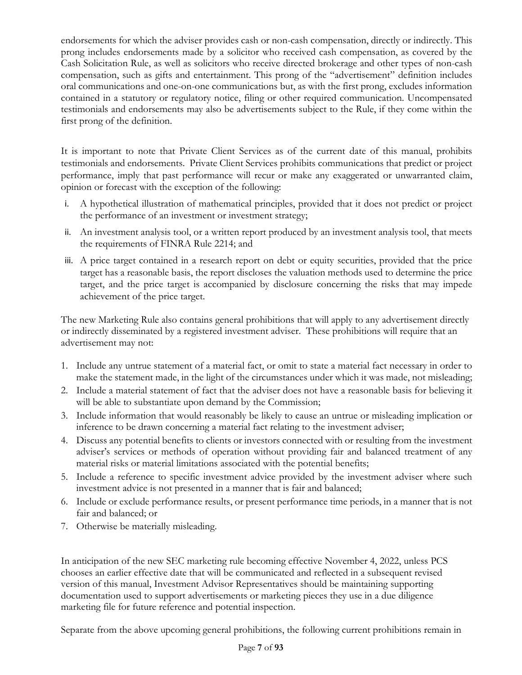endorsements for which the adviser provides cash or non-cash compensation, directly or indirectly. This prong includes endorsements made by a solicitor who received cash compensation, as covered by the Cash Solicitation Rule, as well as solicitors who receive directed brokerage and other types of non-cash compensation, such as gifts and entertainment. This prong of the "advertisement" definition includes oral communications and one-on-one communications but, as with the first prong, excludes information contained in a statutory or regulatory notice, filing or other required communication. Uncompensated testimonials and endorsements may also be advertisements subject to the Rule, if they come within the first prong of the definition.

It is important to note that Private Client Services as of the current date of this manual, prohibits testimonials and endorsements. Private Client Services prohibits communications that predict or project performance, imply that past performance will recur or make any exaggerated or unwarranted claim, opinion or forecast with the exception of the following:

- i. A hypothetical illustration of mathematical principles, provided that it does not predict or project the performance of an investment or investment strategy;
- ii. An investment analysis tool, or a written report produced by an investment analysis tool, that meets the requirements of FINRA Rule 2214; and
- iii. A price target contained in a research report on debt or equity securities, provided that the price target has a reasonable basis, the report discloses the valuation methods used to determine the price target, and the price target is accompanied by disclosure concerning the risks that may impede achievement of the price target.

The new Marketing Rule also contains general prohibitions that will apply to any advertisement directly or indirectly disseminated by a registered investment adviser. These prohibitions will require that an advertisement may not:

- 1. Include any untrue statement of a material fact, or omit to state a material fact necessary in order to make the statement made, in the light of the circumstances under which it was made, not misleading;
- 2. Include a material statement of fact that the adviser does not have a reasonable basis for believing it will be able to substantiate upon demand by the Commission;
- 3. Include information that would reasonably be likely to cause an untrue or misleading implication or inference to be drawn concerning a material fact relating to the investment adviser;
- 4. Discuss any potential benefits to clients or investors connected with or resulting from the investment adviser's services or methods of operation without providing fair and balanced treatment of any material risks or material limitations associated with the potential benefits;
- 5. Include a reference to specific investment advice provided by the investment adviser where such investment advice is not presented in a manner that is fair and balanced;
- 6. Include or exclude performance results, or present performance time periods, in a manner that is not fair and balanced; or
- 7. Otherwise be materially misleading.

In anticipation of the new SEC marketing rule becoming effective November 4, 2022, unless PCS chooses an earlier effective date that will be communicated and reflected in a subsequent revised version of this manual, Investment Advisor Representatives should be maintaining supporting documentation used to support advertisements or marketing pieces they use in a due diligence marketing file for future reference and potential inspection.

Separate from the above upcoming general prohibitions, the following current prohibitions remain in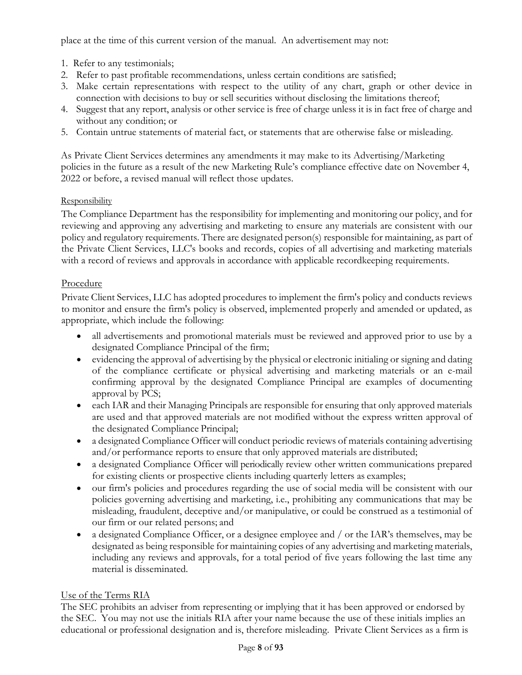place at the time of this current version of the manual. An advertisement may not:

- 1. Refer to any testimonials;
- 2. Refer to past profitable recommendations, unless certain conditions are satisfied;
- 3. Make certain representations with respect to the utility of any chart, graph or other device in connection with decisions to buy or sell securities without disclosing the limitations thereof;
- 4. Suggest that any report, analysis or other service is free of charge unless it is in fact free of charge and without any condition; or
- 5. Contain untrue statements of material fact, or statements that are otherwise false or misleading.

As Private Client Services determines any amendments it may make to its Advertising/Marketing policies in the future as a result of the new Marketing Rule's compliance effective date on November 4, 2022 or before, a revised manual will reflect those updates.

#### **Responsibility**

The Compliance Department has the responsibility for implementing and monitoring our policy, and for reviewing and approving any advertising and marketing to ensure any materials are consistent with our policy and regulatory requirements. There are designated person(s) responsible for maintaining, as part of the Private Client Services, LLC's books and records, copies of all advertising and marketing materials with a record of reviews and approvals in accordance with applicable recordkeeping requirements.

#### Procedure

Private Client Services, LLC has adopted procedures to implement the firm's policy and conducts reviews to monitor and ensure the firm's policy is observed, implemented properly and amended or updated, as appropriate, which include the following:

- all advertisements and promotional materials must be reviewed and approved prior to use by a designated Compliance Principal of the firm;
- evidencing the approval of advertising by the physical or electronic initialing or signing and dating of the compliance certificate or physical advertising and marketing materials or an e-mail confirming approval by the designated Compliance Principal are examples of documenting approval by PCS;
- each IAR and their Managing Principals are responsible for ensuring that only approved materials are used and that approved materials are not modified without the express written approval of the designated Compliance Principal;
- a designated Compliance Officer will conduct periodic reviews of materials containing advertising and/or performance reports to ensure that only approved materials are distributed;
- a designated Compliance Officer will periodically review other written communications prepared for existing clients or prospective clients including quarterly letters as examples;
- our firm's policies and procedures regarding the use of social media will be consistent with our policies governing advertising and marketing, i.e., prohibiting any communications that may be misleading, fraudulent, deceptive and/or manipulative, or could be construed as a testimonial of our firm or our related persons; and
- a designated Compliance Officer, or a designee employee and / or the IAR's themselves, may be designated as being responsible for maintaining copies of any advertising and marketing materials, including any reviews and approvals, for a total period of five years following the last time any material is disseminated.

#### Use of the Terms RIA

The SEC prohibits an adviser from representing or implying that it has been approved or endorsed by the SEC. You may not use the initials RIA after your name because the use of these initials implies an educational or professional designation and is, therefore misleading. Private Client Services as a firm is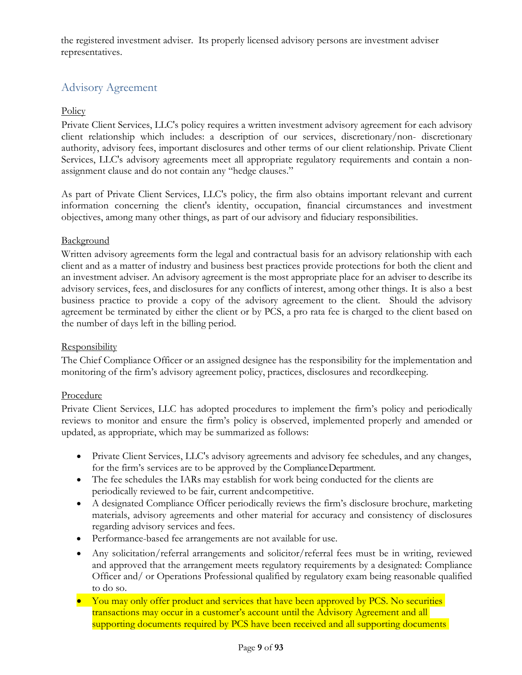the registered investment adviser. Its properly licensed advisory persons are investment adviser representatives.

# <span id="page-8-0"></span>Advisory Agreement

### **Policy**

Private Client Services, LLC's policy requires a written investment advisory agreement for each advisory client relationship which includes: a description of our services, discretionary/non- discretionary authority, advisory fees, important disclosures and other terms of our client relationship. Private Client Services, LLC's advisory agreements meet all appropriate regulatory requirements and contain a nonassignment clause and do not contain any "hedge clauses."

As part of Private Client Services, LLC's policy, the firm also obtains important relevant and current information concerning the client's identity, occupation, financial circumstances and investment objectives, among many other things, as part of our advisory and fiduciary responsibilities.

#### **Background**

Written advisory agreements form the legal and contractual basis for an advisory relationship with each client and as a matter of industry and business best practices provide protections for both the client and an investment adviser. An advisory agreement is the most appropriate place for an adviser to describe its advisory services, fees, and disclosures for any conflicts of interest, among other things. It is also a best business practice to provide a copy of the advisory agreement to the client. Should the advisory agreement be terminated by either the client or by PCS, a pro rata fee is charged to the client based on the number of days left in the billing period.

#### **Responsibility**

The Chief Compliance Officer or an assigned designee has the responsibility for the implementation and monitoring of the firm's advisory agreement policy, practices, disclosures and recordkeeping.

#### Procedure

Private Client Services, LLC has adopted procedures to implement the firm's policy and periodically reviews to monitor and ensure the firm's policy is observed, implemented properly and amended or updated, as appropriate, which may be summarized as follows:

- Private Client Services, LLC's advisory agreements and advisory fee schedules, and any changes, for the firm's services are to be approved by the ComplianceDepartment.
- The fee schedules the IARs may establish for work being conducted for the clients are periodically reviewed to be fair, current andcompetitive.
- A designated Compliance Officer periodically reviews the firm's disclosure brochure, marketing materials, advisory agreements and other material for accuracy and consistency of disclosures regarding advisory services and fees.
- Performance-based fee arrangements are not available for use.
- Any solicitation/referral arrangements and solicitor/referral fees must be in writing, reviewed and approved that the arrangement meets regulatory requirements by a designated: Compliance Officer and/ or Operations Professional qualified by regulatory exam being reasonable qualified to do so.
- You may only offer product and services that have been approved by PCS. No securities transactions may occur in a customer's account until the Advisory Agreement and all supporting documents required by PCS have been received and all supporting documents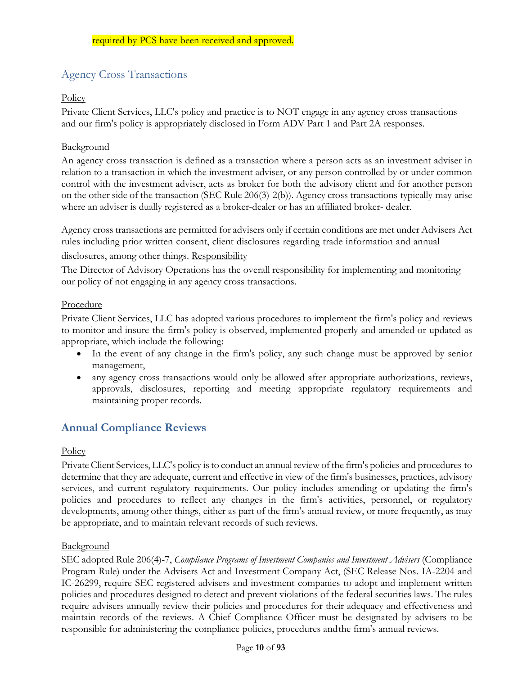# Agency Cross Transactions

### **Policy**

Private Client Services, LLC's policy and practice is to NOT engage in any agency cross transactions and our firm's policy is appropriately disclosed in Form ADV Part 1 and Part 2A responses.

#### **Background**

An agency cross transaction is defined as a transaction where a person acts as an investment adviser in relation to a transaction in which the investment adviser, or any person controlled by or under common control with the investment adviser, acts as broker for both the advisory client and for another person on the other side of the transaction (SEC Rule 206(3)-2(b)). Agency cross transactions typically may arise where an adviser is dually registered as a broker-dealer or has an affiliated broker- dealer.

Agency cross transactions are permitted for advisers only if certain conditions are met under Advisers Act rules including prior written consent, client disclosures regarding trade information and annual

disclosures, among other things. Responsibility

The Director of Advisory Operations has the overall responsibility for implementing and monitoring our policy of not engaging in any agency cross transactions.

#### Procedure

Private Client Services, LLC has adopted various procedures to implement the firm's policy and reviews to monitor and insure the firm's policy is observed, implemented properly and amended or updated as appropriate, which include the following:

- In the event of any change in the firm's policy, any such change must be approved by senior management,
- any agency cross transactions would only be allowed after appropriate authorizations, reviews, approvals, disclosures, reporting and meeting appropriate regulatory requirements and maintaining proper records.

# <span id="page-9-0"></span>**Annual Compliance Reviews**

#### **Policy**

Private Client Services, LLC's policy isto conduct an annual review ofthe firm's policies and procedures to determine that they are adequate, current and effective in view of the firm's businesses, practices, advisory services, and current regulatory requirements. Our policy includes amending or updating the firm's policies and procedures to reflect any changes in the firm's activities, personnel, or regulatory developments, among other things, either as part of the firm's annual review, or more frequently, as may be appropriate, and to maintain relevant records of such reviews.

#### Background

SEC adopted Rule 206(4)-7, *Compliance Programs of Investment Companies and Investment Advisers* (Compliance Program Rule) under the Advisers Act and Investment Company Act, (SEC Release Nos. IA-2204 and IC-26299, require SEC registered advisers and investment companies to adopt and implement written policies and procedures designed to detect and prevent violations of the federal securities laws. The rules require advisers annually review their policies and procedures for their adequacy and effectiveness and maintain records of the reviews. A Chief Compliance Officer must be designated by advisers to be responsible for administering the compliance policies, procedures andthe firm's annual reviews.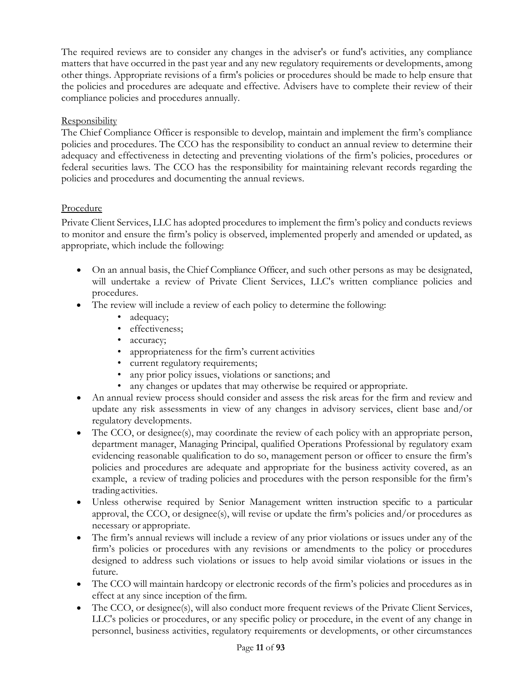The required reviews are to consider any changes in the adviser's or fund's activities, any compliance matters that have occurred in the past year and any new regulatory requirements or developments, among other things. Appropriate revisions of a firm's policies or procedures should be made to help ensure that the policies and procedures are adequate and effective. Advisers have to complete their review of their compliance policies and procedures annually.

## Responsibility

The Chief Compliance Officer is responsible to develop, maintain and implement the firm's compliance policies and procedures. The CCO has the responsibility to conduct an annual review to determine their adequacy and effectiveness in detecting and preventing violations of the firm's policies, procedures or federal securities laws. The CCO has the responsibility for maintaining relevant records regarding the policies and procedures and documenting the annual reviews.

# Procedure

Private Client Services, LLC has adopted procedures to implement the firm's policy and conducts reviews to monitor and ensure the firm's policy is observed, implemented properly and amended or updated, as appropriate, which include the following:

- On an annual basis, the Chief Compliance Officer, and such other persons as may be designated, will undertake a review of Private Client Services, LLC's written compliance policies and procedures.
- The review will include a review of each policy to determine the following:
	- adequacy;
	- effectiveness;
	- accuracy;
	- appropriateness for the firm's current activities
	- current regulatory requirements;
	- any prior policy issues, violations or sanctions; and
	- any changes or updates that may otherwise be required or appropriate.
- An annual review process should consider and assess the risk areas for the firm and review and update any risk assessments in view of any changes in advisory services, client base and/or regulatory developments.
- The CCO, or designee(s), may coordinate the review of each policy with an appropriate person, department manager, Managing Principal, qualified Operations Professional by regulatory exam evidencing reasonable qualification to do so, management person or officer to ensure the firm's policies and procedures are adequate and appropriate for the business activity covered, as an example, a review of trading policies and procedures with the person responsible for the firm's trading activities.
- Unless otherwise required by Senior Management written instruction specific to a particular approval, the CCO, or designee(s), will revise or update the firm's policies and/or procedures as necessary or appropriate.
- The firm's annual reviews will include a review of any prior violations or issues under any of the firm's policies or procedures with any revisions or amendments to the policy or procedures designed to address such violations or issues to help avoid similar violations or issues in the future.
- The CCO will maintain hardcopy or electronic records of the firm's policies and procedures as in effect at any since inception of the firm.
- The CCO, or designee(s), will also conduct more frequent reviews of the Private Client Services, LLC's policies or procedures, or any specific policy or procedure, in the event of any change in personnel, business activities, regulatory requirements or developments, or other circumstances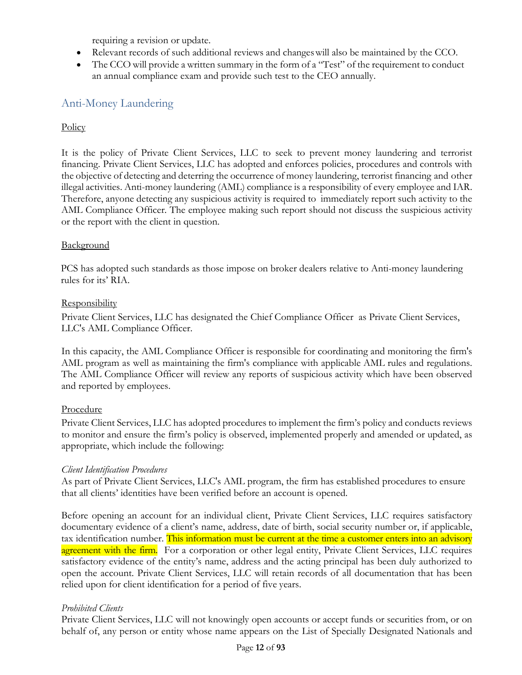requiring a revision or update.

- Relevant records of such additional reviews and changeswill also be maintained by the CCO.
- The CCO will provide a written summary in the form of a "Test" of the requirement to conduct an annual compliance exam and provide such test to the CEO annually.

# <span id="page-11-0"></span>Anti-Money Laundering

#### **Policy**

It is the policy of Private Client Services, LLC to seek to prevent money laundering and terrorist financing. Private Client Services, LLC has adopted and enforces policies, procedures and controls with the objective of detecting and deterring the occurrence of money laundering, terrorist financing and other illegal activities. Anti-money laundering (AML) compliance is a responsibility of every employee and IAR. Therefore, anyone detecting any suspicious activity is required to immediately report such activity to the AML Compliance Officer. The employee making such report should not discuss the suspicious activity or the report with the client in question.

#### Background

PCS has adopted such standards as those impose on broker dealers relative to Anti-money laundering rules for its' RIA.

#### Responsibility

Private Client Services, LLC has designated the Chief Compliance Officer as Private Client Services, LLC's AML Compliance Officer.

In this capacity, the AML Compliance Officer is responsible for coordinating and monitoring the firm's AML program as well as maintaining the firm's compliance with applicable AML rules and regulations. The AML Compliance Officer will review any reports of suspicious activity which have been observed and reported by employees.

#### Procedure

Private Client Services, LLC has adopted procedures to implement the firm's policy and conducts reviews to monitor and ensure the firm's policy is observed, implemented properly and amended or updated, as appropriate, which include the following:

#### *Client Identification Procedures*

As part of Private Client Services, LLC's AML program, the firm has established procedures to ensure that all clients' identities have been verified before an account is opened.

Before opening an account for an individual client, Private Client Services, LLC requires satisfactory documentary evidence of a client's name, address, date of birth, social security number or, if applicable, tax identification number. This information must be current at the time a customer enters into an advisory agreement with the firm. For a corporation or other legal entity, Private Client Services, LLC requires satisfactory evidence of the entity's name, address and the acting principal has been duly authorized to open the account. Private Client Services, LLC will retain records of all documentation that has been relied upon for client identification for a period of five years.

#### *Prohibited Clients*

Private Client Services, LLC will not knowingly open accounts or accept funds or securities from, or on behalf of, any person or entity whose name appears on the List of Specially Designated Nationals and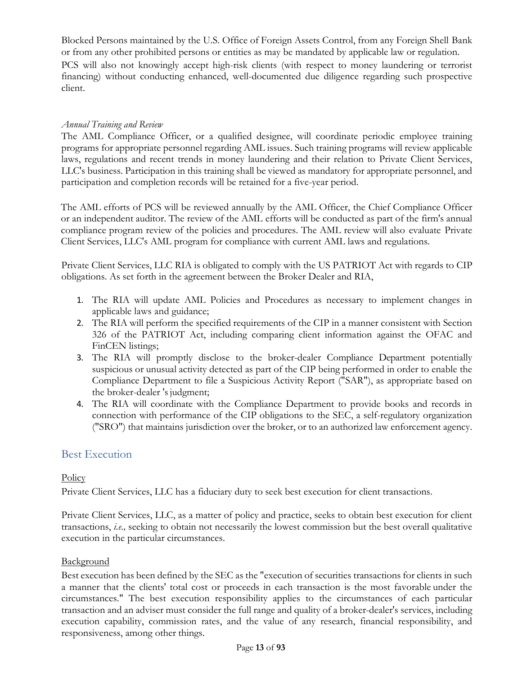Blocked Persons maintained by the U.S. Office of Foreign Assets Control, from any Foreign Shell Bank or from any other prohibited persons or entities as may be mandated by applicable law or regulation. PCS will also not knowingly accept high-risk clients (with respect to money laundering or terrorist financing) without conducting enhanced, well-documented due diligence regarding such prospective client.

#### *Annual Training and Review*

The AML Compliance Officer, or a qualified designee, will coordinate periodic employee training programs for appropriate personnel regarding AML issues. Such training programs will review applicable laws, regulations and recent trends in money laundering and their relation to Private Client Services, LLC's business. Participation in this training shall be viewed as mandatory for appropriate personnel, and participation and completion records will be retained for a five-year period.

The AML efforts of PCS will be reviewed annually by the AML Officer, the Chief Compliance Officer or an independent auditor. The review of the AML efforts will be conducted as part of the firm's annual compliance program review of the policies and procedures. The AML review will also evaluate Private Client Services, LLC's AML program for compliance with current AML laws and regulations.

Private Client Services, LLC RIA is obligated to comply with the US PATRIOT Act with regards to CIP obligations. As set forth in the agreement between the Broker Dealer and RIA,

- 1. The RIA will update AML Policies and Procedures as necessary to implement changes in applicable laws and guidance;
- 2. The RIA will perform the specified requirements of the CIP in a manner consistent with Section 326 of the PATRIOT Act, including comparing client information against the OFAC and FinCEN listings;
- 3. The RIA will promptly disclose to the broker-dealer Compliance Department potentially suspicious or unusual activity detected as part of the CIP being performed in order to enable the Compliance Department to file a Suspicious Activity Report ("SAR"), as appropriate based on the broker-dealer 's judgment;
- 4. The RIA will coordinate with the Compliance Department to provide books and records in connection with performance of the CIP obligations to the SEC, a self-regulatory organization ("SRO") that maintains jurisdiction over the broker, or to an authorized law enforcement agency.

## <span id="page-12-0"></span>Best Execution

#### **Policy**

Private Client Services, LLC has a fiduciary duty to seek best execution for client transactions.

Private Client Services, LLC, as a matter of policy and practice, seeks to obtain best execution for client transactions, *i.e.,* seeking to obtain not necessarily the lowest commission but the best overall qualitative execution in the particular circumstances.

#### **Background**

Best execution has been defined by the SEC as the "execution of securities transactions for clients in such a manner that the clients' total cost or proceeds in each transaction is the most favorable under the circumstances." The best execution responsibility applies to the circumstances of each particular transaction and an adviser must consider the full range and quality of a broker-dealer's services, including execution capability, commission rates, and the value of any research, financial responsibility, and responsiveness, among other things.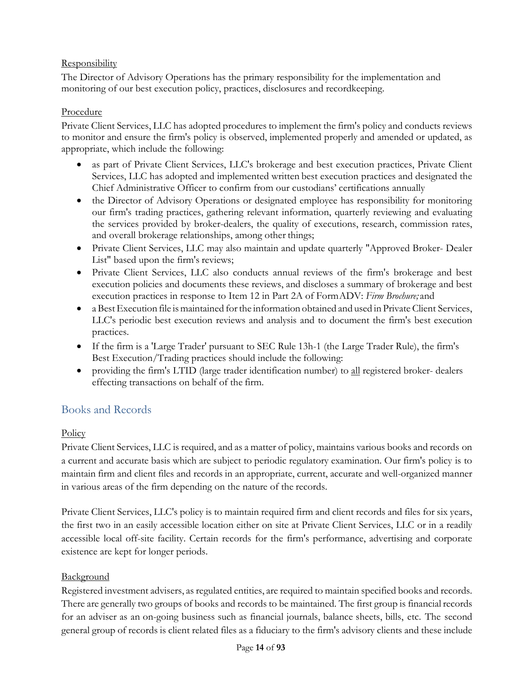# **Responsibility**

The Director of Advisory Operations has the primary responsibility for the implementation and monitoring of our best execution policy, practices, disclosures and recordkeeping.

# Procedure

Private Client Services, LLC has adopted procedures to implement the firm's policy and conducts reviews to monitor and ensure the firm's policy is observed, implemented properly and amended or updated, as appropriate, which include the following:

- as part of Private Client Services, LLC's brokerage and best execution practices, Private Client Services, LLC has adopted and implemented written best execution practices and designated the Chief Administrative Officer to confirm from our custodians' certifications annually
- the Director of Advisory Operations or designated employee has responsibility for monitoring our firm's trading practices, gathering relevant information, quarterly reviewing and evaluating the services provided by broker-dealers, the quality of executions, research, commission rates, and overall brokerage relationships, among other things;
- Private Client Services, LLC may also maintain and update quarterly "Approved Broker- Dealer List" based upon the firm's reviews;
- Private Client Services, LLC also conducts annual reviews of the firm's brokerage and best execution policies and documents these reviews, and discloses a summary of brokerage and best execution practices in response to Item 12 in Part 2A of FormADV: *Firm Brochure;* and
- a BestExecution file is maintained forthe information obtained and used in Private Client Services, LLC's periodic best execution reviews and analysis and to document the firm's best execution practices.
- If the firm is a 'Large Trader' pursuant to SEC Rule 13h-1 (the Large Trader Rule), the firm's Best Execution/Trading practices should include the following:
- providing the firm's LTID (large trader identification number) to all registered broker- dealers effecting transactions on behalf of the firm.

# <span id="page-13-0"></span>Books and Records

# **Policy**

Private Client Services, LLC is required, and as a matter of policy, maintains various books and records on a current and accurate basis which are subject to periodic regulatory examination. Our firm's policy is to maintain firm and client files and records in an appropriate, current, accurate and well-organized manner in various areas of the firm depending on the nature of the records.

Private Client Services, LLC's policy is to maintain required firm and client records and files for six years, the first two in an easily accessible location either on site at Private Client Services, LLC or in a readily accessible local off-site facility. Certain records for the firm's performance, advertising and corporate existence are kept for longer periods.

# **Background**

Registered investment advisers, as regulated entities, are required to maintain specified books and records. There are generally two groups of books and records to be maintained. The first group is financialrecords for an adviser as an on-going business such as financial journals, balance sheets, bills, etc. The second general group of records is client related files as a fiduciary to the firm's advisory clients and these include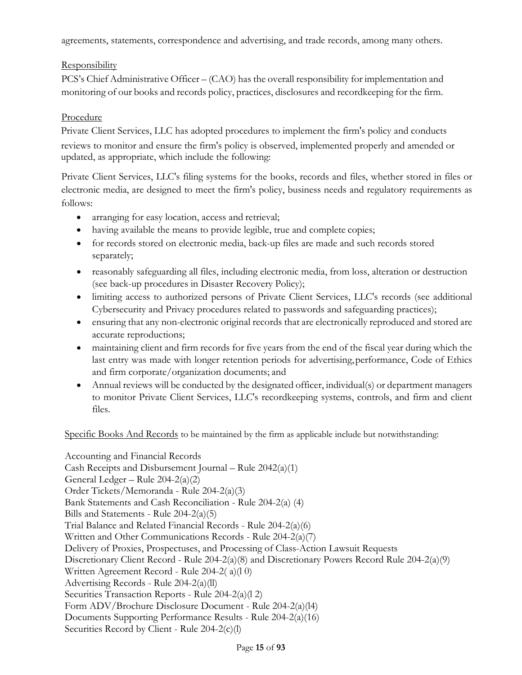agreements, statements, correspondence and advertising, and trade records, among many others.

# **Responsibility**

PCS's Chief Administrative Officer – (CAO) has the overall responsibility for implementation and monitoring of our books and records policy, practices, disclosures and recordkeeping for the firm.

# Procedure

Private Client Services, LLC has adopted procedures to implement the firm's policy and conducts reviews to monitor and ensure the firm's policy is observed, implemented properly and amended or updated, as appropriate, which include the following:

Private Client Services, LLC's filing systems for the books, records and files, whether stored in files or electronic media, are designed to meet the firm's policy, business needs and regulatory requirements as follows:

- arranging for easy location, access and retrieval;
- having available the means to provide legible, true and complete copies;
- for records stored on electronic media, back-up files are made and such records stored separately;
- reasonably safeguarding all files, including electronic media, from loss, alteration or destruction (see back-up procedures in Disaster Recovery Policy);
- limiting access to authorized persons of Private Client Services, LLC's records (see additional Cybersecurity and Privacy procedures related to passwords and safeguarding practices);
- ensuring that any non-electronic original records that are electronically reproduced and stored are accurate reproductions;
- maintaining client and firm records for five years from the end of the fiscal year during which the last entry was made with longer retention periods for advertising,performance, Code of Ethics and firm corporate/organization documents; and
- Annual reviews will be conducted by the designated officer, individual(s) or department managers to monitor Private Client Services, LLC's recordkeeping systems, controls, and firm and client files.

Specific Books And Records to be maintained by the firm as applicable include but notwithstanding:

Accounting and Financial Records Cash Receipts and Disbursement Journal – Rule  $2042(a)(1)$ General Ledger – Rule 204-2(a)(2) Order Tickets/Memoranda - Rule 204-2(a)(3) Bank Statements and Cash Reconciliation - Rule 204-2(a) (4) Bills and Statements - Rule 204-2(a)(5) Trial Balance and Related Financial Records - Rule 204-2(a)(6) Written and Other Communications Records - Rule 204-2(a)(7) Delivery of Proxies, Prospectuses, and Processing of Class-Action Lawsuit Requests Discretionary Client Record - Rule  $204-2(a)(8)$  and Discretionary Powers Record Rule  $204-2(a)(9)$ Written Agreement Record - Rule 204-2( a)(l 0) Advertising Records - Rule 204-2(a)(ll) Securities Transaction Reports - Rule 204-2(a)(l 2) Form ADV/Brochure Disclosure Document - Rule 204-2(a)(l4) Documents Supporting Performance Results - Rule 204-2(a)(16) Securities Record by Client - Rule 204-2(c)(l)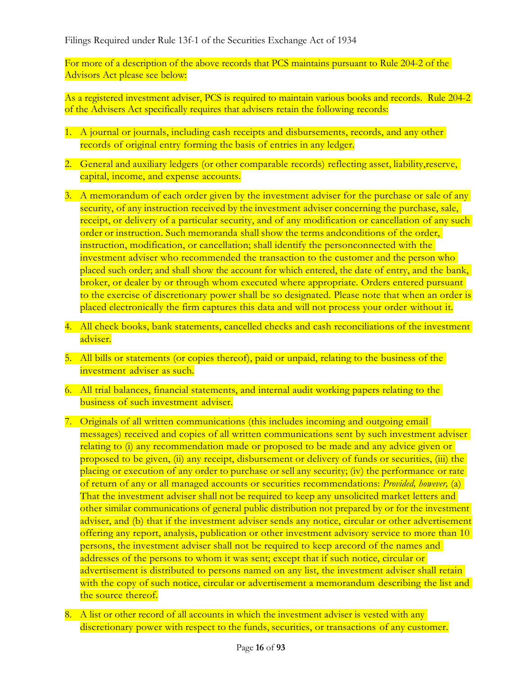For more of a description of the above records that PCS maintains pursuant to Rule 204-2 of the Advisors Act please see below:

As a registered investment adviser, PCS is required to maintain various books and records. Rule 204-2 of the Advisers Act specifically requires that advisers retain the following records:

- 1. A journal or journals, including cash receipts and disbursements, records, and any other records of original entry forming the basis of entries in any ledger.
- 2. General and auxiliary ledgers (or other comparable records) reflecting asset, liability, reserve, capital, income, and expense accounts.
- 3. A memorandum of each order given by the investment adviser for the purchase or sale of any security, of any instruction received by the investment adviser concerning the purchase, sale, receipt, or delivery of a particular security, and of any modification or cancellation of any such order or instruction. Such memoranda shall show the terms andconditions of the order, instruction, modification, or cancellation; shall identify the personconnected with the investment adviser who recommended the transaction to the customer and the person who placed such order; and shall show the account for which entered, the date of entry, and the bank, broker, or dealer by or through whom executed where appropriate. Orders entered pursuant to the exercise of discretionary power shall be so designated. Please note that when an order is placed electronically the firm captures this data and will not process your order without it.
- 4. All check books, bank statements, cancelled checks and cash reconciliations of the investment adviser.
- 5. All bills or statements (or copies thereof), paid or unpaid, relating to the business of the investment adviser as such.
- 6. All trial balances, financial statements, and internal audit working papers relating to the business of such investment adviser.
- 7. Originals of all written communications (this includes incoming and outgoing email messages) received and copies of all written communications sent by such investment adviser relating to (i) any recommendation made or proposed to be made and any advice given or proposed to be given, (ii) any receipt, disbursement or delivery of funds or securities, (iii) the placing or execution of any order to purchase or sell any security; (iv) the performance or rate of return of any or all managed accounts or securities recommendations: *Provided, however,* (a) That the investment adviser shall not be required to keep any unsolicited market letters and other similar communications of general public distribution not prepared by or for the investment adviser, and (b) that if the investment adviser sends any notice, circular or other advertisement offering any report, analysis, publication or other investment advisory service to more than 10 persons, the investment adviser shall not be required to keep arecord of the names and addresses of the persons to whom it was sent; except that if such notice, circular or advertisement is distributed to persons named on any list, the investment adviser shall retain with the copy of such notice, circular or advertisement a memorandum describing the list and the source thereof.
- 8. A list or other record of all accounts in which the investment adviser is vested with any discretionary power with respect to the funds, securities, or transactions of any customer.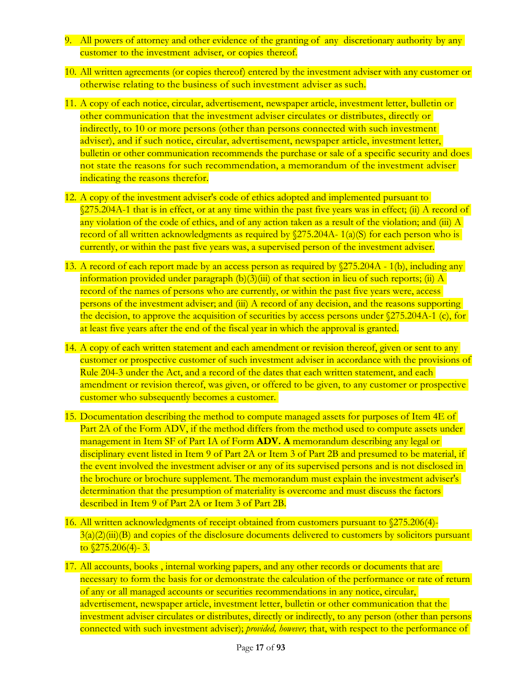- 9. All powers of attorney and other evidence of the granting of any discretionary authority by any customer to the investment adviser, or copies thereof.
- 10. All written agreements (or copies thereof) entered by the investment adviser with any customer or otherwise relating to the business of such investment adviser as such.
- 11. A copy of each notice, circular, advertisement, newspaper article, investment letter, bulletin or other communication that the investment adviser circulates or distributes, directly or indirectly, to 10 or more persons (other than persons connected with such investment adviser), and if such notice, circular, advertisement, newspaper article, investment letter, bulletin or other communication recommends the purchase or sale of a specific security and does not state the reasons for such recommendation, a memorandum of the investment adviser indicating the reasons therefor.
- 12. A copy of the investment adviser's code of ethics adopted and implemented pursuant to §275.204A-1 that is in effect, or at any time within the past five years was in effect; (ii) A record of any violation of the code of ethics, and of any action taken as a result of the violation; and (iii) A record of all written acknowledgments as required by  $(275.204A - 1(a)(S))$  for each person who is currently, or within the past five years was, a supervised person of the investment adviser.
- 13. A record of each report made by an access person as required by  $275.204A 1(b)$ , including any information provided under paragraph  $(b)(3)(iii)$  of that section in lieu of such reports; (ii) A record of the names of persons who are currently, or within the past five years were, access persons of the investment adviser; and (iii) A record of any decision, and the reasons supporting the decision, to approve the acquisition of securities by access persons under §275.204A-1 (c), for at least five years after the end of the fiscal year in which the approval is granted.
- 14. A copy of each written statement and each amendment or revision thereof, given or sent to any customer or prospective customer of such investment adviser in accordance with the provisions of Rule 204-3 under the Act, and a record of the dates that each written statement, and each amendment or revision thereof, was given, or offered to be given, to any customer or prospective customer who subsequently becomes a customer.
- 15. Documentation describing the method to compute managed assets for purposes of Item 4E of Part 2A of the Form ADV, if the method differs from the method used to compute assets under management in Item SF of Part IA of Form **ADV. A** memorandum describing any legal or disciplinary event listed in Item 9 of Part 2A or Item 3 of Part 2B and presumed to be material, if the event involved the investment adviser or any of its supervised persons and is not disclosed in the brochure or brochure supplement. The memorandum must explain the investment adviser's determination that the presumption of materiality is overcome and must discuss the factors described in Item 9 of Part 2A or Item 3 of Part 2B.
- 16. All written acknowledgments of receipt obtained from customers pursuant to §275.206(4)-  $3(a)(2)(iii)(B)$  and copies of the disclosure documents delivered to customers by solicitors pursuant to  $\sqrt{275.206(4)}$ - 3.
- 17. All accounts, books , internal working papers, and any other records or documents that are necessary to form the basis for or demonstrate the calculation of the performance or rate of return of any or all managed accounts or securities recommendations in any notice, circular, advertisement, newspaper article, investment letter, bulletin or other communication that the investment adviser circulates or distributes, directly or indirectly, to any person (other than persons connected with such investment adviser); *provided, however,* that, with respect to the performance of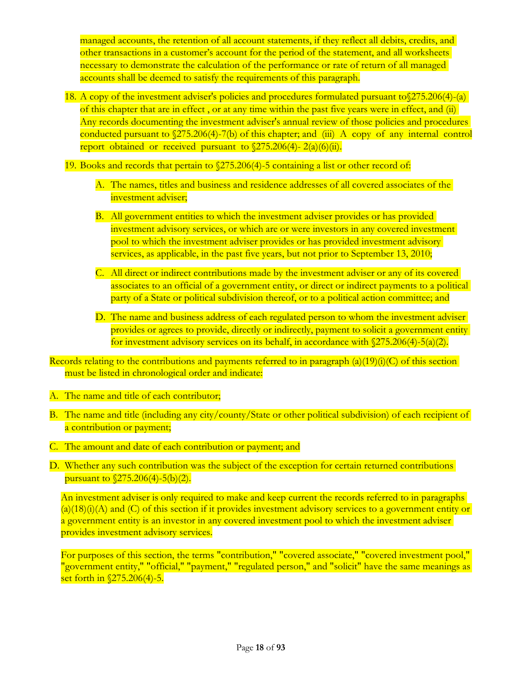managed accounts, the retention of all account statements, if they reflect all debits, credits, and other transactions in a customer's account for the period of the statement, and all worksheets necessary to demonstrate the calculation of the performance or rate of return of all managed accounts shall be deemed to satisfy the requirements of this paragraph.

- 18. A copy of the investment adviser's policies and procedures formulated pursuant to  $275.206(4)$ -(a) of this chapter that are in effect , or at any time within the past five years were in effect, and (ii) Any records documenting the investment adviser's annual review of those policies and procedures conducted pursuant to §275.206(4)-7(b) of this chapter; and (iii) A copy of any internal control report obtained or received pursuant to  $(275.206(4) - 2(a)(6)(ii))$ .
- 19. Books and records that pertain to §275.206(4)-5 containing a list or other record of:
	- A. The names, titles and business and residence addresses of all covered associates of the investment adviser;
	- B. All government entities to which the investment adviser provides or has provided investment advisory services, or which are or were investors in any covered investment pool to which the investment adviser provides or has provided investment advisory services, as applicable, in the past five years, but not prior to September 13, 2010;
	- C. All direct or indirect contributions made by the investment adviser or any of its covered associates to an official of a government entity, or direct or indirect payments to a political party of a State or political subdivision thereof, or to a political action committee; and
	- D. The name and business address of each regulated person to whom the investment adviser provides or agrees to provide, directly or indirectly, payment to solicit a government entity for investment advisory services on its behalf, in accordance with  $\sqrt{275.206(4)}$ -5(a)(2).

Records relating to the contributions and payments referred to in paragraph  $(a)(19)(i)(C)$  of this section must be listed in chronological order and indicate:

- A. The name and title of each contributor;
- B. The name and title (including any city/county/State or other political subdivision) of each recipient of a contribution or payment;
- C. The amount and date of each contribution or payment; and
- D. Whether any such contribution was the subject of the exception for certain returned contributions pursuant to §275.206(4)-5(b)(2).

An investment adviser is only required to make and keep current the records referred to in paragraphs  $(a)(18)(i)(A)$  and  $(C)$  of this section if it provides investment advisory services to a government entity or a government entity is an investor in any covered investment pool to which the investment adviser provides investment advisory services.

For purposes of this section, the terms "contribution," "covered associate," "covered investment pool," "government entity," "official," "payment," "regulated person," and "solicit" have the same meanings as set forth in  $\sqrt{275.206(4)}$ -5.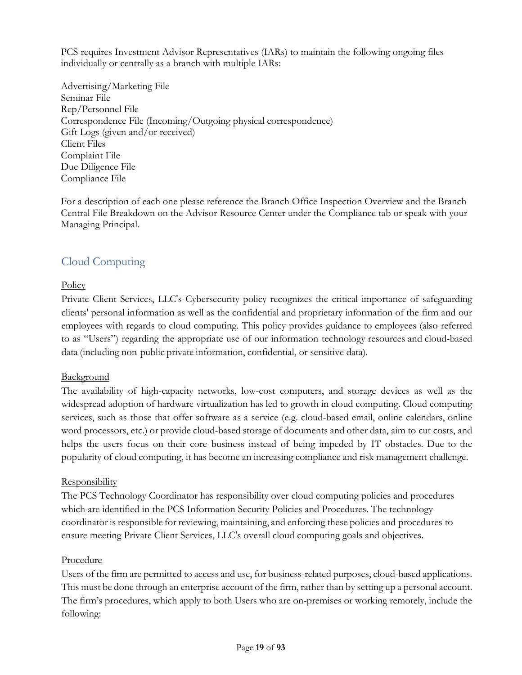PCS requires Investment Advisor Representatives (IARs) to maintain the following ongoing files individually or centrally as a branch with multiple IARs:

Advertising/Marketing File Seminar File Rep/Personnel File Correspondence File (Incoming/Outgoing physical correspondence) Gift Logs (given and/or received) Client Files Complaint File Due Diligence File Compliance File

For a description of each one please reference the Branch Office Inspection Overview and the Branch Central File Breakdown on the Advisor Resource Center under the Compliance tab or speak with your Managing Principal.

# <span id="page-18-0"></span>Cloud Computing

## **Policy**

Private Client Services, LLC's Cybersecurity policy recognizes the critical importance of safeguarding clients' personal information as well as the confidential and proprietary information of the firm and our employees with regards to cloud computing. This policy provides guidance to employees (also referred to as "Users") regarding the appropriate use of our information technology resources and cloud-based data (including non-public private information, confidential, or sensitive data).

## **Background**

The availability of high-capacity networks, low-cost computers, and storage devices as well as the widespread adoption of hardware virtualization has led to growth in cloud computing. Cloud computing services, such as those that offer software as a service (e.g. cloud-based email, online calendars, online word processors, etc.) or provide cloud-based storage of documents and other data, aim to cut costs, and helps the users focus on their core business instead of being impeded by IT obstacles. Due to the popularity of cloud computing, it has become an increasing compliance and risk management challenge.

## **Responsibility**

The PCS Technology Coordinator has responsibility over cloud computing policies and procedures which are identified in the PCS Information Security Policies and Procedures. The technology coordinator is responsible for reviewing, maintaining, and enforcing these policies and procedures to ensure meeting Private Client Services, LLC's overall cloud computing goals and objectives.

#### Procedure

Users of the firm are permitted to access and use, for business-related purposes, cloud-based applications. This must be done through an enterprise account of the firm, rather than by setting up a personal account. The firm's procedures, which apply to both Users who are on-premises or working remotely, include the following: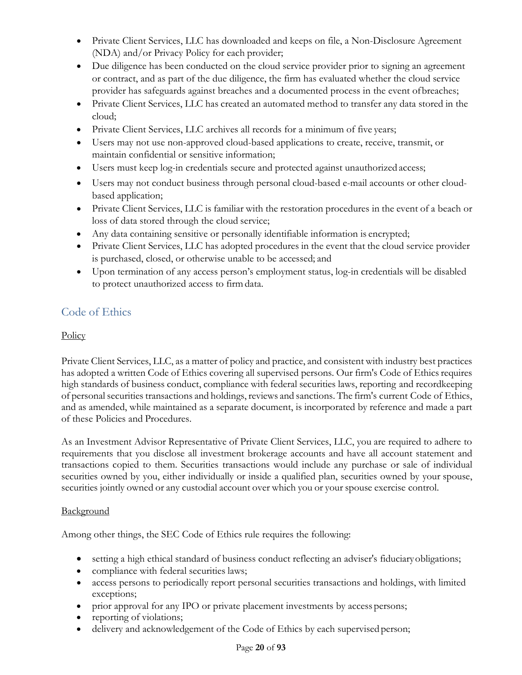- Private Client Services, LLC has downloaded and keeps on file, a Non-Disclosure Agreement (NDA) and/or Privacy Policy for each provider;
- Due diligence has been conducted on the cloud service provider prior to signing an agreement or contract, and as part of the due diligence, the firm has evaluated whether the cloud service provider has safeguards against breaches and a documented process in the event ofbreaches;
- Private Client Services, LLC has created an automated method to transfer any data stored in the cloud;
- Private Client Services, LLC archives all records for a minimum of five years;
- Users may not use non-approved cloud-based applications to create, receive, transmit, or maintain confidential or sensitive information;
- Users must keep log-in credentials secure and protected against unauthorized access;
- Users may not conduct business through personal cloud-based e-mail accounts or other cloudbased application;
- Private Client Services, LLC is familiar with the restoration procedures in the event of a beach or loss of data stored through the cloud service;
- Any data containing sensitive or personally identifiable information is encrypted;
- Private Client Services, LLC has adopted procedures in the event that the cloud service provider is purchased, closed, or otherwise unable to be accessed; and
- Upon termination of any access person's employment status, log-in credentials will be disabled to protect unauthorized access to firmdata.

# <span id="page-19-0"></span>Code of Ethics

# **Policy**

Private Client Services, LLC, as a matter of policy and practice, and consistent with industry best practices has adopted a written Code of Ethics covering all supervised persons. Our firm's Code of Ethics requires high standards of business conduct, compliance with federal securities laws, reporting and recordkeeping of personalsecurities transactions and holdings, reviews and sanctions. The firm's current Code of Ethics, and as amended, while maintained as a separate document, is incorporated by reference and made a part of these Policies and Procedures.

As an Investment Advisor Representative of Private Client Services, LLC, you are required to adhere to requirements that you disclose all investment brokerage accounts and have all account statement and transactions copied to them. Securities transactions would include any purchase or sale of individual securities owned by you, either individually or inside a qualified plan, securities owned by your spouse, securities jointly owned or any custodial account over which you or your spouse exercise control.

## **Background**

Among other things, the SEC Code of Ethics rule requires the following:

- setting a high ethical standard of business conduct reflecting an adviser's fiduciaryobligations;
- compliance with federal securities laws;
- access persons to periodically report personal securities transactions and holdings, with limited exceptions;
- prior approval for any IPO or private placement investments by access persons;
- reporting of violations;
- delivery and acknowledgement of the Code of Ethics by each supervised person;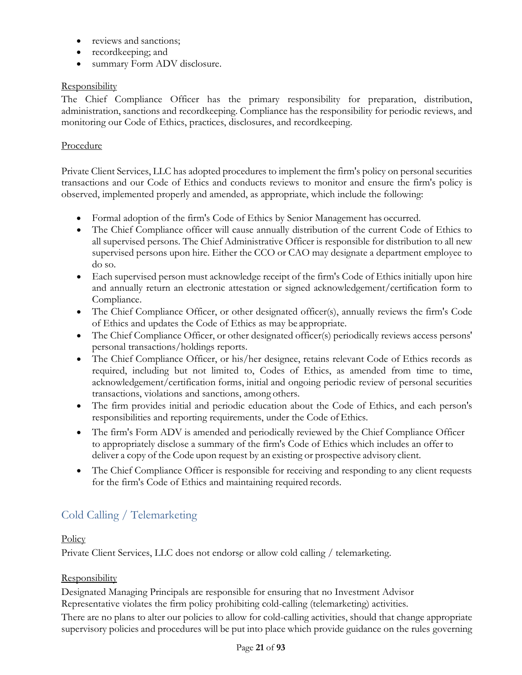- reviews and sanctions;
- recordkeeping; and
- summary Form ADV disclosure.

# **Responsibility**

The Chief Compliance Officer has the primary responsibility for preparation, distribution, administration, sanctions and recordkeeping. Compliance has the responsibility for periodic reviews, and monitoring our Code of Ethics, practices, disclosures, and recordkeeping.

# Procedure

Private Client Services, LLC has adopted procedures to implement the firm's policy on personal securities transactions and our Code of Ethics and conducts reviews to monitor and ensure the firm's policy is observed, implemented properly and amended, as appropriate, which include the following:

- Formal adoption of the firm's Code of Ethics by Senior Management has occurred.
- The Chief Compliance officer will cause annually distribution of the current Code of Ethics to all supervised persons. The Chief Administrative Officer is responsible for distribution to all new supervised persons upon hire. Either the CCO or CAO may designate a department employee to do so.
- Each supervised person must acknowledge receipt of the firm's Code of Ethics initially upon hire and annually return an electronic attestation or signed acknowledgement/certification form to Compliance.
- The Chief Compliance Officer, or other designated officer(s), annually reviews the firm's Code of Ethics and updates the Code of Ethics as may be appropriate.
- The Chief Compliance Officer, or other designated officer(s) periodically reviews access persons' personal transactions/holdings reports.
- The Chief Compliance Officer, or his/her designee, retains relevant Code of Ethics records as required, including but not limited to, Codes of Ethics, as amended from time to time, acknowledgement/certification forms, initial and ongoing periodic review of personal securities transactions, violations and sanctions, among others.
- The firm provides initial and periodic education about the Code of Ethics, and each person's responsibilities and reporting requirements, under the Code of Ethics.
- The firm's Form ADV is amended and periodically reviewed by the Chief Compliance Officer to appropriately disclose a summary of the firm's Code of Ethics which includes an offer to deliver a copy of the Code upon request by an existing or prospective advisory client.
- The Chief Compliance Officer is responsible for receiving and responding to any client requests for the firm's Code of Ethics and maintaining required records.

# <span id="page-20-0"></span>Cold Calling / Telemarketing

## **Policy**

Private Client Services, LLC does not endorse or allow cold calling / telemarketing.

## **Responsibility**

Designated Managing Principals are responsible for ensuring that no Investment Advisor Representative violates the firm policy prohibiting cold-calling (telemarketing) activities.

There are no plans to alter our policies to allow for cold-calling activities, should that change appropriate supervisory policies and procedures will be put into place which provide guidance on the rules governing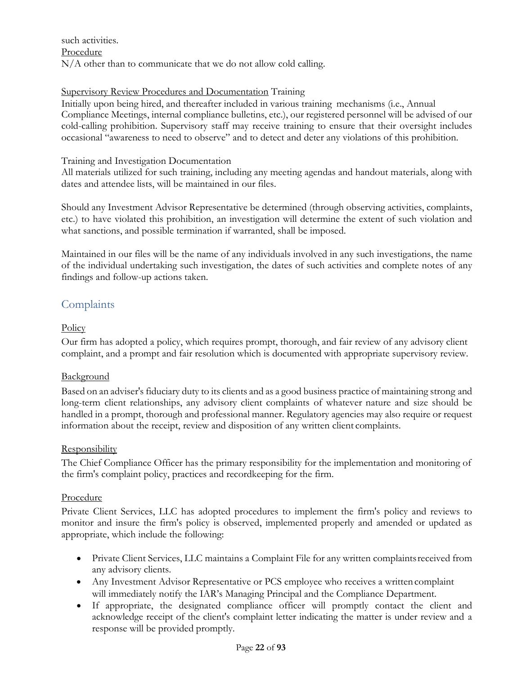such activities. Procedure N/A other than to communicate that we do not allow cold calling.

### Supervisory Review Procedures and Documentation Training

Initially upon being hired, and thereafter included in various training mechanisms (i.e., Annual Compliance Meetings, internal compliance bulletins, etc.), our registered personnel will be advised of our cold-calling prohibition. Supervisory staff may receive training to ensure that their oversight includes occasional "awareness to need to observe" and to detect and deter any violations of this prohibition.

#### Training and Investigation Documentation

All materials utilized for such training, including any meeting agendas and handout materials, along with dates and attendee lists, will be maintained in our files.

Should any Investment Advisor Representative be determined (through observing activities, complaints, etc.) to have violated this prohibition, an investigation will determine the extent of such violation and what sanctions, and possible termination if warranted, shall be imposed.

Maintained in our files will be the name of any individuals involved in any such investigations, the name of the individual undertaking such investigation, the dates of such activities and complete notes of any findings and follow-up actions taken.

# <span id="page-21-0"></span>**Complaints**

### **Policy**

Our firm has adopted a policy, which requires prompt, thorough, and fair review of any advisory client complaint, and a prompt and fair resolution which is documented with appropriate supervisory review.

#### Background

Based on an adviser's fiduciary duty to its clients and as a good business practice of maintaining strong and long-term client relationships, any advisory client complaints of whatever nature and size should be handled in a prompt, thorough and professional manner. Regulatory agencies may also require or request information about the receipt, review and disposition of any written client complaints.

#### **Responsibility**

The Chief Compliance Officer has the primary responsibility for the implementation and monitoring of the firm's complaint policy, practices and recordkeeping for the firm.

#### Procedure

Private Client Services, LLC has adopted procedures to implement the firm's policy and reviews to monitor and insure the firm's policy is observed, implemented properly and amended or updated as appropriate, which include the following:

- Private Client Services, LLC maintains a Complaint File for any written complaintsreceived from any advisory clients.
- Any Investment Advisor Representative or PCS employee who receives a written complaint will immediately notify the IAR's Managing Principal and the Compliance Department.
- If appropriate, the designated compliance officer will promptly contact the client and acknowledge receipt of the client's complaint letter indicating the matter is under review and a response will be provided promptly.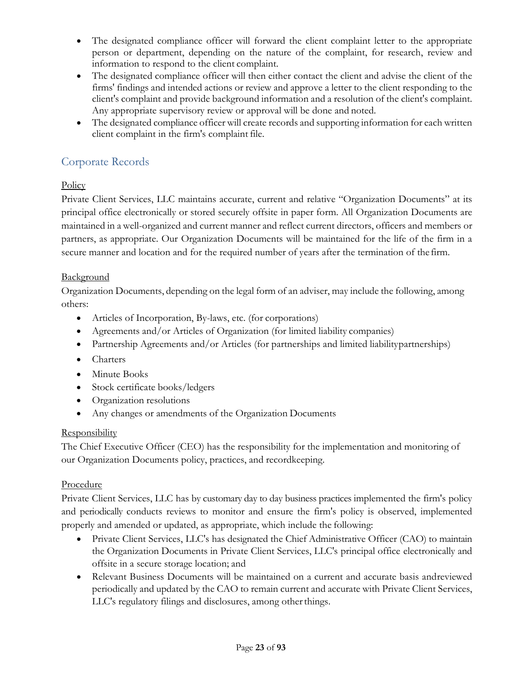- The designated compliance officer will forward the client complaint letter to the appropriate person or department, depending on the nature of the complaint, for research, review and information to respond to the client complaint.
- The designated compliance officer will then either contact the client and advise the client of the firms' findings and intended actions or review and approve a letter to the client responding to the client's complaint and provide background information and a resolution of the client's complaint. Any appropriate supervisory review or approval will be done and noted.
- The designated compliance officer will create records and supporting information for each written client complaint in the firm's complaint file.

# <span id="page-22-0"></span>Corporate Records

# **Policy**

Private Client Services, LLC maintains accurate, current and relative "Organization Documents" at its principal office electronically or stored securely offsite in paper form. All Organization Documents are maintained in a well-organized and current manner and reflect current directors, officers and members or partners, as appropriate. Our Organization Documents will be maintained for the life of the firm in a secure manner and location and for the required number of years after the termination of the firm.

## **Background**

Organization Documents, depending on the legal form of an adviser, may include the following, among others:

- Articles of Incorporation, By-laws, etc. (for corporations)
- Agreements and/or Articles of Organization (for limited liability companies)
- Partnership Agreements and/or Articles (for partnerships and limited liability partnerships)
- Charters
- Minute Books
- Stock certificate books/ledgers
- Organization resolutions
- Any changes or amendments of the Organization Documents

## **Responsibility**

The Chief Executive Officer (CEO) has the responsibility for the implementation and monitoring of our Organization Documents policy, practices, and recordkeeping.

## Procedure

Private Client Services, LLC has by customary day to day business practices implemented the firm's policy and periodically conducts reviews to monitor and ensure the firm's policy is observed, implemented properly and amended or updated, as appropriate, which include the following:

- Private Client Services, LLC's has designated the Chief Administrative Officer (CAO) to maintain the Organization Documents in Private Client Services, LLC's principal office electronically and offsite in a secure storage location; and
- <span id="page-22-1"></span>• Relevant Business Documents will be maintained on a current and accurate basis andreviewed periodically and updated by the CAO to remain current and accurate with Private Client Services, LLC's regulatory filings and disclosures, among other things.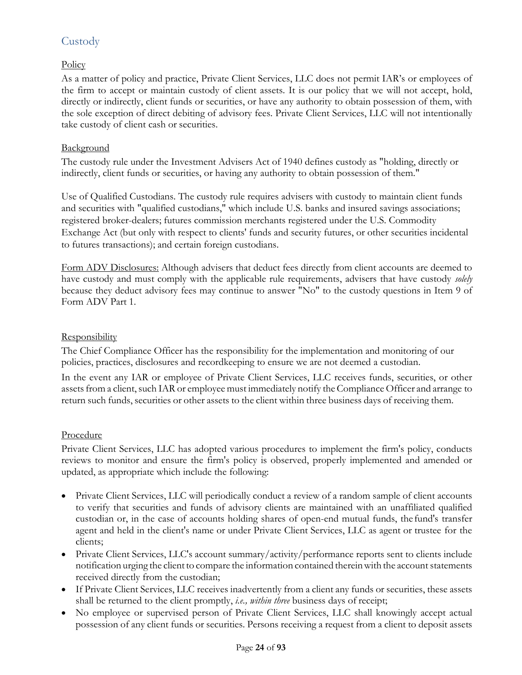# **Custody**

# **Policy**

As a matter of policy and practice, Private Client Services, LLC does not permit IAR's or employees of the firm to accept or maintain custody of client assets. It is our policy that we will not accept, hold, directly or indirectly, client funds or securities, or have any authority to obtain possession of them, with the sole exception of direct debiting of advisory fees. Private Client Services, LLC will not intentionally take custody of client cash or securities.

### Background

The custody rule under the Investment Advisers Act of 1940 defines custody as "holding, directly or indirectly, client funds or securities, or having any authority to obtain possession of them."

Use of Qualified Custodians. The custody rule requires advisers with custody to maintain client funds and securities with "qualified custodians," which include U.S. banks and insured savings associations; registered broker-dealers; futures commission merchants registered under the U.S. Commodity Exchange Act (but only with respect to clients' funds and security futures, or other securities incidental to futures transactions); and certain foreign custodians.

Form ADV Disclosures: Although advisers that deduct fees directly from client accounts are deemed to have custody and must comply with the applicable rule requirements, advisers that have custody *solely*  because they deduct advisory fees may continue to answer "No" to the custody questions in Item 9 of Form ADV Part 1.

### **Responsibility**

The Chief Compliance Officer has the responsibility for the implementation and monitoring of our policies, practices, disclosures and recordkeeping to ensure we are not deemed a custodian.

In the event any IAR or employee of Private Client Services, LLC receives funds, securities, or other assets from a client, such IAR or employee must immediately notify the Compliance Officer and arrange to return such funds, securities or other assets to the client within three business days of receiving them.

## Procedure

Private Client Services, LLC has adopted various procedures to implement the firm's policy, conducts reviews to monitor and ensure the firm's policy is observed, properly implemented and amended or updated, as appropriate which include the following:

- Private Client Services, LLC will periodically conduct a review of a random sample of client accounts to verify that securities and funds of advisory clients are maintained with an unaffiliated qualified custodian or, in the case of accounts holding shares of open-end mutual funds, the fund's transfer agent and held in the client's name or under Private Client Services, LLC as agent or trustee for the clients;
- Private Client Services, LLC's account summary/activity/performance reports sent to clients include notification urging the clientto compare the information contained thereinwith the account statements received directly from the custodian;
- If Private Client Services, LLC receives inadvertently from a client any funds or securities, these assets shall be returned to the client promptly, *i.e., within three* business days of receipt;
- No employee or supervised person of Private Client Services, LLC shall knowingly accept actual possession of any client funds or securities. Persons receiving a request from a client to deposit assets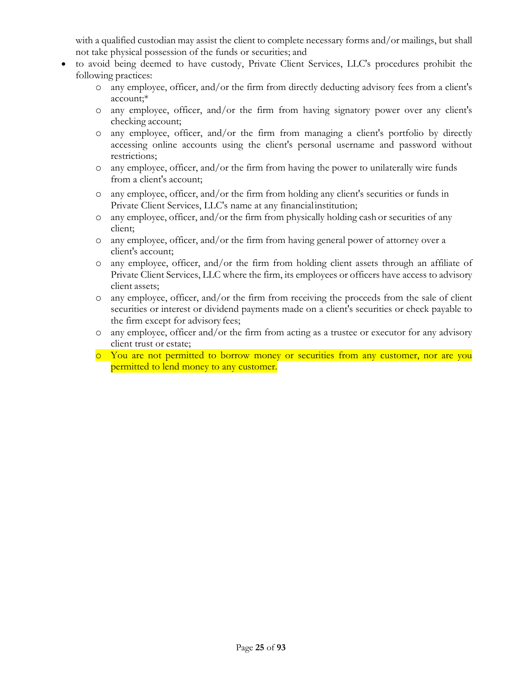with a qualified custodian may assist the client to complete necessary forms and/or mailings, but shall not take physical possession of the funds or securities; and

- to avoid being deemed to have custody, Private Client Services, LLC's procedures prohibit the following practices:
	- o any employee, officer, and/or the firm from directly deducting advisory fees from a client's account;\*
	- o any employee, officer, and/or the firm from having signatory power over any client's checking account;
	- o any employee, officer, and/or the firm from managing a client's portfolio by directly accessing online accounts using the client's personal username and password without restrictions;
	- o any employee, officer, and/or the firm from having the power to unilaterally wire funds from a client's account;
	- o any employee, officer, and/or the firm from holding any client's securities or funds in Private Client Services, LLC's name at any financialinstitution;
	- o any employee, officer, and/or the firm from physically holding cash or securities of any client;
	- o any employee, officer, and/or the firm from having general power of attorney over a client's account;
	- o any employee, officer, and/or the firm from holding client assets through an affiliate of Private Client Services, LLC where the firm, its employees or officers have access to advisory client assets;
	- o any employee, officer, and/or the firm from receiving the proceeds from the sale of client securities or interest or dividend payments made on a client's securities or check payable to the firm except for advisory fees;
	- o any employee, officer and/or the firm from acting as a trustee or executor for any advisory client trust or estate;
	- o You are not permitted to borrow money or securities from any customer, nor are you permitted to lend money to any customer.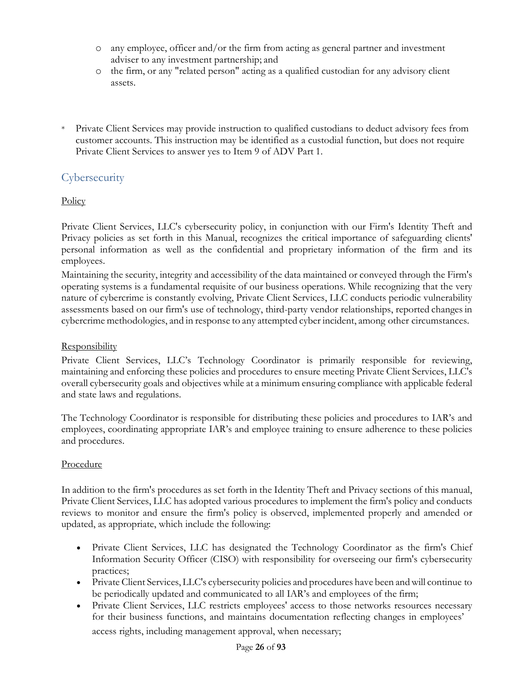- o any employee, officer and/or the firm from acting as general partner and investment adviser to any investment partnership; and
- o the firm, or any "related person" acting as a qualified custodian for any advisory client assets.
- \* Private Client Services may provide instruction to qualified custodians to deduct advisory fees from customer accounts. This instruction may be identified as a custodial function, but does not require Private Client Services to answer yes to Item 9 of ADV Part 1.

# **Cybersecurity**

# **Policy**

Private Client Services, LLC's cybersecurity policy, in conjunction with our Firm's Identity Theft and Privacy policies as set forth in this Manual, recognizes the critical importance of safeguarding clients' personal information as well as the confidential and proprietary information of the firm and its employees.

Maintaining the security, integrity and accessibility of the data maintained or conveyed through the Firm's operating systems is a fundamental requisite of our business operations. While recognizing that the very nature of cybercrime is constantly evolving, Private Client Services, LLC conducts periodic vulnerability assessments based on our firm's use of technology, third-party vendor relationships, reported changes in cybercrime methodologies, and in response to any attempted cyber incident, among other circumstances.

## **Responsibility**

Private Client Services, LLC's Technology Coordinator is primarily responsible for reviewing, maintaining and enforcing these policies and procedures to ensure meeting Private Client Services, LLC's overall cybersecurity goals and objectives while at a minimum ensuring compliance with applicable federal and state laws and regulations.

The Technology Coordinator is responsible for distributing these policies and procedures to IAR's and employees, coordinating appropriate IAR's and employee training to ensure adherence to these policies and procedures.

## Procedure

In addition to the firm's procedures as set forth in the Identity Theft and Privacy sections of this manual, Private Client Services, LLC has adopted various procedures to implement the firm's policy and conducts reviews to monitor and ensure the firm's policy is observed, implemented properly and amended or updated, as appropriate, which include the following:

- Private Client Services, LLC has designated the Technology Coordinator as the firm's Chief Information Security Officer (CISO) with responsibility for overseeing our firm's cybersecurity practices;
- Private Client Services, LLC's cybersecurity policies and procedures have been and will continue to be periodically updated and communicated to all IAR's and employees of the firm;
- Private Client Services, LLC restricts employees' access to those networks resources necessary for their business functions, and maintains documentation reflecting changes in employees' access rights, including management approval, when necessary;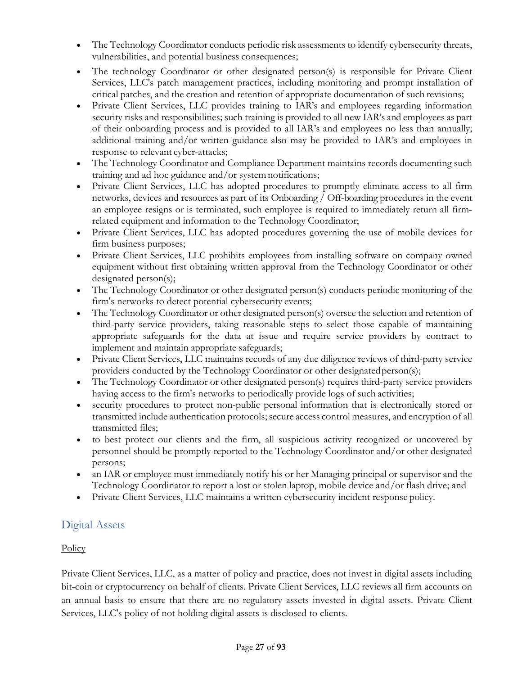- The Technology Coordinator conducts periodic risk assessments to identify cybersecurity threats, vulnerabilities, and potential business consequences;
- The technology Coordinator or other designated person(s) is responsible for Private Client Services, LLC's patch management practices, including monitoring and prompt installation of critical patches, and the creation and retention of appropriate documentation of such revisions;
- Private Client Services, LLC provides training to IAR's and employees regarding information security risks and responsibilities; such training is provided to all new IAR's and employees as part of their onboarding process and is provided to all IAR's and employees no less than annually; additional training and/or written guidance also may be provided to IAR's and employees in response to relevant cyber-attacks;
- The Technology Coordinator and Compliance Department maintains records documenting such training and ad hoc guidance and/or systemnotifications;
- Private Client Services, LLC has adopted procedures to promptly eliminate access to all firm networks, devices and resources as part of its Onboarding / Off-boarding procedures in the event an employee resigns or is terminated, such employee is required to immediately return all firmrelated equipment and information to the Technology Coordinator;
- Private Client Services, LLC has adopted procedures governing the use of mobile devices for firm business purposes;
- Private Client Services, LLC prohibits employees from installing software on company owned equipment without first obtaining written approval from the Technology Coordinator or other designated person(s);
- The Technology Coordinator or other designated person(s) conducts periodic monitoring of the firm's networks to detect potential cybersecurity events;
- The Technology Coordinator or other designated person(s) oversee the selection and retention of third-party service providers, taking reasonable steps to select those capable of maintaining appropriate safeguards for the data at issue and require service providers by contract to implement and maintain appropriate safeguards;
- Private Client Services, LLC maintains records of any due diligence reviews of third-party service providers conducted by the Technology Coordinator or other designatedperson(s);
- The Technology Coordinator or other designated person(s) requires third-party service providers having access to the firm's networks to periodically provide logs of such activities;
- security procedures to protect non-public personal information that is electronically stored or transmitted include authentication protocols; secure access control measures, and encryption of all transmitted files;
- to best protect our clients and the firm, all suspicious activity recognized or uncovered by personnel should be promptly reported to the Technology Coordinator and/or other designated persons;
- an IAR or employee must immediately notify his or her Managing principal or supervisor and the Technology Coordinator to report a lost or stolen laptop, mobile device and/or flash drive; and
- Private Client Services, LLC maintains a written cybersecurity incident response policy.

# <span id="page-26-0"></span>Digital Assets

# **Policy**

Private Client Services, LLC, as a matter of policy and practice, does not invest in digital assets including bit-coin or cryptocurrency on behalf of clients. Private Client Services, LLC reviews all firm accounts on an annual basis to ensure that there are no regulatory assets invested in digital assets. Private Client Services, LLC's policy of not holding digital assets is disclosed to clients.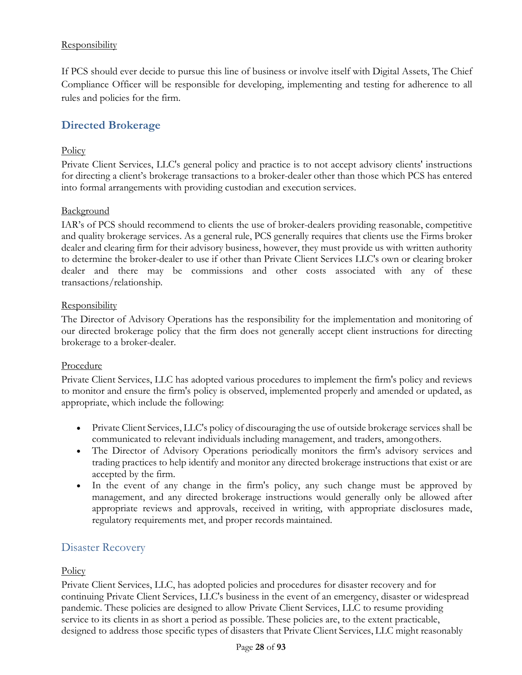# **Responsibility**

If PCS should ever decide to pursue this line of business or involve itself with Digital Assets, The Chief Compliance Officer will be responsible for developing, implementing and testing for adherence to all rules and policies for the firm.

# **Directed Brokerage**

## **Policy**

Private Client Services, LLC's general policy and practice is to not accept advisory clients' instructions for directing a client's brokerage transactions to a broker-dealer other than those which PCS has entered into formal arrangements with providing custodian and execution services.

## **Background**

IAR's of PCS should recommend to clients the use of broker-dealers providing reasonable, competitive and quality brokerage services. As a general rule, PCS generally requires that clients use the Firms broker dealer and clearing firm for their advisory business, however, they must provide us with written authority to determine the broker-dealer to use if other than Private Client Services LLC's own or clearing broker dealer and there may be commissions and other costs associated with any of these transactions/relationship.

## **Responsibility**

The Director of Advisory Operations has the responsibility for the implementation and monitoring of our directed brokerage policy that the firm does not generally accept client instructions for directing brokerage to a broker-dealer.

## Procedure

Private Client Services, LLC has adopted various procedures to implement the firm's policy and reviews to monitor and ensure the firm's policy is observed, implemented properly and amended or updated, as appropriate, which include the following:

- Private Client Services, LLC's policy of discouraging the use of outside brokerage services shall be communicated to relevant individuals including management, and traders, amongothers.
- The Director of Advisory Operations periodically monitors the firm's advisory services and trading practices to help identify and monitor any directed brokerage instructions that exist or are accepted by the firm.
- In the event of any change in the firm's policy, any such change must be approved by management, and any directed brokerage instructions would generally only be allowed after appropriate reviews and approvals, received in writing, with appropriate disclosures made, regulatory requirements met, and proper records maintained.

# Disaster Recovery

## **Policy**

Private Client Services, LLC, has adopted policies and procedures for disaster recovery and for continuing Private Client Services, LLC's business in the event of an emergency, disaster or widespread pandemic. These policies are designed to allow Private Client Services, LLC to resume providing service to its clients in as short a period as possible. These policies are, to the extent practicable, designed to address those specific types of disasters that Private Client Services, LLC might reasonably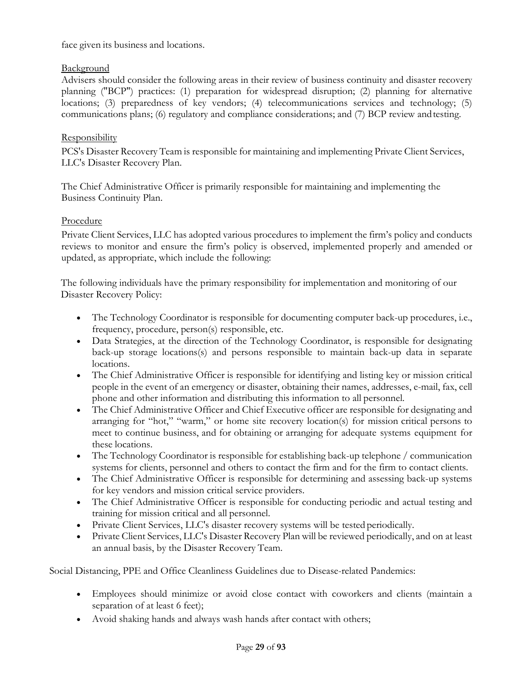face given its business and locations.

# Background

Advisers should consider the following areas in their review of business continuity and disaster recovery planning ("BCP") practices: (1) preparation for widespread disruption; (2) planning for alternative locations; (3) preparedness of key vendors; (4) telecommunications services and technology; (5) communications plans; (6) regulatory and compliance considerations; and (7) BCP review andtesting.

# **Responsibility**

PCS's Disaster Recovery Team is responsible for maintaining and implementing Private Client Services, LLC's Disaster Recovery Plan.

The Chief Administrative Officer is primarily responsible for maintaining and implementing the Business Continuity Plan.

## Procedure

Private Client Services, LLC has adopted various procedures to implement the firm's policy and conducts reviews to monitor and ensure the firm's policy is observed, implemented properly and amended or updated, as appropriate, which include the following:

The following individuals have the primary responsibility for implementation and monitoring of our Disaster Recovery Policy:

- The Technology Coordinator is responsible for documenting computer back-up procedures, i.e., frequency, procedure, person(s) responsible, etc.
- Data Strategies, at the direction of the Technology Coordinator, is responsible for designating back-up storage locations(s) and persons responsible to maintain back-up data in separate locations.
- The Chief Administrative Officer is responsible for identifying and listing key or mission critical people in the event of an emergency or disaster, obtaining their names, addresses, e-mail, fax, cell phone and other information and distributing this information to all personnel.
- The Chief Administrative Officer and Chief Executive officer are responsible for designating and arranging for "hot," "warm," or home site recovery location(s) for mission critical persons to meet to continue business, and for obtaining or arranging for adequate systems equipment for these locations.
- The Technology Coordinator is responsible for establishing back-up telephone / communication systems for clients, personnel and others to contact the firm and for the firm to contact clients.
- The Chief Administrative Officer is responsible for determining and assessing back-up systems for key vendors and mission critical service providers.
- The Chief Administrative Officer is responsible for conducting periodic and actual testing and training for mission critical and all personnel.
- Private Client Services, LLC's disaster recovery systems will be tested periodically.
- Private Client Services, LLC's Disaster Recovery Plan will be reviewed periodically, and on at least an annual basis, by the Disaster Recovery Team.

<span id="page-28-0"></span>Social Distancing, PPE and Office Cleanliness Guidelines due to Disease-related Pandemics:

- Employees should minimize or avoid close contact with coworkers and clients (maintain a separation of at least 6 feet);
- Avoid shaking hands and always wash hands after contact with others;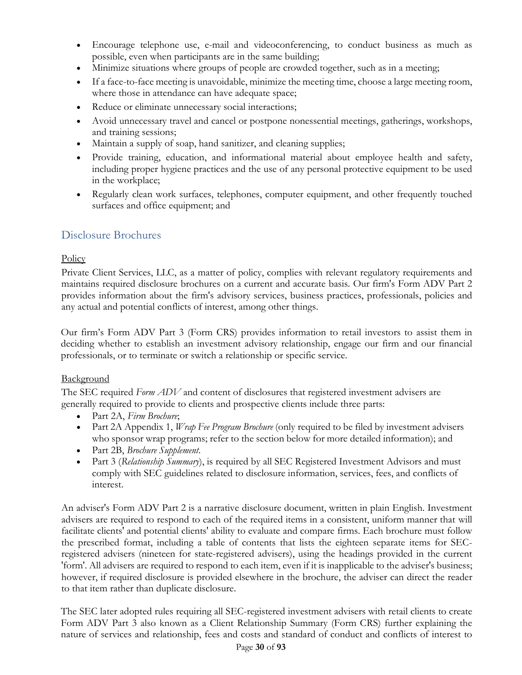- Encourage telephone use, e-mail and videoconferencing, to conduct business as much as possible, even when participants are in the same building;
- Minimize situations where groups of people are crowded together, such as in a meeting;
- If a face-to-face meeting is unavoidable, minimize the meeting time, choose a large meeting room, where those in attendance can have adequate space;
- Reduce or eliminate unnecessary social interactions;
- Avoid unnecessary travel and cancel or postpone nonessential meetings, gatherings, workshops, and training sessions;
- Maintain a supply of soap, hand sanitizer, and cleaning supplies;
- Provide training, education, and informational material about employee health and safety, including proper hygiene practices and the use of any personal protective equipment to be used in the workplace;
- Regularly clean work surfaces, telephones, computer equipment, and other frequently touched surfaces and office equipment; and

# Disclosure Brochures

# **Policy**

Private Client Services, LLC, as a matter of policy, complies with relevant regulatory requirements and maintains required disclosure brochures on a current and accurate basis. Our firm's Form ADV Part 2 provides information about the firm's advisory services, business practices, professionals, policies and any actual and potential conflicts of interest, among other things.

Our firm's Form ADV Part 3 (Form CRS) provides information to retail investors to assist them in deciding whether to establish an investment advisory relationship, engage our firm and our financial professionals, or to terminate or switch a relationship or specific service.

# **Background**

The SEC required *Form ADV* and content of disclosures that registered investment advisers are generally required to provide to clients and prospective clients include three parts:

- Part 2A, *Firm Brochure*;
- Part 2A Appendix 1, *Wrap Fee Program Brochure* (only required to be filed by investment advisers who sponsor wrap programs; refer to the section below for more detailed information); and
- Part 2B, *Brochure Supplement*.
- Part 3 (*Relationship Summary*), is required by all SEC Registered Investment Advisors and must comply with SEC guidelines related to disclosure information, services, fees, and conflicts of interest.

An adviser's Form ADV Part 2 is a narrative disclosure document, written in plain English. Investment advisers are required to respond to each of the required items in a consistent, uniform manner that will facilitate clients' and potential clients' ability to evaluate and compare firms. Each brochure must follow the prescribed format, including a table of contents that lists the eighteen separate items for SECregistered advisers (nineteen for state-registered advisers), using the headings provided in the current 'form'. All advisers are required to respond to each item, even if it is inapplicable to the adviser's business; however, if required disclosure is provided elsewhere in the brochure, the adviser can direct the reader to that item rather than duplicate disclosure.

The SEC later adopted rules requiring all SEC-registered investment advisers with retail clients to create Form ADV Part 3 also known as a Client Relationship Summary (Form CRS) further explaining the nature of services and relationship, fees and costs and standard of conduct and conflicts of interest to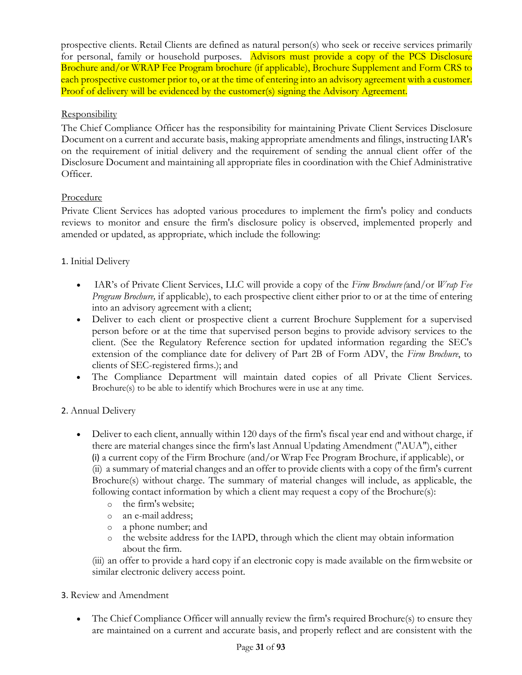prospective clients. Retail Clients are defined as natural person(s) who seek or receive services primarily for personal, family or household purposes. Advisors must provide a copy of the PCS Disclosure Brochure and/or WRAP Fee Program brochure (if applicable), Brochure Supplement and Form CRS to each prospective customer prior to, or at the time of entering into an advisory agreement with a customer. Proof of delivery will be evidenced by the customer(s) signing the Advisory Agreement.

## Responsibility

The Chief Compliance Officer has the responsibility for maintaining Private Client Services Disclosure Document on a current and accurate basis, making appropriate amendments and filings, instructing IAR's on the requirement of initial delivery and the requirement of sending the annual client offer of the Disclosure Document and maintaining all appropriate files in coordination with the Chief Administrative Officer.

# Procedure

Private Client Services has adopted various procedures to implement the firm's policy and conducts reviews to monitor and ensure the firm's disclosure policy is observed, implemented properly and amended or updated, as appropriate, which include the following:

# 1. Initial Delivery

- IAR's of Private Client Services, LLC will provide a copy of the *Firm Brochure(*and/or *Wrap Fee Program Brochure,* if applicable), to each prospective client either prior to or at the time of entering into an advisory agreement with a client;
- Deliver to each client or prospective client a current Brochure Supplement for a supervised person before or at the time that supervised person begins to provide advisory services to the client. (See the Regulatory Reference section for updated information regarding the SEC's extension of the compliance date for delivery of Part 2B of Form ADV, the *Firm Brochure*, to clients of SEC-registered firms.); and
- The Compliance Department will maintain dated copies of all Private Client Services. Brochure(s) to be able to identify which Brochures were in use at any time.

## 2. Annual Delivery

- Deliver to each client, annually within 120 days of the firm's fiscal year end and without charge, if there are material changes since the firm's last Annual Updating Amendment ("AUA"), either (i) a current copy of the Firm Brochure (and/or Wrap Fee Program Brochure, if applicable), or (ii) a summary of material changes and an offer to provide clients with a copy of the firm's current Brochure(s) without charge. The summary of material changes will include, as applicable, the following contact information by which a client may request a copy of the Brochure(s):
	- o the firm's website;
	- o an e-mail address;
	- o a phone number; and
	- o the website address for the IAPD, through which the client may obtain information about the firm.

(iii) an offer to provide a hard copy if an electronic copy is made available on the firmwebsite or similar electronic delivery access point.

## 3. Review and Amendment

• The Chief Compliance Officer will annually review the firm's required Brochure(s) to ensure they are maintained on a current and accurate basis, and properly reflect and are consistent with the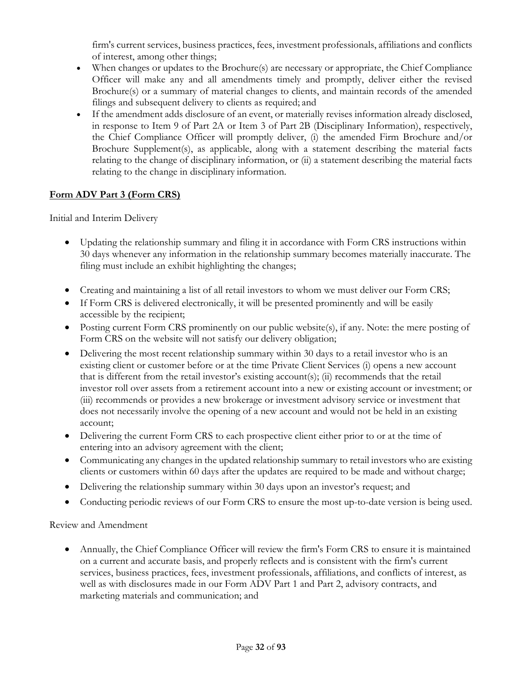firm's current services, business practices, fees, investment professionals, affiliations and conflicts of interest, among other things;

- When changes or updates to the Brochure(s) are necessary or appropriate, the Chief Compliance Officer will make any and all amendments timely and promptly, deliver either the revised Brochure(s) or a summary of material changes to clients, and maintain records of the amended filings and subsequent delivery to clients as required; and
- If the amendment adds disclosure of an event, or materially revises information already disclosed, in response to Item 9 of Part 2A or Item 3 of Part 2B (Disciplinary Information), respectively, the Chief Compliance Officer will promptly deliver, (i) the amended Firm Brochure and/or Brochure Supplement(s), as applicable, along with a statement describing the material facts relating to the change of disciplinary information, or (ii) a statement describing the material facts relating to the change in disciplinary information.

# **Form ADV Part 3 (Form CRS)**

Initial and Interim Delivery

- Updating the relationship summary and filing it in accordance with Form CRS instructions within 30 days whenever any information in the relationship summary becomes materially inaccurate. The filing must include an exhibit highlighting the changes;
- Creating and maintaining a list of all retail investors to whom we must deliver our Form CRS;
- If Form CRS is delivered electronically, it will be presented prominently and will be easily accessible by the recipient;
- Posting current Form CRS prominently on our public website(s), if any. Note: the mere posting of Form CRS on the website will not satisfy our delivery obligation;
- Delivering the most recent relationship summary within 30 days to a retail investor who is an existing client or customer before or at the time Private Client Services (i) opens a new account that is different from the retail investor's existing account(s); (ii) recommends that the retail investor roll over assets from a retirement account into a new or existing account or investment; or (iii) recommends or provides a new brokerage or investment advisory service or investment that does not necessarily involve the opening of a new account and would not be held in an existing account;
- Delivering the current Form CRS to each prospective client either prior to or at the time of entering into an advisory agreement with the client;
- Communicating any changes in the updated relationship summary to retail investors who are existing clients or customers within 60 days after the updates are required to be made and without charge;
- Delivering the relationship summary within 30 days upon an investor's request; and
- Conducting periodic reviews of our Form CRS to ensure the most up-to-date version is being used.

Review and Amendment

• Annually, the Chief Compliance Officer will review the firm's Form CRS to ensure it is maintained on a current and accurate basis, and properly reflects and is consistent with the firm's current services, business practices, fees, investment professionals, affiliations, and conflicts of interest, as well as with disclosures made in our Form ADV Part 1 and Part 2, advisory contracts, and marketing materials and communication; and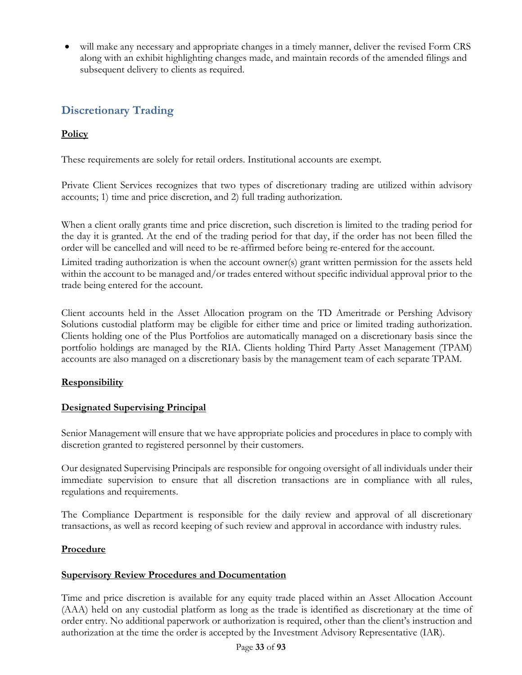• will make any necessary and appropriate changes in a timely manner, deliver the revised Form CRS along with an exhibit highlighting changes made, and maintain records of the amended filings and subsequent delivery to clients as required.

# **Discretionary Trading**

# **Policy**

These requirements are solely for retail orders. Institutional accounts are exempt.

Private Client Services recognizes that two types of discretionary trading are utilized within advisory accounts; 1) time and price discretion, and 2) full trading authorization.

When a client orally grants time and price discretion, such discretion is limited to the trading period for the day it is granted. At the end of the trading period for that day, if the order has not been filled the order will be cancelled and will need to be re-affirmed before being re-entered for the account.

Limited trading authorization is when the account owner(s) grant written permission for the assets held within the account to be managed and/or trades entered without specific individual approval prior to the trade being entered for the account.

Client accounts held in the Asset Allocation program on the TD Ameritrade or Pershing Advisory Solutions custodial platform may be eligible for either time and price or limited trading authorization. Clients holding one of the Plus Portfolios are automatically managed on a discretionary basis since the portfolio holdings are managed by the RIA. Clients holding Third Party Asset Management (TPAM) accounts are also managed on a discretionary basis by the management team of each separate TPAM.

# **Responsibility**

# **Designated Supervising Principal**

Senior Management will ensure that we have appropriate policies and procedures in place to comply with discretion granted to registered personnel by their customers.

Our designated Supervising Principals are responsible for ongoing oversight of all individuals under their immediate supervision to ensure that all discretion transactions are in compliance with all rules, regulations and requirements.

The Compliance Department is responsible for the daily review and approval of all discretionary transactions, as well as record keeping of such review and approval in accordance with industry rules.

## **Procedure**

## **Supervisory Review Procedures and Documentation**

Time and price discretion is available for any equity trade placed within an Asset Allocation Account (AAA) held on any custodial platform as long as the trade is identified as discretionary at the time of order entry. No additional paperwork or authorization is required, other than the client's instruction and authorization at the time the order is accepted by the Investment Advisory Representative (IAR).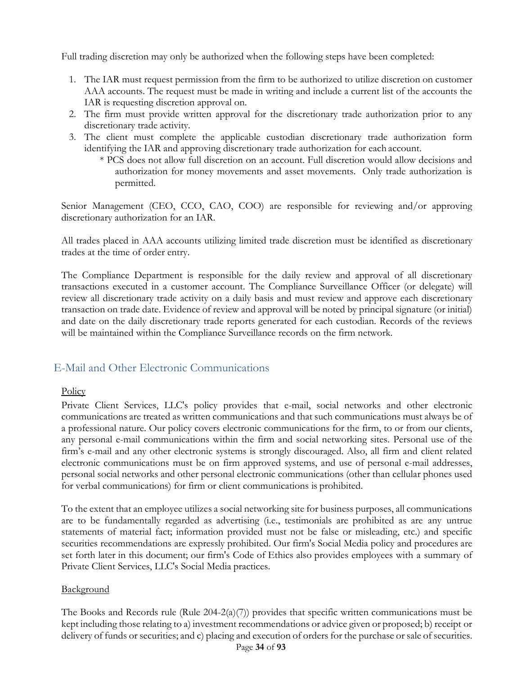Full trading discretion may only be authorized when the following steps have been completed:

- 1. The IAR must request permission from the firm to be authorized to utilize discretion on customer AAA accounts. The request must be made in writing and include a current list of the accounts the IAR is requesting discretion approval on.
- 2. The firm must provide written approval for the discretionary trade authorization prior to any discretionary trade activity.
- 3. The client must complete the applicable custodian discretionary trade authorization form identifying the IAR and approving discretionary trade authorization for each account.
	- \* PCS does not allow full discretion on an account. Full discretion would allow decisions and authorization for money movements and asset movements. Only trade authorization is permitted.

Senior Management (CEO, CCO, CAO, COO) are responsible for reviewing and/or approving discretionary authorization for an IAR.

All trades placed in AAA accounts utilizing limited trade discretion must be identified as discretionary trades at the time of order entry.

The Compliance Department is responsible for the daily review and approval of all discretionary transactions executed in a customer account. The Compliance Surveillance Officer (or delegate) will review all discretionary trade activity on a daily basis and must review and approve each discretionary transaction on trade date. Evidence of review and approval will be noted by principal signature (or initial) and date on the daily discretionary trade reports generated for each custodian. Records of the reviews will be maintained within the Compliance Surveillance records on the firm network.

# <span id="page-33-0"></span>E-Mail and Other Electronic Communications

#### **Policy**

Private Client Services, LLC's policy provides that e-mail, social networks and other electronic communications are treated as written communications and that such communications must always be of a professional nature. Our policy covers electronic communications for the firm, to or from our clients, any personal e-mail communications within the firm and social networking sites. Personal use of the firm's e-mail and any other electronic systems is strongly discouraged. Also, all firm and client related electronic communications must be on firm approved systems, and use of personal e-mail addresses, personal social networks and other personal electronic communications (other than cellular phones used for verbal communications) for firm or client communications is prohibited.

To the extent that an employee utilizes a social networking site for business purposes, all communications are to be fundamentally regarded as advertising (i.e., testimonials are prohibited as are any untrue statements of material fact; information provided must not be false or misleading, etc.) and specific securities recommendations are expressly prohibited. Our firm's Social Media policy and procedures are set forth later in this document; our firm's Code of Ethics also provides employees with a summary of Private Client Services, LLC's Social Media practices.

#### **Background**

The Books and Records rule (Rule  $204-2(a)(7)$ ) provides that specific written communications must be kept including those relating to a) investment recommendations or advice given or proposed; b) receipt or delivery of funds or securities; and c) placing and execution of orders for the purchase or sale of securities.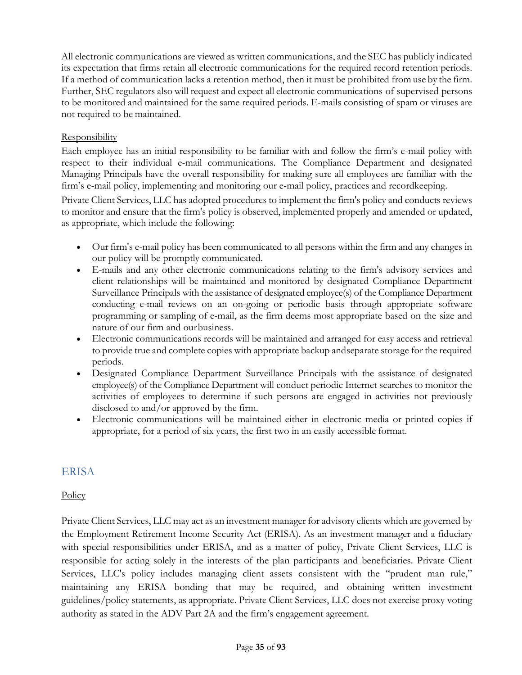All electronic communications are viewed as written communications, and the SEC has publicly indicated its expectation that firms retain all electronic communications for the required record retention periods. If a method of communication lacks a retention method, then it must be prohibited from use by the firm. Further, SEC regulators also will request and expect all electronic communications of supervised persons to be monitored and maintained for the same required periods. E-mails consisting of spam or viruses are not required to be maintained.

### Responsibility

Each employee has an initial responsibility to be familiar with and follow the firm's e-mail policy with respect to their individual e-mail communications. The Compliance Department and designated Managing Principals have the overall responsibility for making sure all employees are familiar with the firm's e-mail policy, implementing and monitoring our e-mail policy, practices and recordkeeping.

Private Client Services, LLC has adopted procedures to implement the firm's policy and conducts reviews to monitor and ensure that the firm's policy is observed, implemented properly and amended or updated, as appropriate, which include the following:

- Our firm's e-mail policy has been communicated to all persons within the firm and any changes in our policy will be promptly communicated.
- E-mails and any other electronic communications relating to the firm's advisory services and client relationships will be maintained and monitored by designated Compliance Department Surveillance Principals with the assistance of designated employee(s) of the Compliance Department conducting e-mail reviews on an on-going or periodic basis through appropriate software programming or sampling of e-mail, as the firm deems most appropriate based on the size and nature of our firm and ourbusiness.
- Electronic communications records will be maintained and arranged for easy access and retrieval to provide true and complete copies with appropriate backup andseparate storage for the required periods.
- Designated Compliance Department Surveillance Principals with the assistance of designated employee(s) of the Compliance Department will conduct periodic Internet searches to monitor the activities of employees to determine if such persons are engaged in activities not previously disclosed to and/or approved by the firm.
- Electronic communications will be maintained either in electronic media or printed copies if appropriate, for a period of six years, the first two in an easily accessible format.

# <span id="page-34-0"></span>ERISA

## **Policy**

Private Client Services, LLC may act as an investment manager for advisory clients which are governed by the Employment Retirement Income Security Act (ERISA). As an investment manager and a fiduciary with special responsibilities under ERISA, and as a matter of policy, Private Client Services, LLC is responsible for acting solely in the interests of the plan participants and beneficiaries. Private Client Services, LLC's policy includes managing client assets consistent with the "prudent man rule," maintaining any ERISA bonding that may be required, and obtaining written investment guidelines/policy statements, as appropriate. Private Client Services, LLC does not exercise proxy voting authority as stated in the ADV Part 2A and the firm's engagement agreement.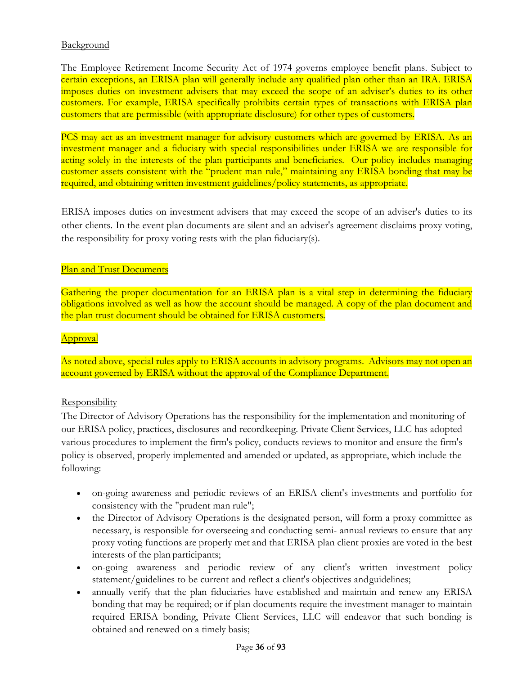### **Background**

The Employee Retirement Income Security Act of 1974 governs employee benefit plans. Subject to certain exceptions, an ERISA plan will generally include any qualified plan other than an IRA. ERISA imposes duties on investment advisers that may exceed the scope of an adviser's duties to its other customers. For example, ERISA specifically prohibits certain types of transactions with ERISA plan customers that are permissible (with appropriate disclosure) for other types of customers.

PCS may act as an investment manager for advisory customers which are governed by ERISA. As an investment manager and a fiduciary with special responsibilities under ERISA we are responsible for acting solely in the interests of the plan participants and beneficiaries. Our policy includes managing customer assets consistent with the "prudent man rule," maintaining any ERISA bonding that may be required, and obtaining written investment guidelines/policy statements, as appropriate.

ERISA imposes duties on investment advisers that may exceed the scope of an adviser's duties to its other clients. In the event plan documents are silent and an adviser's agreement disclaims proxy voting, the responsibility for proxy voting rests with the plan fiduciary(s).

### Plan and Trust Documents

Gathering the proper documentation for an ERISA plan is a vital step in determining the fiduciary obligations involved as well as how the account should be managed. A copy of the plan document and the plan trust document should be obtained for ERISA customers.

#### Approval

As noted above, special rules apply to ERISA accounts in advisory programs. Advisors may not open an account governed by ERISA without the approval of the Compliance Department.

#### **Responsibility**

The Director of Advisory Operations has the responsibility for the implementation and monitoring of our ERISA policy, practices, disclosures and recordkeeping. Private Client Services, LLC has adopted various procedures to implement the firm's policy, conducts reviews to monitor and ensure the firm's policy is observed, properly implemented and amended or updated, as appropriate, which include the following:

- on-going awareness and periodic reviews of an ERISA client's investments and portfolio for consistency with the "prudent man rule";
- the Director of Advisory Operations is the designated person, will form a proxy committee as necessary, is responsible for overseeing and conducting semi- annual reviews to ensure that any proxy voting functions are properly met and that ERISA plan client proxies are voted in the best interests of the plan participants;
- on-going awareness and periodic review of any client's written investment policy statement/guidelines to be current and reflect a client's objectives andguidelines;
- annually verify that the plan fiduciaries have established and maintain and renew any ERISA bonding that may be required; or if plan documents require the investment manager to maintain required ERISA bonding, Private Client Services, LLC will endeavor that such bonding is obtained and renewed on a timely basis;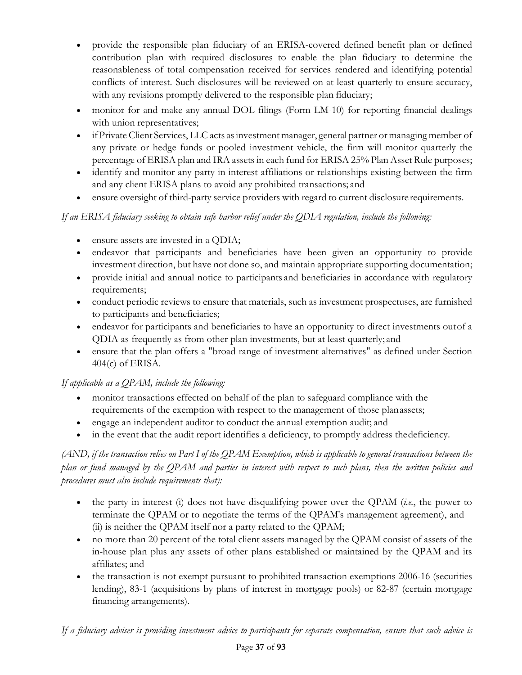- provide the responsible plan fiduciary of an ERISA-covered defined benefit plan or defined contribution plan with required disclosures to enable the plan fiduciary to determine the reasonableness of total compensation received for services rendered and identifying potential conflicts of interest. Such disclosures will be reviewed on at least quarterly to ensure accuracy, with any revisions promptly delivered to the responsible plan fiduciary;
- monitor for and make any annual DOL filings (Form LM-10) for reporting financial dealings with union representatives;
- if Private Client Services, LLC acts as investment manager, general partner or managing member of any private or hedge funds or pooled investment vehicle, the firm will monitor quarterly the percentage of ERISA plan and IRA assets in each fund for ERISA 25% Plan Asset Rule purposes;
- identify and monitor any party in interest affiliations or relationships existing between the firm and any client ERISA plans to avoid any prohibited transactions; and
- ensure oversight of third-party service providers with regard to current disclosure requirements.

# *If an ERISA fiduciary seeking to obtain safe harbor relief under the QDIA regulation, include the following:*

- ensure assets are invested in a QDIA;
- endeavor that participants and beneficiaries have been given an opportunity to provide investment direction, but have not done so, and maintain appropriate supporting documentation;
- provide initial and annual notice to participants and beneficiaries in accordance with regulatory requirements;
- conduct periodic reviews to ensure that materials, such as investment prospectuses, are furnished to participants and beneficiaries;
- endeavor for participants and beneficiaries to have an opportunity to direct investments outof a QDIA as frequently as from other plan investments, but at least quarterly; and
- ensure that the plan offers a "broad range of investment alternatives" as defined under Section 404(c) of ERISA.

# *If applicable as a QPAM, include the following:*

- monitor transactions effected on behalf of the plan to safeguard compliance with the requirements of the exemption with respect to the management of those planassets;
- engage an independent auditor to conduct the annual exemption audit; and
- in the event that the audit report identifies a deficiency, to promptly address the deficiency.

# (AND, if the transaction relies on Part I of the OPAM Exemption, which is applicable to general transactions between the *plan or fund managed by the QPAM and parties in interest with respect to such plans, then the written policies and procedures must also include requirements that):*

- the party in interest (i) does not have disqualifying power over the QPAM (*i.e.*, the power to terminate the QPAM or to negotiate the terms of the QPAM's management agreement), and (ii) is neither the QPAM itself nor a party related to the QPAM;
- no more than 20 percent of the total client assets managed by the QPAM consist of assets of the in-house plan plus any assets of other plans established or maintained by the QPAM and its affiliates; and
- the transaction is not exempt pursuant to prohibited transaction exemptions 2006-16 (securities lending), 83-1 (acquisitions by plans of interest in mortgage pools) or 82-87 (certain mortgage financing arrangements).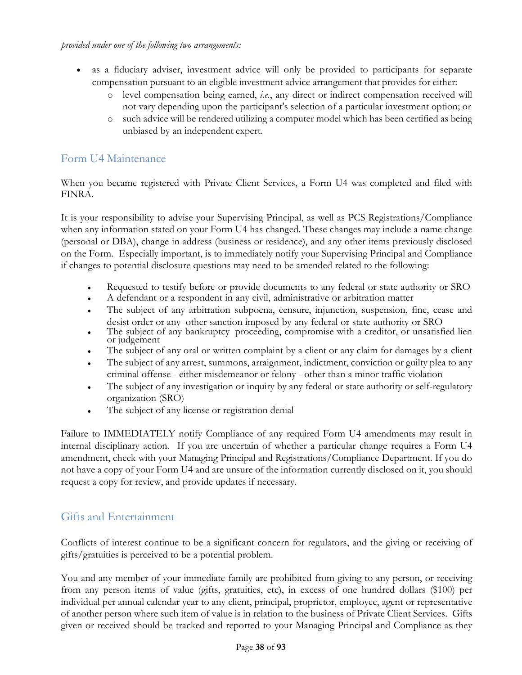- as a fiduciary adviser, investment advice will only be provided to participants for separate compensation pursuant to an eligible investment advice arrangement that provides for either:
	- o level compensation being earned, *i.e.*, any direct or indirect compensation received will not vary depending upon the participant's selection of a particular investment option; or
	- o such advice will be rendered utilizing a computer model which has been certified as being unbiased by an independent expert.

# Form U4 Maintenance

When you became registered with Private Client Services, a Form U4 was completed and filed with FINRA.

It is your responsibility to advise your Supervising Principal, as well as PCS Registrations/Compliance when any information stated on your Form U4 has changed. These changes may include a name change (personal or DBA), change in address (business or residence), and any other items previously disclosed on the Form. Especially important, is to immediately notify your Supervising Principal and Compliance if changes to potential disclosure questions may need to be amended related to the following:

- Requested to testify before or provide documents to any federal or state authority or SRO
- A defendant or a respondent in any civil, administrative or arbitration matter
- The subject of any arbitration subpoena, censure, injunction, suspension, fine, cease and desist order or any other sanction imposed by any federal or state authority or SRO
- The subject of any bankruptcy proceeding, compromise with a creditor, or unsatisfied lien or judgement
- The subject of any oral or written complaint by a client or any claim for damages by a client
- The subject of any arrest, summons, arraignment, indictment, conviction or guilty plea to any criminal offense - either misdemeanor or felony - other than a minor traffic violation
- The subject of any investigation or inquiry by any federal or state authority or self-regulatory organization (SRO)
- The subject of any license or registration denial

Failure to IMMEDIATELY notify Compliance of any required Form U4 amendments may result in internal disciplinary action. If you are uncertain of whether a particular change requires a Form U4 amendment, check with your Managing Principal and Registrations/Compliance Department. If you do not have a copy of your Form U4 and are unsure of the information currently disclosed on it, you should request a copy for review, and provide updates if necessary.

# Gifts and Entertainment

Conflicts of interest continue to be a significant concern for regulators, and the giving or receiving of gifts/gratuities is perceived to be a potential problem.

You and any member of your immediate family are prohibited from giving to any person, or receiving from any person items of value (gifts, gratuities, etc), in excess of one hundred dollars (\$100) per individual per annual calendar year to any client, principal, proprietor, employee, agent or representative of another person where such item of value is in relation to the business of Private Client Services. Gifts given or received should be tracked and reported to your Managing Principal and Compliance as they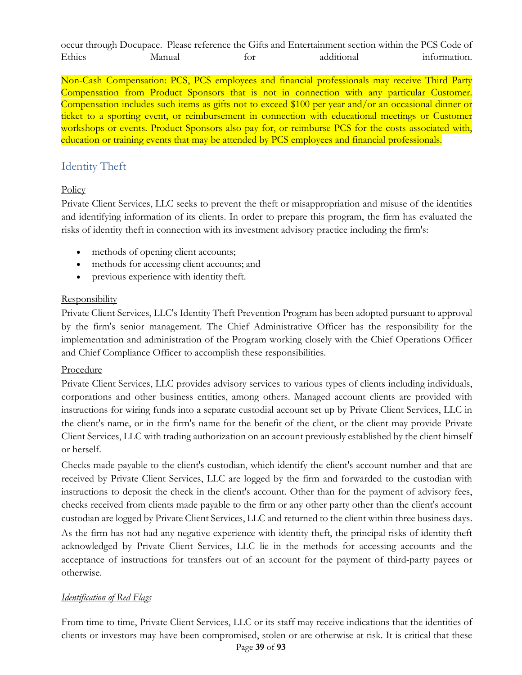occur through Docupace. Please reference the Gifts and Entertainment section within the PCS Code of Ethics Manual for additional information.

Non-Cash Compensation: PCS, PCS employees and financial professionals may receive Third Party Compensation from Product Sponsors that is not in connection with any particular Customer. Compensation includes such items as gifts not to exceed \$100 per year and/or an occasional dinner or ticket to a sporting event, or reimbursement in connection with educational meetings or Customer workshops or events. Product Sponsors also pay for, or reimburse PCS for the costs associated with, education or training events that may be attended by PCS employees and financial professionals.

# Identity Theft

# **Policy**

Private Client Services, LLC seeks to prevent the theft or misappropriation and misuse of the identities and identifying information of its clients. In order to prepare this program, the firm has evaluated the risks of identity theft in connection with its investment advisory practice including the firm's:

- methods of opening client accounts;
- methods for accessing client accounts; and
- previous experience with identity theft.

# **Responsibility**

Private Client Services, LLC's Identity Theft Prevention Program has been adopted pursuant to approval by the firm's senior management. The Chief Administrative Officer has the responsibility for the implementation and administration of the Program working closely with the Chief Operations Officer and Chief Compliance Officer to accomplish these responsibilities.

# Procedure

Private Client Services, LLC provides advisory services to various types of clients including individuals, corporations and other business entities, among others. Managed account clients are provided with instructions for wiring funds into a separate custodial account set up by Private Client Services, LLC in the client's name, or in the firm's name for the benefit of the client, or the client may provide Private Client Services, LLC with trading authorization on an account previously established by the client himself or herself.

Checks made payable to the client's custodian, which identify the client's account number and that are received by Private Client Services, LLC are logged by the firm and forwarded to the custodian with instructions to deposit the check in the client's account. Other than for the payment of advisory fees, checks received from clients made payable to the firm or any other party other than the client's account custodian are logged by Private Client Services, LLC and returned to the client within three business days.

As the firm has not had any negative experience with identity theft, the principal risks of identity theft acknowledged by Private Client Services, LLC lie in the methods for accessing accounts and the acceptance of instructions for transfers out of an account for the payment of third-party payees or otherwise.

# *Identification of Red Flags*

Page **39** of **93** From time to time, Private Client Services, LLC or its staff may receive indications that the identities of clients or investors may have been compromised, stolen or are otherwise at risk. It is critical that these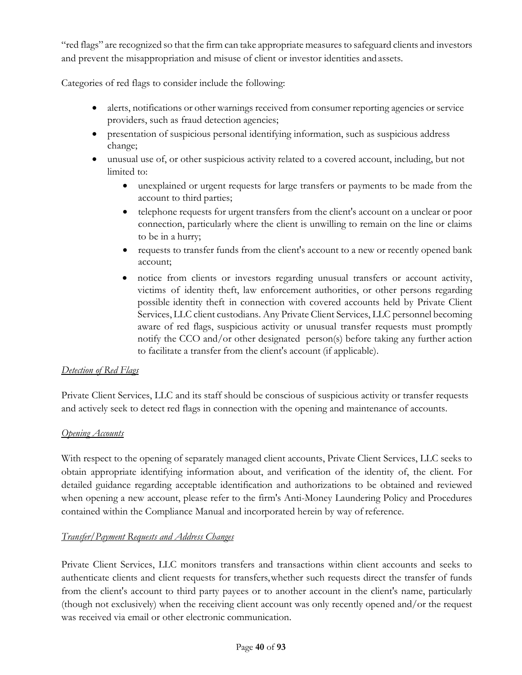"red flags" are recognized so that the firm can take appropriate measuresto safeguard clients and investors and prevent the misappropriation and misuse of client or investor identities and assets.

Categories of red flags to consider include the following:

- alerts, notifications or other warnings received from consumer reporting agencies or service providers, such as fraud detection agencies;
- presentation of suspicious personal identifying information, such as suspicious address change;
- unusual use of, or other suspicious activity related to a covered account, including, but not limited to:
	- unexplained or urgent requests for large transfers or payments to be made from the account to third parties;
	- telephone requests for urgent transfers from the client's account on a unclear or poor connection, particularly where the client is unwilling to remain on the line or claims to be in a hurry;
	- requests to transfer funds from the client's account to a new or recently opened bank account;
	- notice from clients or investors regarding unusual transfers or account activity, victims of identity theft, law enforcement authorities, or other persons regarding possible identity theft in connection with covered accounts held by Private Client Services, LLC client custodians. Any Private Client Services, LLC personnel becoming aware of red flags, suspicious activity or unusual transfer requests must promptly notify the CCO and/or other designated person(s) before taking any further action to facilitate a transfer from the client's account (if applicable).

# *Detection of Red Flags*

Private Client Services, LLC and its staff should be conscious of suspicious activity or transfer requests and actively seek to detect red flags in connection with the opening and maintenance of accounts.

# *Opening Accounts*

With respect to the opening of separately managed client accounts, Private Client Services, LLC seeks to obtain appropriate identifying information about, and verification of the identity of, the client. For detailed guidance regarding acceptable identification and authorizations to be obtained and reviewed when opening a new account, please refer to the firm's Anti-Money Laundering Policy and Procedures contained within the Compliance Manual and incorporated herein by way of reference.

# *Transfer/Payment Requests and Address Changes*

Private Client Services, LLC monitors transfers and transactions within client accounts and seeks to authenticate clients and client requests for transfers,whether such requests direct the transfer of funds from the client's account to third party payees or to another account in the client's name, particularly (though not exclusively) when the receiving client account was only recently opened and/or the request was received via email or other electronic communication.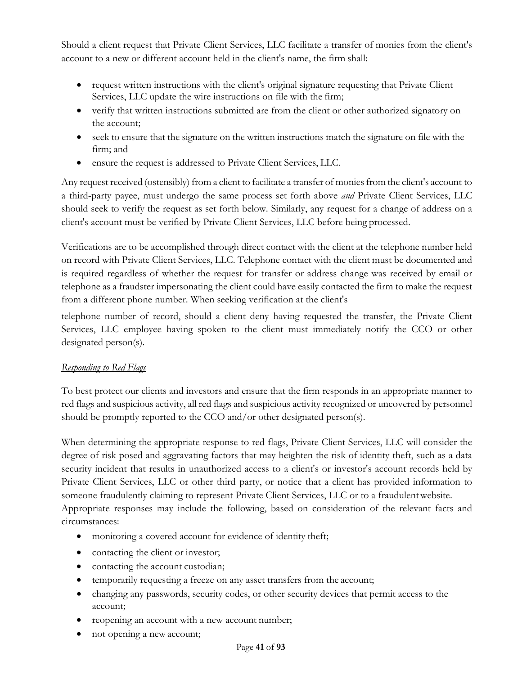Should a client request that Private Client Services, LLC facilitate a transfer of monies from the client's account to a new or different account held in the client's name, the firm shall:

- request written instructions with the client's original signature requesting that Private Client Services, LLC update the wire instructions on file with the firm;
- verify that written instructions submitted are from the client or other authorized signatory on the account;
- seek to ensure that the signature on the written instructions match the signature on file with the firm; and
- ensure the request is addressed to Private Client Services, LLC.

Any request received (ostensibly) from a client to facilitate a transfer of monies from the client's account to a third-party payee, must undergo the same process set forth above *and* Private Client Services, LLC should seek to verify the request as set forth below. Similarly, any request for a change of address on a client's account must be verified by Private Client Services, LLC before being processed.

Verifications are to be accomplished through direct contact with the client at the telephone number held on record with Private Client Services, LLC. Telephone contact with the client must be documented and is required regardless of whether the request for transfer or address change was received by email or telephone as a fraudster impersonating the client could have easily contacted the firm to make the request from a different phone number. When seeking verification at the client's

telephone number of record, should a client deny having requested the transfer, the Private Client Services, LLC employee having spoken to the client must immediately notify the CCO or other designated person(s).

# *Responding to Red Flags*

To best protect our clients and investors and ensure that the firm responds in an appropriate manner to red flags and suspicious activity, all red flags and suspicious activity recognized or uncovered by personnel should be promptly reported to the CCO and/or other designated person(s).

When determining the appropriate response to red flags, Private Client Services, LLC will consider the degree of risk posed and aggravating factors that may heighten the risk of identity theft, such as a data security incident that results in unauthorized access to a client's or investor's account records held by Private Client Services, LLC or other third party, or notice that a client has provided information to someone fraudulently claiming to represent Private Client Services, LLC or to a fraudulentwebsite. Appropriate responses may include the following, based on consideration of the relevant facts and circumstances:

- monitoring a covered account for evidence of identity theft;
- contacting the client or investor;
- contacting the account custodian;
- temporarily requesting a freeze on any asset transfers from the account;
- changing any passwords, security codes, or other security devices that permit access to the account;
- reopening an account with a new account number;
- not opening a new account;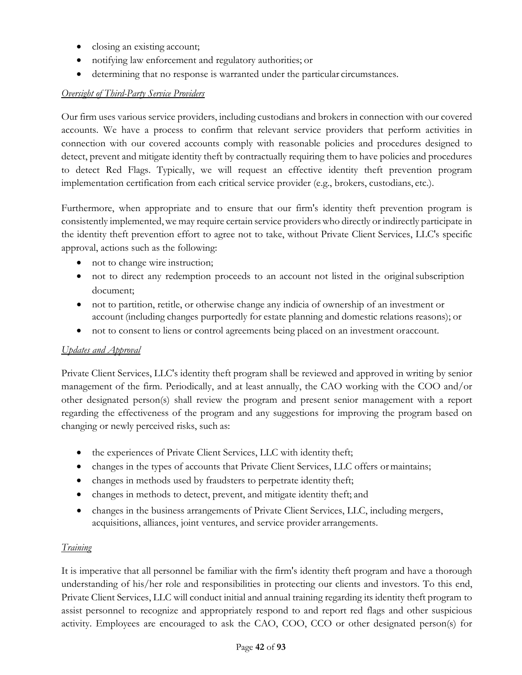- closing an existing account;
- notifying law enforcement and regulatory authorities; or
- determining that no response is warranted under the particular circumstances.

# *Oversight of Third-Party Service Providers*

Our firm uses various service providers, including custodians and brokers in connection with our covered accounts. We have a process to confirm that relevant service providers that perform activities in connection with our covered accounts comply with reasonable policies and procedures designed to detect, prevent and mitigate identity theft by contractually requiring them to have policies and procedures to detect Red Flags. Typically, we will request an effective identity theft prevention program implementation certification from each critical service provider (e.g., brokers, custodians, etc.).

Furthermore, when appropriate and to ensure that our firm's identity theft prevention program is consistently implemented,we may require certain service providerswho directly or indirectly participate in the identity theft prevention effort to agree not to take, without Private Client Services, LLC's specific approval, actions such as the following:

- not to change wire instruction;
- not to direct any redemption proceeds to an account not listed in the original subscription document;
- not to partition, retitle, or otherwise change any indicia of ownership of an investment or account (including changes purportedly for estate planning and domestic relations reasons); or
- not to consent to liens or control agreements being placed on an investment or account.

# *Updates and Approval*

Private Client Services, LLC's identity theft program shall be reviewed and approved in writing by senior management of the firm. Periodically, and at least annually, the CAO working with the COO and/or other designated person(s) shall review the program and present senior management with a report regarding the effectiveness of the program and any suggestions for improving the program based on changing or newly perceived risks, such as:

- the experiences of Private Client Services, LLC with identity theft;
- changes in the types of accounts that Private Client Services, LLC offers or maintains;
- changes in methods used by fraudsters to perpetrate identity theft;
- changes in methods to detect, prevent, and mitigate identity theft; and
- changes in the business arrangements of Private Client Services, LLC, including mergers, acquisitions, alliances, joint ventures, and service provider arrangements.

# *Training*

It is imperative that all personnel be familiar with the firm's identity theft program and have a thorough understanding of his/her role and responsibilities in protecting our clients and investors. To this end, Private Client Services, LLC will conduct initial and annual training regarding its identity theft program to assist personnel to recognize and appropriately respond to and report red flags and other suspicious activity. Employees are encouraged to ask the CAO, COO, CCO or other designated person(s) for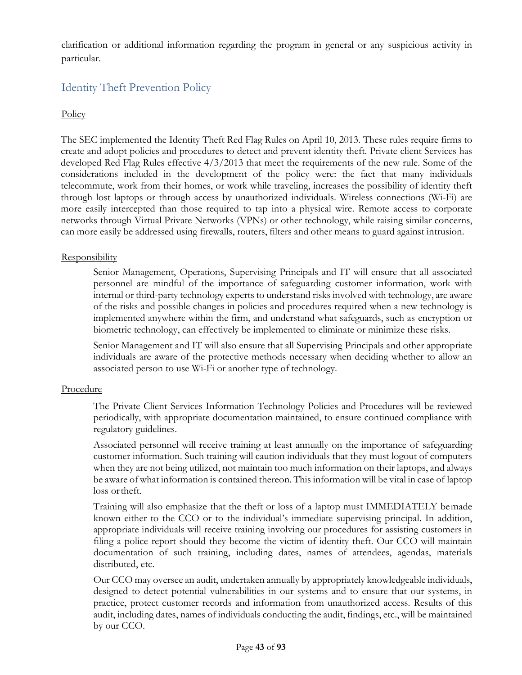clarification or additional information regarding the program in general or any suspicious activity in particular.

# Identity Theft Prevention Policy

# **Policy**

The SEC implemented the Identity Theft Red Flag Rules on April 10, 2013. These rules require firms to create and adopt policies and procedures to detect and prevent identity theft. Private client Services has developed Red Flag Rules effective 4/3/2013 that meet the requirements of the new rule. Some of the considerations included in the development of the policy were: the fact that many individuals telecommute, work from their homes, or work while traveling, increases the possibility of identity theft through lost laptops or through access by unauthorized individuals. Wireless connections (Wi-Fi) are more easily intercepted than those required to tap into a physical wire. Remote access to corporate networks through Virtual Private Networks (VPNs) or other technology, while raising similar concerns, can more easily be addressed using firewalls, routers, filters and other means to guard against intrusion.

#### **Responsibility**

Senior Management, Operations, Supervising Principals and IT will ensure that all associated personnel are mindful of the importance of safeguarding customer information, work with internal or third-party technology experts to understand risks involved with technology, are aware of the risks and possible changes in policies and procedures required when a new technology is implemented anywhere within the firm, and understand what safeguards, such as encryption or biometric technology, can effectively be implemented to eliminate or minimize these risks.

Senior Management and IT will also ensure that all Supervising Principals and other appropriate individuals are aware of the protective methods necessary when deciding whether to allow an associated person to use Wi-Fi or another type of technology.

#### Procedure

The Private Client Services Information Technology Policies and Procedures will be reviewed periodically, with appropriate documentation maintained, to ensure continued compliance with regulatory guidelines.

Associated personnel will receive training at least annually on the importance of safeguarding customer information. Such training will caution individuals that they must logout of computers when they are not being utilized, not maintain too much information on their laptops, and always be aware of what information is contained thereon. This information will be vital in case of laptop loss ortheft.

Training will also emphasize that the theft or loss of a laptop must IMMEDIATELY bemade known either to the CCO or to the individual's immediate supervising principal. In addition, appropriate individuals will receive training involving our procedures for assisting customers in filing a police report should they become the victim of identity theft. Our CCO will maintain documentation of such training, including dates, names of attendees, agendas, materials distributed, etc.

Our CCO may oversee an audit, undertaken annually by appropriately knowledgeable individuals, designed to detect potential vulnerabilities in our systems and to ensure that our systems, in practice, protect customer records and information from unauthorized access. Results of this audit, including dates, names of individuals conducting the audit, findings, etc., will be maintained by our CCO.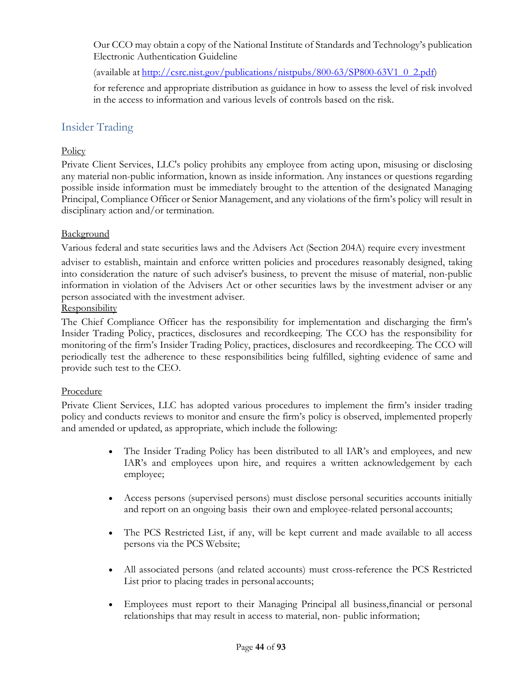Our CCO may obtain a copy of the National Institute of Standards and Technology's publication Electronic Authentication Guideline

(available a[t http://csrc.nist.gov/publications/nistpubs/800-63/SP800-63V1\\_0\\_2.pdf\)](http://csrc.nist.gov/publications/nistpubs/800-63/SP800-63V1_0_2.pdf)

for reference and appropriate distribution as guidance in how to assess the level of risk involved in the access to information and various levels of controls based on the risk.

# Insider Trading

### **Policy**

Private Client Services, LLC's policy prohibits any employee from acting upon, misusing or disclosing any material non-public information, known as inside information. Any instances or questions regarding possible inside information must be immediately brought to the attention of the designated Managing Principal, Compliance Officer or Senior Management, and any violations of the firm's policy will result in disciplinary action and/or termination.

#### Background

Various federal and state securities laws and the Advisers Act (Section 204A) require every investment

adviser to establish, maintain and enforce written policies and procedures reasonably designed, taking into consideration the nature of such adviser's business, to prevent the misuse of material, non-public information in violation of the Advisers Act or other securities laws by the investment adviser or any person associated with the investment adviser.

**Responsibility** 

The Chief Compliance Officer has the responsibility for implementation and discharging the firm's Insider Trading Policy, practices, disclosures and recordkeeping. The CCO has the responsibility for monitoring of the firm's Insider Trading Policy, practices, disclosures and recordkeeping. The CCO will periodically test the adherence to these responsibilities being fulfilled, sighting evidence of same and provide such test to the CEO.

#### Procedure

Private Client Services, LLC has adopted various procedures to implement the firm's insider trading policy and conducts reviews to monitor and ensure the firm's policy is observed, implemented properly and amended or updated, as appropriate, which include the following:

- The Insider Trading Policy has been distributed to all IAR's and employees, and new IAR's and employees upon hire, and requires a written acknowledgement by each employee;
- Access persons (supervised persons) must disclose personal securities accounts initially and report on an ongoing basis their own and employee-related personal accounts;
- The PCS Restricted List, if any, will be kept current and made available to all access persons via the PCS Website;
- All associated persons (and related accounts) must cross-reference the PCS Restricted List prior to placing trades in personal accounts;
- Employees must report to their Managing Principal all business,financial or personal relationships that may result in access to material, non- public information;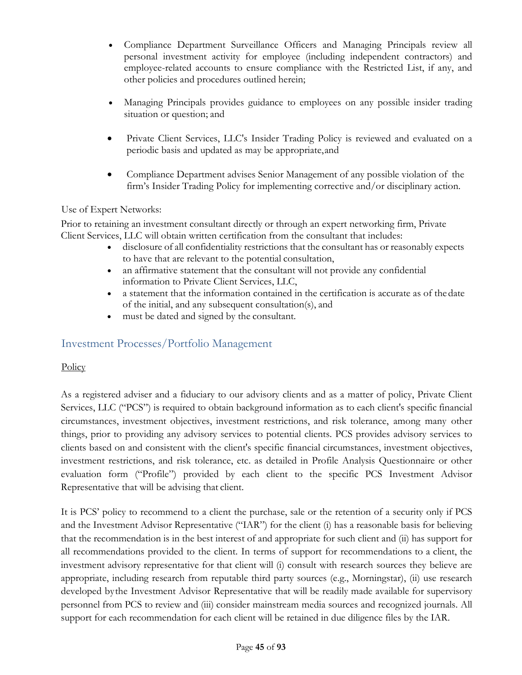- Compliance Department Surveillance Officers and Managing Principals review all personal investment activity for employee (including independent contractors) and employee-related accounts to ensure compliance with the Restricted List, if any, and other policies and procedures outlined herein;
- Managing Principals provides guidance to employees on any possible insider trading situation or question; and
- Private Client Services, LLC's Insider Trading Policy is reviewed and evaluated on a periodic basis and updated as may be appropriate,and
- Compliance Department advises Senior Management of any possible violation of the firm's Insider Trading Policy for implementing corrective and/or disciplinary action.

# Use of Expert Networks:

Prior to retaining an investment consultant directly or through an expert networking firm, Private Client Services, LLC will obtain written certification from the consultant that includes:

- disclosure of all confidentiality restrictions that the consultant has or reasonably expects to have that are relevant to the potential consultation,
- an affirmative statement that the consultant will not provide any confidential information to Private Client Services, LLC,
- a statement that the information contained in the certification is accurate as of thedate of the initial, and any subsequent consultation(s), and
- must be dated and signed by the consultant.

# Investment Processes/Portfolio Management

# **Policy**

As a registered adviser and a fiduciary to our advisory clients and as a matter of policy, Private Client Services, LLC ("PCS") is required to obtain background information as to each client's specific financial circumstances, investment objectives, investment restrictions, and risk tolerance, among many other things, prior to providing any advisory services to potential clients. PCS provides advisory services to clients based on and consistent with the client's specific financial circumstances, investment objectives, investment restrictions, and risk tolerance, etc. as detailed in Profile Analysis Questionnaire or other evaluation form ("Profile") provided by each client to the specific PCS Investment Advisor Representative that will be advising that client.

It is PCS' policy to recommend to a client the purchase, sale or the retention of a security only if PCS and the Investment Advisor Representative ("IAR") for the client (i) has a reasonable basis for believing that the recommendation is in the best interest of and appropriate for such client and (ii) has support for all recommendations provided to the client. In terms of support for recommendations to a client, the investment advisory representative for that client will (i) consult with research sources they believe are appropriate, including research from reputable third party sources (e.g., Morningstar), (ii) use research developed bythe Investment Advisor Representative that will be readily made available for supervisory personnel from PCS to review and (iii) consider mainstream media sources and recognized journals. All support for each recommendation for each client will be retained in due diligence files by the IAR.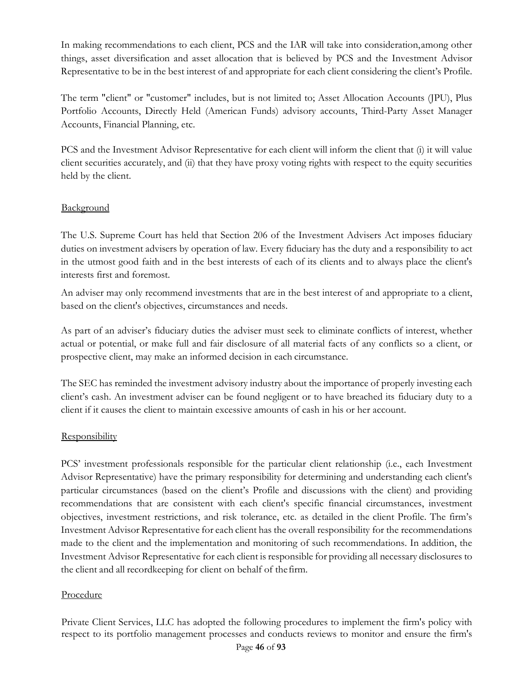In making recommendations to each client, PCS and the IAR will take into consideration,among other things, asset diversification and asset allocation that is believed by PCS and the Investment Advisor Representative to be in the best interest of and appropriate for each client considering the client's Profile.

The term "client" or "customer" includes, but is not limited to; Asset Allocation Accounts (JPU), Plus Portfolio Accounts, Directly Held (American Funds) advisory accounts, Third-Party Asset Manager Accounts, Financial Planning, etc.

PCS and the Investment Advisor Representative for each client will inform the client that (i) it will value client securities accurately, and (ii) that they have proxy voting rights with respect to the equity securities held by the client.

# **Background**

The U.S. Supreme Court has held that Section 206 of the Investment Advisers Act imposes fiduciary duties on investment advisers by operation of law. Every fiduciary has the duty and a responsibility to act in the utmost good faith and in the best interests of each of its clients and to always place the client's interests first and foremost.

An adviser may only recommend investments that are in the best interest of and appropriate to a client, based on the client's objectives, circumstances and needs.

As part of an adviser's fiduciary duties the adviser must seek to eliminate conflicts of interest, whether actual or potential, or make full and fair disclosure of all material facts of any conflicts so a client, or prospective client, may make an informed decision in each circumstance.

The SEC has reminded the investment advisory industry about the importance of properly investing each client's cash. An investment adviser can be found negligent or to have breached its fiduciary duty to a client if it causes the client to maintain excessive amounts of cash in his or her account.

#### **Responsibility**

PCS' investment professionals responsible for the particular client relationship (i.e., each Investment Advisor Representative) have the primary responsibility for determining and understanding each client's particular circumstances (based on the client's Profile and discussions with the client) and providing recommendations that are consistent with each client's specific financial circumstances, investment objectives, investment restrictions, and risk tolerance, etc. as detailed in the client Profile. The firm's Investment Advisor Representative for each client has the overall responsibility for the recommendations made to the client and the implementation and monitoring of such recommendations. In addition, the Investment Advisor Representative for each client is responsible for providing all necessary disclosures to the client and all recordkeeping for client on behalf of thefirm.

#### Procedure

Private Client Services, LLC has adopted the following procedures to implement the firm's policy with respect to its portfolio management processes and conducts reviews to monitor and ensure the firm's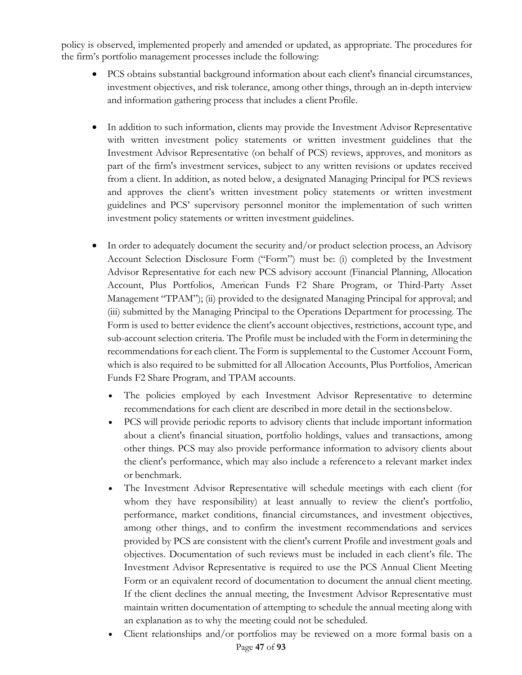policy is observed, implemented properly and amended or updated, as appropriate. The procedures for the firm's portfolio management processes include the following:

- PCS obtains substantial background information about each client's financial circumstances, investment objectives, and risk tolerance, among other things, through an in-depth interview and information gathering process that includes a client Profile.
- In addition to such information, clients may provide the Investment Advisor Representative with written investment policy statements or written investment guidelines that the Investment Advisor Representative (on behalf of PCS) reviews, approves, and monitors as part of the firm's investment services, subject to any written revisions or updates received from a client. In addition, as noted below, a designated Managing Principal for PCS reviews and approves the client's written investment policy statements or written investment guidelines and PCS' supervisory personnel monitor the implementation of such written investment policy statements or written investment guidelines.
- In order to adequately document the security and/or product selection process, an Advisory Account Selection Disclosure Form ("Form") must be: (i) completed by the Investment Advisor Representative for each new PCS advisory account (Financial Planning, Allocation Account, Plus Portfolios, American Funds F2 Share Program, or Third-Party Asset Management "TPAM"); (ii) provided to the designated Managing Principal for approval; and (iii) submitted by the Managing Principal to the Operations Department for processing. The Form is used to better evidence the client's account objectives, restrictions, account type, and sub-account selection criteria. The Profile must be included with the Form in determining the recommendations for each client. The Form is supplemental to the Customer Account Form, which is also required to be submitted for all Allocation Accounts, Plus Portfolios, American Funds F2 Share Program, and TPAM accounts.
	- The policies employed by each Investment Advisor Representative to determine recommendations for each client are described in more detail in the sectionsbelow.
	- PCS will provide periodic reports to advisory clients that include important information about a client's financial situation, portfolio holdings, values and transactions, among other things. PCS may also provide performance information to advisory clients about the client's performance, which may also include a referenceto a relevant market index or benchmark.
	- The Investment Advisor Representative will schedule meetings with each client (for whom they have responsibility) at least annually to review the client's portfolio, performance, market conditions, financial circumstances, and investment objectives, among other things, and to confirm the investment recommendations and services provided by PCS are consistent with the client's current Profile and investment goals and objectives. Documentation of such reviews must be included in each client's file. The Investment Advisor Representative is required to use the PCS Annual Client Meeting Form or an equivalent record of documentation to document the annual client meeting. If the client declines the annual meeting, the Investment Advisor Representative must maintain written documentation of attempting to schedule the annual meeting along with an explanation as to why the meeting could not be scheduled.
	- Client relationships and/or portfolios may be reviewed on a more formal basis on a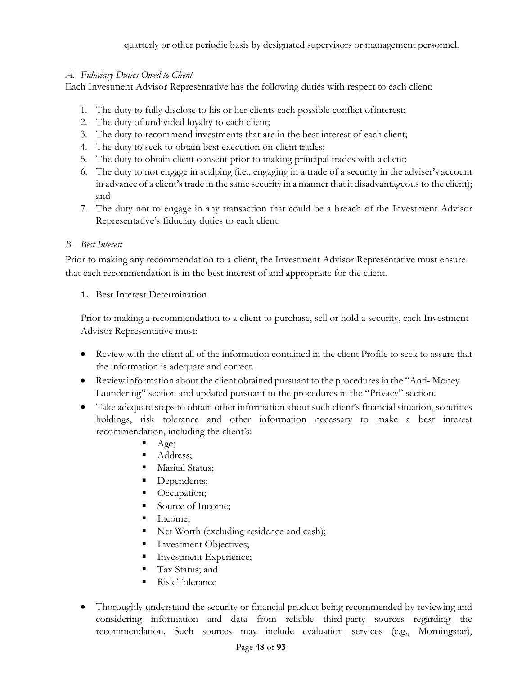### *A. Fiduciary Duties Owed to Client*

Each Investment Advisor Representative has the following duties with respect to each client:

- 1. The duty to fully disclose to his or her clients each possible conflict ofinterest;
- 2. The duty of undivided loyalty to each client;
- 3. The duty to recommend investments that are in the best interest of each client;
- 4. The duty to seek to obtain best execution on client trades;
- 5. The duty to obtain client consent prior to making principal trades with a client;
- 6. The duty to not engage in scalping (i.e., engaging in a trade of a security in the adviser's account in advance of a client's trade in the same security in a manner that it disadvantageous to the client); and
- 7. The duty not to engage in any transaction that could be a breach of the Investment Advisor Representative's fiduciary duties to each client.

# *B. Best Interest*

Prior to making any recommendation to a client, the Investment Advisor Representative must ensure that each recommendation is in the best interest of and appropriate for the client.

# 1. Best Interest Determination

Prior to making a recommendation to a client to purchase, sell or hold a security, each Investment Advisor Representative must:

- Review with the client all of the information contained in the client Profile to seek to assure that the information is adequate and correct.
- Review information about the client obtained pursuant to the procedures in the "Anti- Money Laundering" section and updated pursuant to the procedures in the "Privacy" section.
- Take adequate steps to obtain other information about such client's financial situation, securities holdings, risk tolerance and other information necessary to make a best interest recommendation, including the client's:
	- Age;
	- Address;
	- **Marital Status;**
	- Dependents;
	- Occupation;
	- Source of Income;
	- $\blacksquare$  Income:
	- Net Worth (excluding residence and cash);
	- Investment Objectives;
	- Investment Experience;
	- Tax Status; and
	- Risk Tolerance
- Thoroughly understand the security or financial product being recommended by reviewing and considering information and data from reliable third-party sources regarding the recommendation. Such sources may include evaluation services (e.g., Morningstar),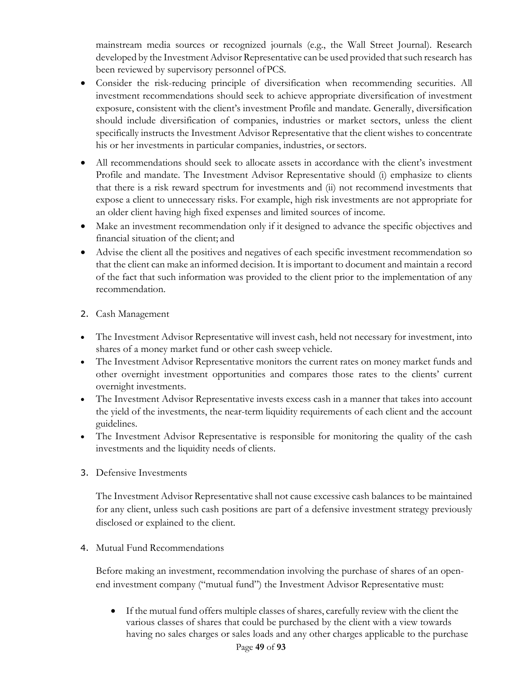mainstream media sources or recognized journals (e.g., the Wall Street Journal). Research developed by the Investment Advisor Representative can be used provided that such research has been reviewed by supervisory personnel ofPCS.

- Consider the risk-reducing principle of diversification when recommending securities. All investment recommendations should seek to achieve appropriate diversification of investment exposure, consistent with the client's investment Profile and mandate. Generally, diversification should include diversification of companies, industries or market sectors, unless the client specifically instructs the Investment Advisor Representative that the client wishes to concentrate his or her investments in particular companies, industries, or sectors.
- All recommendations should seek to allocate assets in accordance with the client's investment Profile and mandate. The Investment Advisor Representative should (i) emphasize to clients that there is a risk reward spectrum for investments and (ii) not recommend investments that expose a client to unnecessary risks. For example, high risk investments are not appropriate for an older client having high fixed expenses and limited sources of income.
- Make an investment recommendation only if it designed to advance the specific objectives and financial situation of the client; and
- Advise the client all the positives and negatives of each specific investment recommendation so that the client can make an informed decision. It is important to document and maintain a record of the fact that such information was provided to the client prior to the implementation of any recommendation.
- 2. Cash Management
- The Investment Advisor Representative will invest cash, held not necessary for investment, into shares of a money market fund or other cash sweep vehicle.
- The Investment Advisor Representative monitors the current rates on money market funds and other overnight investment opportunities and compares those rates to the clients' current overnight investments.
- The Investment Advisor Representative invests excess cash in a manner that takes into account the yield of the investments, the near-term liquidity requirements of each client and the account guidelines.
- The Investment Advisor Representative is responsible for monitoring the quality of the cash investments and the liquidity needs of clients.
- 3. Defensive Investments

The Investment Advisor Representative shall not cause excessive cash balances to be maintained for any client, unless such cash positions are part of a defensive investment strategy previously disclosed or explained to the client.

4. Mutual Fund Recommendations

Before making an investment, recommendation involving the purchase of shares of an openend investment company ("mutual fund") the Investment Advisor Representative must:

• If the mutual fund offers multiple classes of shares, carefully review with the client the various classes of shares that could be purchased by the client with a view towards having no sales charges or sales loads and any other charges applicable to the purchase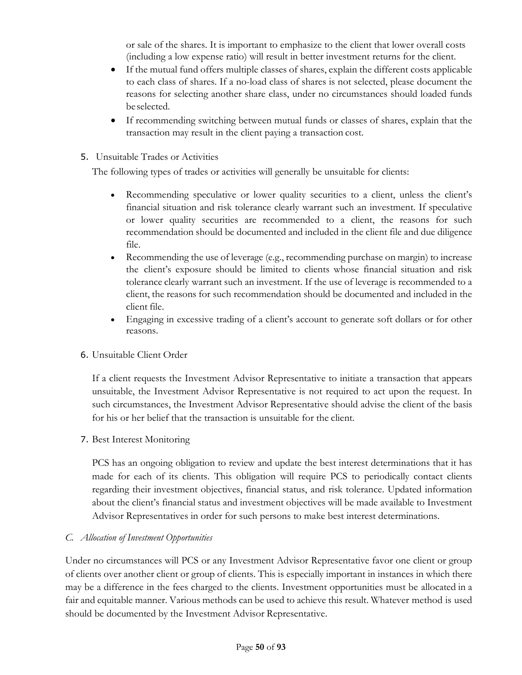or sale of the shares. It is important to emphasize to the client that lower overall costs (including a low expense ratio) will result in better investment returns for the client.

- If the mutual fund offers multiple classes of shares, explain the different costs applicable to each class of shares. If a no-load class of shares is not selected, please document the reasons for selecting another share class, under no circumstances should loaded funds beselected.
- If recommending switching between mutual funds or classes of shares, explain that the transaction may result in the client paying a transaction cost.
- 5. Unsuitable Trades or Activities

The following types of trades or activities will generally be unsuitable for clients:

- Recommending speculative or lower quality securities to a client, unless the client's financial situation and risk tolerance clearly warrant such an investment. If speculative or lower quality securities are recommended to a client, the reasons for such recommendation should be documented and included in the client file and due diligence file.
- Recommending the use of leverage (e.g., recommending purchase on margin) to increase the client's exposure should be limited to clients whose financial situation and risk tolerance clearly warrant such an investment. If the use of leverage is recommended to a client, the reasons for such recommendation should be documented and included in the client file.
- Engaging in excessive trading of a client's account to generate soft dollars or for other reasons.

#### 6. Unsuitable Client Order

If a client requests the Investment Advisor Representative to initiate a transaction that appears unsuitable, the Investment Advisor Representative is not required to act upon the request. In such circumstances, the Investment Advisor Representative should advise the client of the basis for his or her belief that the transaction is unsuitable for the client.

7. Best Interest Monitoring

PCS has an ongoing obligation to review and update the best interest determinations that it has made for each of its clients. This obligation will require PCS to periodically contact clients regarding their investment objectives, financial status, and risk tolerance. Updated information about the client's financial status and investment objectives will be made available to Investment Advisor Representatives in order for such persons to make best interest determinations.

#### *C. Allocation of Investment Opportunities*

Under no circumstances will PCS or any Investment Advisor Representative favor one client or group of clients over another client or group of clients. This is especially important in instances in which there may be a difference in the fees charged to the clients. Investment opportunities must be allocated in a fair and equitable manner. Various methods can be used to achieve this result. Whatever method is used should be documented by the Investment Advisor Representative.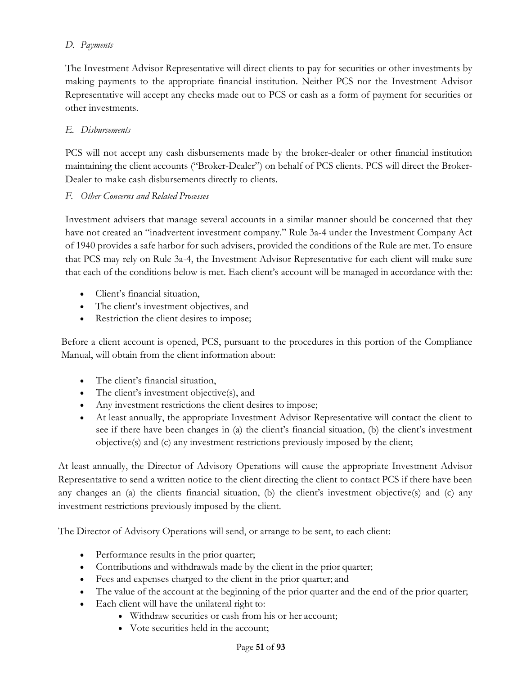# *D. Payments*

The Investment Advisor Representative will direct clients to pay for securities or other investments by making payments to the appropriate financial institution. Neither PCS nor the Investment Advisor Representative will accept any checks made out to PCS or cash as a form of payment for securities or other investments.

# *E. Disbursements*

PCS will not accept any cash disbursements made by the broker-dealer or other financial institution maintaining the client accounts ("Broker-Dealer") on behalf of PCS clients. PCS will direct the Broker-Dealer to make cash disbursements directly to clients.

# *F. Other Concerns and Related Processes*

Investment advisers that manage several accounts in a similar manner should be concerned that they have not created an "inadvertent investment company." Rule 3a-4 under the Investment Company Act of 1940 provides a safe harbor for such advisers, provided the conditions of the Rule are met. To ensure that PCS may rely on Rule 3a-4, the Investment Advisor Representative for each client will make sure that each of the conditions below is met. Each client's account will be managed in accordance with the:

- Client's financial situation,
- The client's investment objectives, and
- Restriction the client desires to impose;

Before a client account is opened, PCS, pursuant to the procedures in this portion of the Compliance Manual, will obtain from the client information about:

- The client's financial situation,
- The client's investment objective(s), and
- Any investment restrictions the client desires to impose;
- At least annually, the appropriate Investment Advisor Representative will contact the client to see if there have been changes in (a) the client's financial situation, (b) the client's investment objective(s) and (c) any investment restrictions previously imposed by the client;

At least annually, the Director of Advisory Operations will cause the appropriate Investment Advisor Representative to send a written notice to the client directing the client to contact PCS if there have been any changes an (a) the clients financial situation, (b) the client's investment objective(s) and (c) any investment restrictions previously imposed by the client.

The Director of Advisory Operations will send, or arrange to be sent, to each client:

- Performance results in the prior quarter;
- Contributions and withdrawals made by the client in the prior quarter;
- Fees and expenses charged to the client in the prior quarter; and
- The value of the account at the beginning of the prior quarter and the end of the prior quarter;
- Each client will have the unilateral right to:
	- Withdraw securities or cash from his or her account;
	- Vote securities held in the account: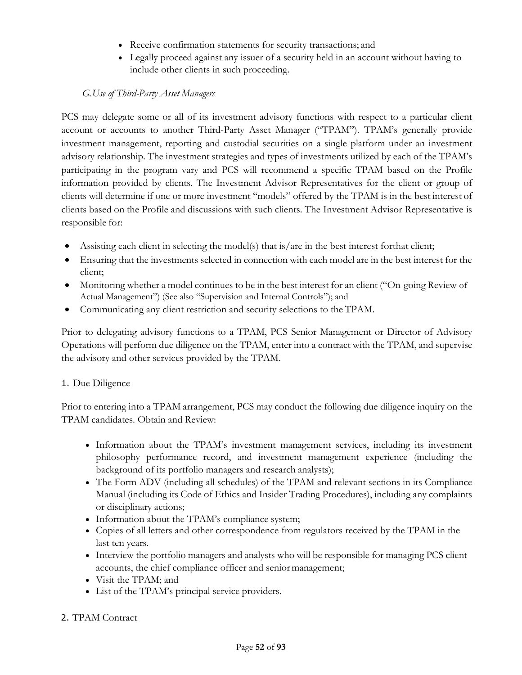- Receive confirmation statements for security transactions; and
- Legally proceed against any issuer of a security held in an account without having to include other clients in such proceeding.

# *G.Use of Third-Party Asset Managers*

PCS may delegate some or all of its investment advisory functions with respect to a particular client account or accounts to another Third-Party Asset Manager ("TPAM"). TPAM's generally provide investment management, reporting and custodial securities on a single platform under an investment advisory relationship. The investment strategies and types of investments utilized by each of the TPAM's participating in the program vary and PCS will recommend a specific TPAM based on the Profile information provided by clients. The Investment Advisor Representatives for the client or group of clients will determine if one or more investment "models" offered by the TPAM is in the best interest of clients based on the Profile and discussions with such clients. The Investment Advisor Representative is responsible for:

- Assisting each client in selecting the model(s) that is/are in the best interest forthat client;
- Ensuring that the investments selected in connection with each model are in the best interest for the client;
- Monitoring whether a model continues to be in the best interest for an client ("On-going Review of Actual Management") (See also "Supervision and Internal Controls"); and
- Communicating any client restriction and security selections to the TPAM.

Prior to delegating advisory functions to a TPAM, PCS Senior Management or Director of Advisory Operations will perform due diligence on the TPAM, enter into a contract with the TPAM, and supervise the advisory and other services provided by the TPAM.

# 1. Due Diligence

Prior to entering into a TPAM arrangement, PCS may conduct the following due diligence inquiry on the TPAM candidates. Obtain and Review:

- Information about the TPAM's investment management services, including its investment philosophy performance record, and investment management experience (including the background of its portfolio managers and research analysts);
- The Form ADV (including all schedules) of the TPAM and relevant sections in its Compliance Manual (including its Code of Ethics and Insider Trading Procedures), including any complaints or disciplinary actions;
- Information about the TPAM's compliance system;
- Copies of all letters and other correspondence from regulators received by the TPAM in the last ten years.
- Interview the portfolio managers and analysts who will be responsible for managing PCS client accounts, the chief compliance officer and senior management;
- Visit the TPAM; and
- List of the TPAM's principal service providers.

# 2. TPAM Contract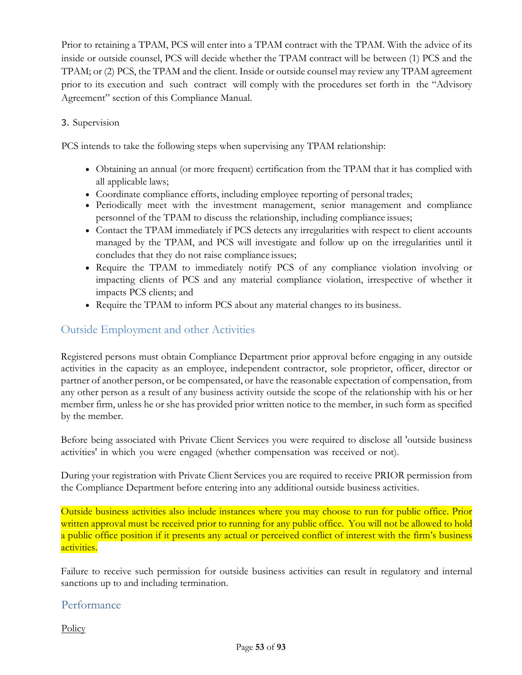Prior to retaining a TPAM, PCS will enter into a TPAM contract with the TPAM. With the advice of its inside or outside counsel, PCS will decide whether the TPAM contract will be between (1) PCS and the TPAM; or (2) PCS, the TPAM and the client. Inside or outside counsel may review any TPAM agreement prior to its execution and such contract will comply with the procedures set forth in the "Advisory Agreement" section of this Compliance Manual.

#### 3. Supervision

PCS intends to take the following steps when supervising any TPAM relationship:

- Obtaining an annual (or more frequent) certification from the TPAM that it has complied with all applicable laws;
- Coordinate compliance efforts, including employee reporting of personal trades;
- Periodically meet with the investment management, senior management and compliance personnel of the TPAM to discuss the relationship, including compliance issues;
- Contact the TPAM immediately if PCS detects any irregularities with respect to client accounts managed by the TPAM, and PCS will investigate and follow up on the irregularities until it concludes that they do not raise compliance issues;
- Require the TPAM to immediately notify PCS of any compliance violation involving or impacting clients of PCS and any material compliance violation, irrespective of whether it impacts PCS clients; and
- Require the TPAM to inform PCS about any material changes to its business.

# Outside Employment and other Activities

Registered persons must obtain Compliance Department prior approval before engaging in any outside activities in the capacity as an employee, independent contractor, sole proprietor, officer, director or partner of another person, or be compensated, or have the reasonable expectation of compensation, from any other person as a result of any business activity outside the scope of the relationship with his or her member firm, unless he or she has provided prior written notice to the member, in such form as specified by the member.

Before being associated with Private Client Services you were required to disclose all 'outside business activities' in which you were engaged (whether compensation was received or not).

During your registration with Private Client Services you are required to receive PRIOR permission from the Compliance Department before entering into any additional outside business activities.

Outside business activities also include instances where you may choose to run for public office. Prior written approval must be received prior to running for any public office. You will not be allowed to hold a public office position if it presents any actual or perceived conflict of interest with the firm's business activities.

Failure to receive such permission for outside business activities can result in regulatory and internal sanctions up to and including termination.

# Performance

**Policy**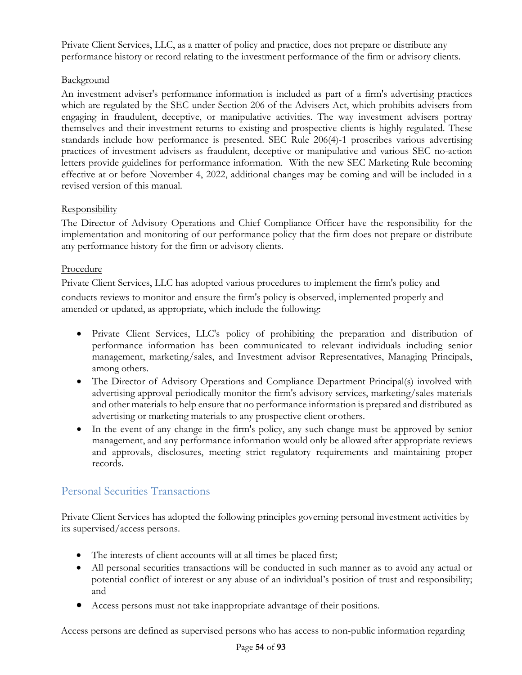Private Client Services, LLC, as a matter of policy and practice, does not prepare or distribute any performance history or record relating to the investment performance of the firm or advisory clients.

# **Background**

An investment adviser's performance information is included as part of a firm's advertising practices which are regulated by the SEC under Section 206 of the Advisers Act, which prohibits advisers from engaging in fraudulent, deceptive, or manipulative activities. The way investment advisers portray themselves and their investment returns to existing and prospective clients is highly regulated. These standards include how performance is presented. SEC Rule 206(4)-1 proscribes various advertising practices of investment advisers as fraudulent, deceptive or manipulative and various SEC no-action letters provide guidelines for performance information. With the new SEC Marketing Rule becoming effective at or before November 4, 2022, additional changes may be coming and will be included in a revised version of this manual.

# **Responsibility**

The Director of Advisory Operations and Chief Compliance Officer have the responsibility for the implementation and monitoring of our performance policy that the firm does not prepare or distribute any performance history for the firm or advisory clients.

# Procedure

Private Client Services, LLC has adopted various procedures to implement the firm's policy and conducts reviews to monitor and ensure the firm's policy is observed, implemented properly and amended or updated, as appropriate, which include the following:

- Private Client Services, LLC's policy of prohibiting the preparation and distribution of performance information has been communicated to relevant individuals including senior management, marketing/sales, and Investment advisor Representatives, Managing Principals, among others.
- The Director of Advisory Operations and Compliance Department Principal(s) involved with advertising approval periodically monitor the firm's advisory services, marketing/sales materials and other materials to help ensure that no performance information is prepared and distributed as advertising or marketing materials to any prospective client orothers.
- In the event of any change in the firm's policy, any such change must be approved by senior management, and any performance information would only be allowed after appropriate reviews and approvals, disclosures, meeting strict regulatory requirements and maintaining proper records.

# Personal Securities Transactions

Private Client Services has adopted the following principles governing personal investment activities by its supervised/access persons.

- The interests of client accounts will at all times be placed first;
- All personal securities transactions will be conducted in such manner as to avoid any actual or potential conflict of interest or any abuse of an individual's position of trust and responsibility; and
- Access persons must not take inappropriate advantage of their positions.

Access persons are defined as supervised persons who has access to non-public information regarding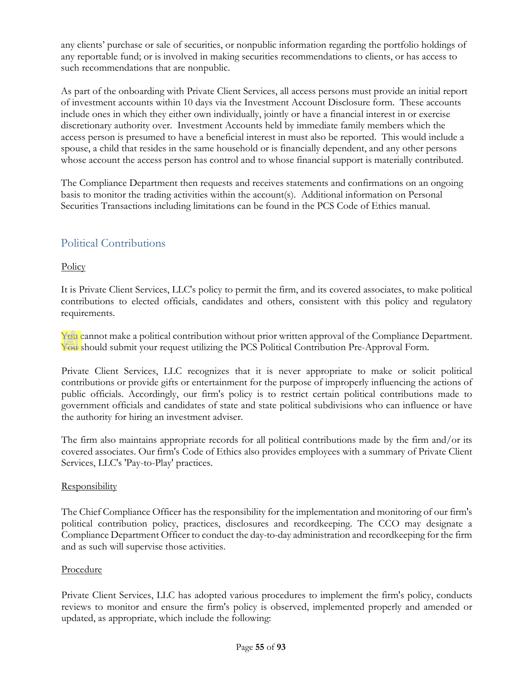any clients' purchase or sale of securities, or nonpublic information regarding the portfolio holdings of any reportable fund; or is involved in making securities recommendations to clients, or has access to such recommendations that are nonpublic.

As part of the onboarding with Private Client Services, all access persons must provide an initial report of investment accounts within 10 days via the Investment Account Disclosure form. These accounts include ones in which they either own individually, jointly or have a financial interest in or exercise discretionary authority over. Investment Accounts held by immediate family members which the access person is presumed to have a beneficial interest in must also be reported. This would include a spouse, a child that resides in the same household or is financially dependent, and any other persons whose account the access person has control and to whose financial support is materially contributed.

The Compliance Department then requests and receives statements and confirmations on an ongoing basis to monitor the trading activities within the account(s). Additional information on Personal Securities Transactions including limitations can be found in the PCS Code of Ethics manual.

# Political Contributions

**Policy** 

It is Private Client Services, LLC's policy to permit the firm, and its covered associates, to make political contributions to elected officials, candidates and others, consistent with this policy and regulatory requirements.

You cannot make a political contribution without prior written approval of the Compliance Department. You should submit your request utilizing the PCS Political Contribution Pre-Approval Form.

Private Client Services, LLC recognizes that it is never appropriate to make or solicit political contributions or provide gifts or entertainment for the purpose of improperly influencing the actions of public officials. Accordingly, our firm's policy is to restrict certain political contributions made to government officials and candidates of state and state political subdivisions who can influence or have the authority for hiring an investment adviser.

The firm also maintains appropriate records for all political contributions made by the firm and/or its covered associates. Our firm's Code of Ethics also provides employees with a summary of Private Client Services, LLC's 'Pay-to-Play' practices.

# **Responsibility**

The Chief Compliance Officer has the responsibility for the implementation and monitoring of our firm's political contribution policy, practices, disclosures and recordkeeping. The CCO may designate a Compliance Department Officer to conduct the day-to-day administration and recordkeeping for the firm and as such will supervise those activities.

# Procedure

Private Client Services, LLC has adopted various procedures to implement the firm's policy, conducts reviews to monitor and ensure the firm's policy is observed, implemented properly and amended or updated, as appropriate, which include the following: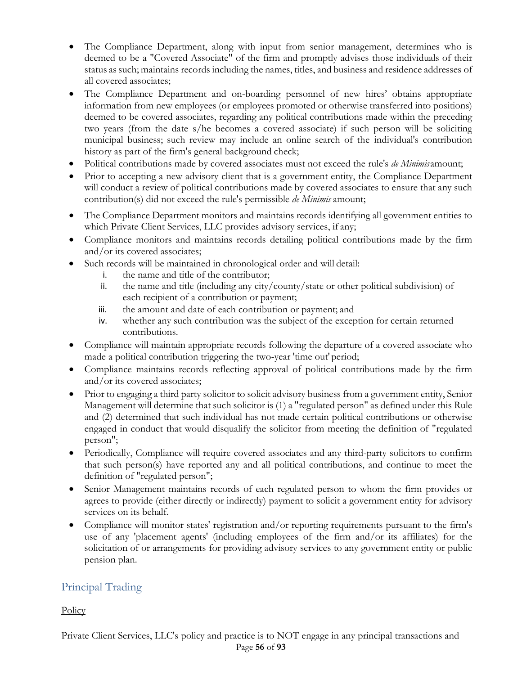- The Compliance Department, along with input from senior management, determines who is deemed to be a "Covered Associate" of the firm and promptly advises those individuals of their status assuch; maintains records including the names, titles, and business and residence addresses of all covered associates;
- The Compliance Department and on-boarding personnel of new hires' obtains appropriate information from new employees (or employees promoted or otherwise transferred into positions) deemed to be covered associates, regarding any political contributions made within the preceding two years (from the date s/he becomes a covered associate) if such person will be soliciting municipal business; such review may include an online search of the individual's contribution history as part of the firm's general background check;
- Political contributions made by covered associates must not exceed the rule's *de Minimis*amount;
- Prior to accepting a new advisory client that is a government entity, the Compliance Department will conduct a review of political contributions made by covered associates to ensure that any such contribution(s) did not exceed the rule's permissible *de Minimis* amount;
- The Compliance Department monitors and maintains records identifying all government entities to which Private Client Services, LLC provides advisory services, if any;
- Compliance monitors and maintains records detailing political contributions made by the firm and/or its covered associates;
- Such records will be maintained in chronological order and will detail:
	- i. the name and title of the contributor;
	- ii. the name and title (including any city/county/state or other political subdivision) of each recipient of a contribution or payment;
	- iii. the amount and date of each contribution or payment; and
	- iv. whether any such contribution was the subject of the exception for certain returned contributions.
- Compliance will maintain appropriate records following the departure of a covered associate who made a political contribution triggering the two-year 'time out' period;
- Compliance maintains records reflecting approval of political contributions made by the firm and/or its covered associates;
- Prior to engaging a third party solicitor to solicit advisory business from a government entity, Senior Management will determine that such solicitor is (1) a "regulated person" as defined under this Rule and (2) determined that such individual has not made certain political contributions or otherwise engaged in conduct that would disqualify the solicitor from meeting the definition of "regulated person";
- Periodically, Compliance will require covered associates and any third-party solicitors to confirm that such person(s) have reported any and all political contributions, and continue to meet the definition of "regulated person";
- Senior Management maintains records of each regulated person to whom the firm provides or agrees to provide (either directly or indirectly) payment to solicit a government entity for advisory services on its behalf.
- Compliance will monitor states' registration and/or reporting requirements pursuant to the firm's use of any 'placement agents' (including employees of the firm and/or its affiliates) for the solicitation of or arrangements for providing advisory services to any government entity or public pension plan.

# Principal Trading

**Policy**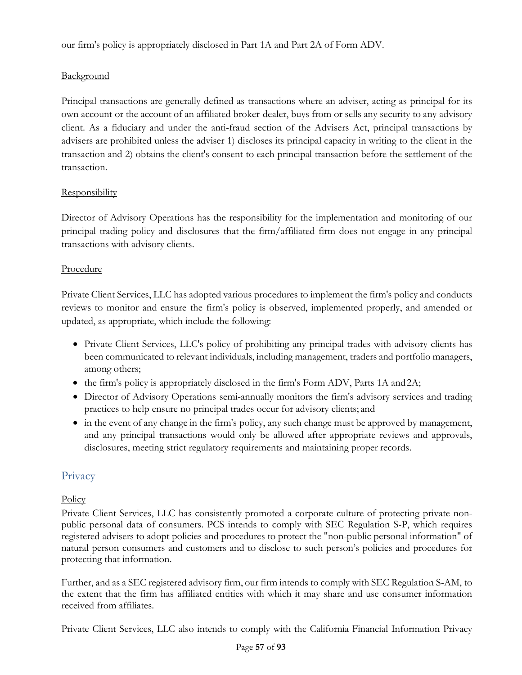our firm's policy is appropriately disclosed in Part 1A and Part 2A of Form ADV.

# **Background**

Principal transactions are generally defined as transactions where an adviser, acting as principal for its own account or the account of an affiliated broker-dealer, buys from or sells any security to any advisory client. As a fiduciary and under the anti-fraud section of the Advisers Act, principal transactions by advisers are prohibited unless the adviser 1) discloses its principal capacity in writing to the client in the transaction and 2) obtains the client's consent to each principal transaction before the settlement of the transaction.

# Responsibility

Director of Advisory Operations has the responsibility for the implementation and monitoring of our principal trading policy and disclosures that the firm/affiliated firm does not engage in any principal transactions with advisory clients.

# Procedure

Private Client Services, LLC has adopted various procedures to implement the firm's policy and conducts reviews to monitor and ensure the firm's policy is observed, implemented properly, and amended or updated, as appropriate, which include the following:

- Private Client Services, LLC's policy of prohibiting any principal trades with advisory clients has been communicated to relevant individuals, including management, traders and portfolio managers, among others;
- the firm's policy is appropriately disclosed in the firm's Form ADV, Parts 1A and2A;
- Director of Advisory Operations semi-annually monitors the firm's advisory services and trading practices to help ensure no principal trades occur for advisory clients; and
- in the event of any change in the firm's policy, any such change must be approved by management, and any principal transactions would only be allowed after appropriate reviews and approvals, disclosures, meeting strict regulatory requirements and maintaining proper records.

# Privacy

# **Policy**

Private Client Services, LLC has consistently promoted a corporate culture of protecting private nonpublic personal data of consumers. PCS intends to comply with SEC Regulation S-P, which requires registered advisers to adopt policies and procedures to protect the "non-public personal information" of natural person consumers and customers and to disclose to such person's policies and procedures for protecting that information.

Further, and as a SEC registered advisory firm, our firm intends to comply with SEC Regulation S-AM, to the extent that the firm has affiliated entities with which it may share and use consumer information received from affiliates.

Private Client Services, LLC also intends to comply with the California Financial Information Privacy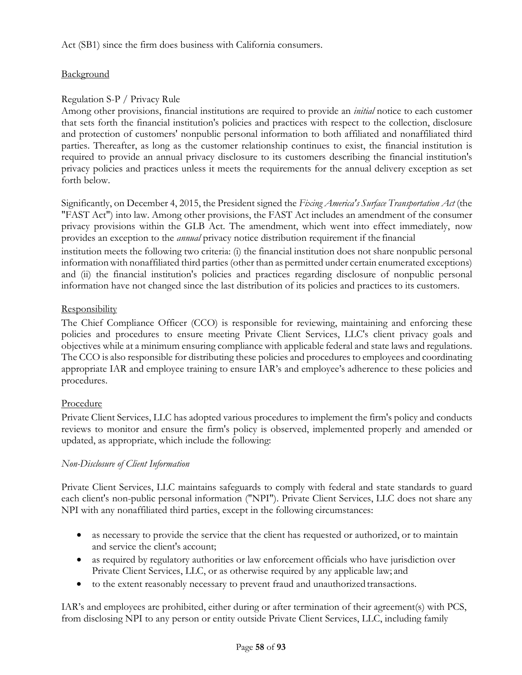Act (SB1) since the firm does business with California consumers.

# **Background**

# Regulation S-P / Privacy Rule

Among other provisions, financial institutions are required to provide an *initial* notice to each customer that sets forth the financial institution's policies and practices with respect to the collection, disclosure and protection of customers' nonpublic personal information to both affiliated and nonaffiliated third parties. Thereafter, as long as the customer relationship continues to exist, the financial institution is required to provide an annual privacy disclosure to its customers describing the financial institution's privacy policies and practices unless it meets the requirements for the annual delivery exception as set forth below.

Significantly, on December 4, 2015, the President signed the *Fixing America's Surface Transportation Act* (the "FAST Act") into law. Among other provisions, the FAST Act includes an amendment of the consumer privacy provisions within the GLB Act. The amendment, which went into effect immediately, now provides an exception to the *annual* privacy notice distribution requirement if the financial institution meets the following two criteria: (i) the financial institution does not share nonpublic personal information with nonaffiliated third parties (other than as permitted under certain enumerated exceptions) and (ii) the financial institution's policies and practices regarding disclosure of nonpublic personal

information have not changed since the last distribution of its policies and practices to its customers.

#### **Responsibility**

The Chief Compliance Officer (CCO) is responsible for reviewing, maintaining and enforcing these policies and procedures to ensure meeting Private Client Services, LLC's client privacy goals and objectives while at a minimum ensuring compliance with applicable federal and state laws and regulations. The CCO is also responsible for distributing these policies and procedures to employees and coordinating appropriate IAR and employee training to ensure IAR's and employee's adherence to these policies and procedures.

# Procedure

Private Client Services, LLC has adopted various procedures to implement the firm's policy and conducts reviews to monitor and ensure the firm's policy is observed, implemented properly and amended or updated, as appropriate, which include the following:

# *Non-Disclosure of Client Information*

Private Client Services, LLC maintains safeguards to comply with federal and state standards to guard each client's non-public personal information ("NPI"). Private Client Services, LLC does not share any NPI with any nonaffiliated third parties, except in the following circumstances:

- as necessary to provide the service that the client has requested or authorized, or to maintain and service the client's account;
- as required by regulatory authorities or law enforcement officials who have jurisdiction over Private Client Services, LLC, or as otherwise required by any applicable law; and
- to the extent reasonably necessary to prevent fraud and unauthorized transactions.

IAR's and employees are prohibited, either during or after termination of their agreement(s) with PCS, from disclosing NPI to any person or entity outside Private Client Services, LLC, including family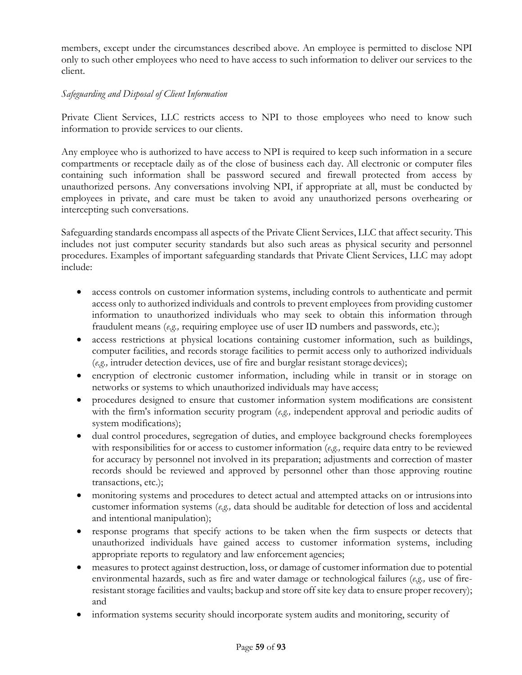members, except under the circumstances described above. An employee is permitted to disclose NPI only to such other employees who need to have access to such information to deliver our services to the client.

### *Safeguarding and Disposal of Client Information*

Private Client Services, LLC restricts access to NPI to those employees who need to know such information to provide services to our clients.

Any employee who is authorized to have access to NPI is required to keep such information in a secure compartments or receptacle daily as of the close of business each day. All electronic or computer files containing such information shall be password secured and firewall protected from access by unauthorized persons. Any conversations involving NPI, if appropriate at all, must be conducted by employees in private, and care must be taken to avoid any unauthorized persons overhearing or intercepting such conversations.

Safeguarding standards encompass all aspects of the Private Client Services, LLC that affect security. This includes not just computer security standards but also such areas as physical security and personnel procedures. Examples of important safeguarding standards that Private Client Services, LLC may adopt include:

- access controls on customer information systems, including controls to authenticate and permit access only to authorized individuals and controls to prevent employees from providing customer information to unauthorized individuals who may seek to obtain this information through fraudulent means (*e.g.,* requiring employee use of user ID numbers and passwords, etc.);
- access restrictions at physical locations containing customer information, such as buildings, computer facilities, and records storage facilities to permit access only to authorized individuals (*e.g.,* intruder detection devices, use of fire and burglar resistant storage devices);
- encryption of electronic customer information, including while in transit or in storage on networks or systems to which unauthorized individuals may have access;
- procedures designed to ensure that customer information system modifications are consistent with the firm's information security program (*e.g.,* independent approval and periodic audits of system modifications);
- dual control procedures, segregation of duties, and employee background checks foremployees with responsibilities for or access to customer information (*e.g.,* require data entry to be reviewed for accuracy by personnel not involved in its preparation; adjustments and correction of master records should be reviewed and approved by personnel other than those approving routine transactions, etc.);
- monitoring systems and procedures to detect actual and attempted attacks on or intrusions into customer information systems (*e.g.,* data should be auditable for detection of loss and accidental and intentional manipulation);
- response programs that specify actions to be taken when the firm suspects or detects that unauthorized individuals have gained access to customer information systems, including appropriate reports to regulatory and law enforcement agencies;
- measures to protect against destruction, loss, or damage of customer information due to potential environmental hazards, such as fire and water damage or technological failures (*e.g.,* use of fireresistant storage facilities and vaults; backup and store off site key data to ensure proper recovery); and
- information systems security should incorporate system audits and monitoring, security of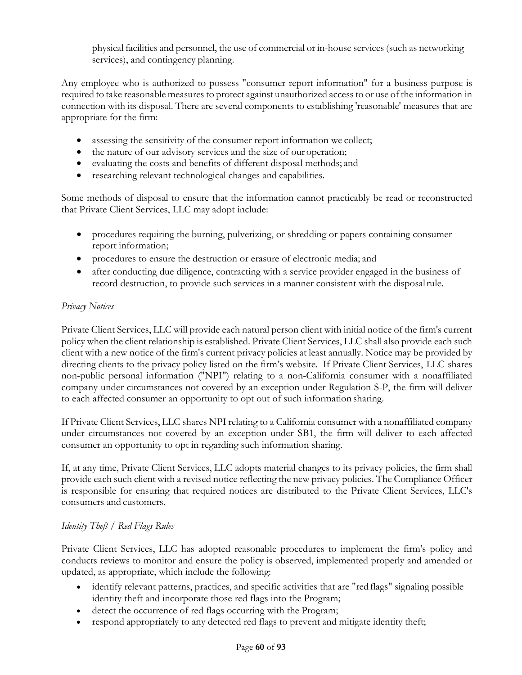physical facilities and personnel, the use of commercial or in-house services (such as networking services), and contingency planning.

Any employee who is authorized to possess "consumer report information" for a business purpose is required to take reasonable measures to protect against unauthorized access to or use of the information in connection with its disposal. There are several components to establishing 'reasonable' measures that are appropriate for the firm:

- assessing the sensitivity of the consumer report information we collect;
- the nature of our advisory services and the size of our operation;
- evaluating the costs and benefits of different disposal methods; and
- researching relevant technological changes and capabilities.

Some methods of disposal to ensure that the information cannot practicably be read or reconstructed that Private Client Services, LLC may adopt include:

- procedures requiring the burning, pulverizing, or shredding or papers containing consumer report information;
- procedures to ensure the destruction or erasure of electronic media; and
- after conducting due diligence, contracting with a service provider engaged in the business of record destruction, to provide such services in a manner consistent with the disposalrule.

# *Privacy Notices*

Private Client Services, LLC will provide each natural person client with initial notice of the firm's current policy when the client relationship is established. Private Client Services, LLC shall also provide each such client with a new notice of the firm's current privacy policies at least annually. Notice may be provided by directing clients to the privacy policy listed on the firm's website. If Private Client Services, LLC shares non-public personal information ("NPI") relating to a non-California consumer with a nonaffiliated company under circumstances not covered by an exception under Regulation S-P, the firm will deliver to each affected consumer an opportunity to opt out of such information sharing.

If Private Client Services, LLC shares NPI relating to a California consumer with a nonaffiliated company under circumstances not covered by an exception under SB1, the firm will deliver to each affected consumer an opportunity to opt in regarding such information sharing.

If, at any time, Private Client Services, LLC adopts material changes to its privacy policies, the firm shall provide each such client with a revised notice reflecting the new privacy policies. The Compliance Officer is responsible for ensuring that required notices are distributed to the Private Client Services, LLC's consumers and customers.

# *Identity Theft / Red Flags Rules*

Private Client Services, LLC has adopted reasonable procedures to implement the firm's policy and conducts reviews to monitor and ensure the policy is observed, implemented properly and amended or updated, as appropriate, which include the following:

- identify relevant patterns, practices, and specific activities that are "red flags" signaling possible identity theft and incorporate those red flags into the Program;
- detect the occurrence of red flags occurring with the Program;
- respond appropriately to any detected red flags to prevent and mitigate identity theft;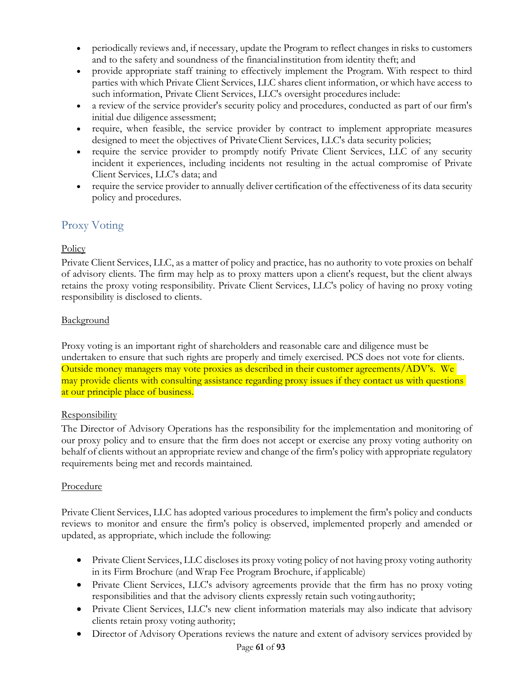- periodically reviews and, if necessary, update the Program to reflect changes in risks to customers and to the safety and soundness of the financialinstitution from identity theft; and
- provide appropriate staff training to effectively implement the Program. With respect to third parties with which Private Client Services, LLC shares client information, or which have access to such information, Private Client Services, LLC's oversight procedures include:
- a review of the service provider's security policy and procedures, conducted as part of our firm's initial due diligence assessment;
- require, when feasible, the service provider by contract to implement appropriate measures designed to meet the objectives of PrivateClient Services, LLC's data security policies;
- require the service provider to promptly notify Private Client Services, LLC of any security incident it experiences, including incidents not resulting in the actual compromise of Private Client Services, LLC's data; and
- require the service provider to annually deliver certification of the effectiveness of its data security policy and procedures.

# Proxy Voting

# **Policy**

Private Client Services, LLC, as a matter of policy and practice, has no authority to vote proxies on behalf of advisory clients. The firm may help as to proxy matters upon a client's request, but the client always retains the proxy voting responsibility. Private Client Services, LLC's policy of having no proxy voting responsibility is disclosed to clients.

# **Background**

Proxy voting is an important right of shareholders and reasonable care and diligence must be undertaken to ensure that such rights are properly and timely exercised. PCS does not vote for clients. Outside money managers may vote proxies as described in their customer agreements/ADV's. We may provide clients with consulting assistance regarding proxy issues if they contact us with questions at our principle place of business.

# **Responsibility**

The Director of Advisory Operations has the responsibility for the implementation and monitoring of our proxy policy and to ensure that the firm does not accept or exercise any proxy voting authority on behalf of clients without an appropriate review and change of the firm's policy with appropriate regulatory requirements being met and records maintained.

# Procedure

Private Client Services, LLC has adopted various procedures to implement the firm's policy and conducts reviews to monitor and ensure the firm's policy is observed, implemented properly and amended or updated, as appropriate, which include the following:

- Private Client Services, LLC discloses its proxy voting policy of not having proxy voting authority in its Firm Brochure (and Wrap Fee Program Brochure, if applicable)
- Private Client Services, LLC's advisory agreements provide that the firm has no proxy voting responsibilities and that the advisory clients expressly retain such voting authority;
- Private Client Services, LLC's new client information materials may also indicate that advisory clients retain proxy voting authority;
- Director of Advisory Operations reviews the nature and extent of advisory services provided by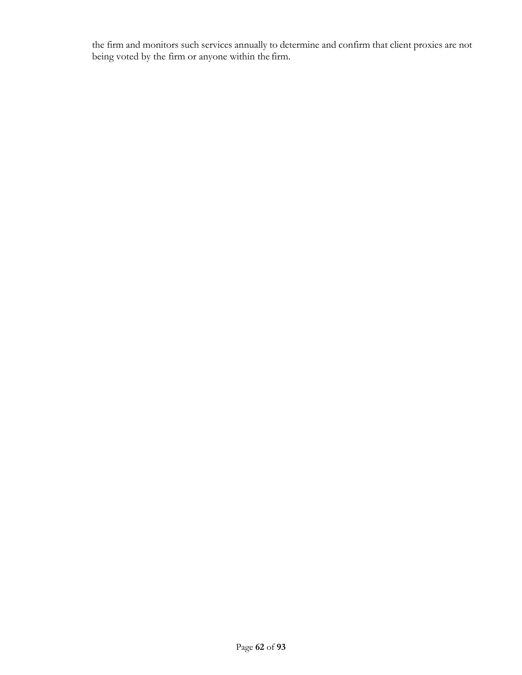the firm and monitors such services annually to determine and confirm that client proxies are not being voted by the firm or anyone within the firm.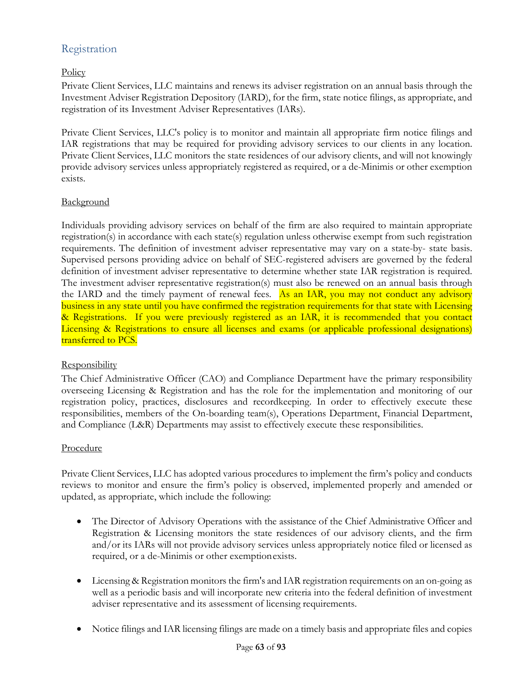# Registration

# **Policy**

Private Client Services, LLC maintains and renews its adviser registration on an annual basis through the Investment Adviser Registration Depository (IARD), for the firm, state notice filings, as appropriate, and registration of its Investment Adviser Representatives (IARs).

Private Client Services, LLC's policy is to monitor and maintain all appropriate firm notice filings and IAR registrations that may be required for providing advisory services to our clients in any location. Private Client Services, LLC monitors the state residences of our advisory clients, and will not knowingly provide advisory services unless appropriately registered as required, or a de-Minimis or other exemption exists.

#### Background

Individuals providing advisory services on behalf of the firm are also required to maintain appropriate registration(s) in accordance with each state(s) regulation unless otherwise exempt from such registration requirements. The definition of investment adviser representative may vary on a state-by- state basis. Supervised persons providing advice on behalf of SEC-registered advisers are governed by the federal definition of investment adviser representative to determine whether state IAR registration is required. The investment adviser representative registration(s) must also be renewed on an annual basis through the IARD and the timely payment of renewal fees. As an IAR, you may not conduct any advisory business in any state until you have confirmed the registration requirements for that state with Licensing & Registrations. If you were previously registered as an IAR, it is recommended that you contact Licensing & Registrations to ensure all licenses and exams (or applicable professional designations) transferred to PCS.

# **Responsibility**

The Chief Administrative Officer (CAO) and Compliance Department have the primary responsibility overseeing Licensing & Registration and has the role for the implementation and monitoring of our registration policy, practices, disclosures and recordkeeping. In order to effectively execute these responsibilities, members of the On-boarding team(s), Operations Department, Financial Department, and Compliance (L&R) Departments may assist to effectively execute these responsibilities.

#### Procedure

Private Client Services, LLC has adopted various procedures to implement the firm's policy and conducts reviews to monitor and ensure the firm's policy is observed, implemented properly and amended or updated, as appropriate, which include the following:

- The Director of Advisory Operations with the assistance of the Chief Administrative Officer and Registration & Licensing monitors the state residences of our advisory clients, and the firm and/or its IARs will not provide advisory services unless appropriately notice filed or licensed as required, or a de-Minimis or other exemptionexists.
- Licensing & Registration monitors the firm's and IAR registration requirements on an on-going as well as a periodic basis and will incorporate new criteria into the federal definition of investment adviser representative and its assessment of licensing requirements.
- Notice filings and IAR licensing filings are made on a timely basis and appropriate files and copies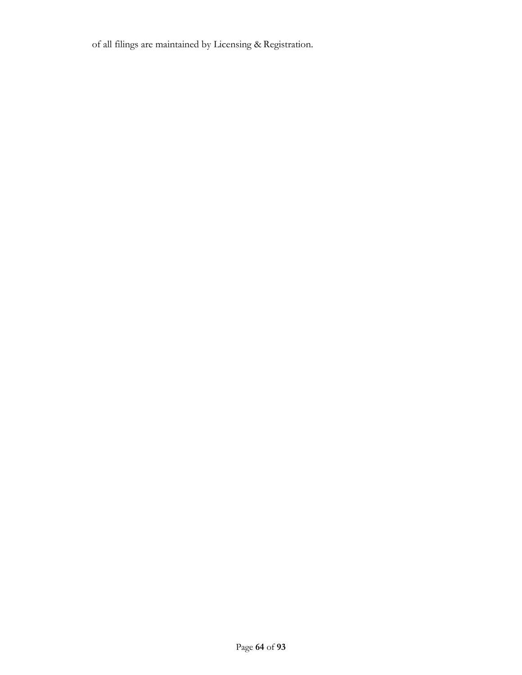of all filings are maintained by Licensing & Registration.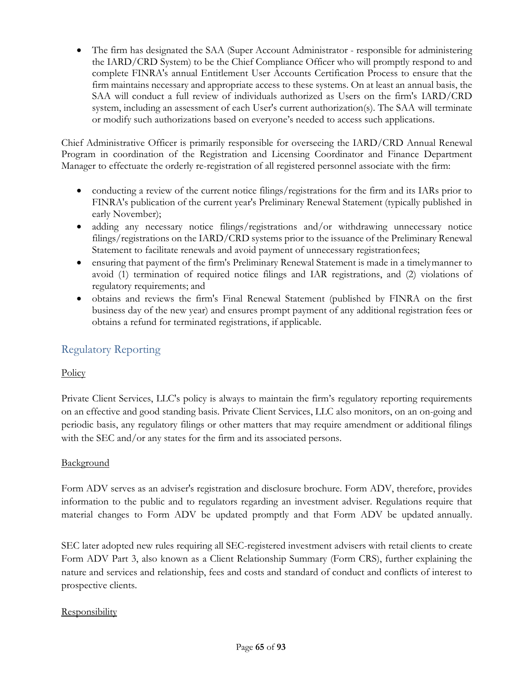• The firm has designated the SAA (Super Account Administrator - responsible for administering the IARD/CRD System) to be the Chief Compliance Officer who will promptly respond to and complete FINRA's annual Entitlement User Accounts Certification Process to ensure that the firm maintains necessary and appropriate access to these systems. On at least an annual basis, the SAA will conduct a full review of individuals authorized as Users on the firm's IARD/CRD system, including an assessment of each User's current authorization(s). The SAA will terminate or modify such authorizations based on everyone's needed to access such applications.

Chief Administrative Officer is primarily responsible for overseeing the IARD/CRD Annual Renewal Program in coordination of the Registration and Licensing Coordinator and Finance Department Manager to effectuate the orderly re-registration of all registered personnel associate with the firm:

- conducting a review of the current notice filings/registrations for the firm and its IARs prior to FINRA's publication of the current year's Preliminary Renewal Statement (typically published in early November);
- adding any necessary notice filings/registrations and/or withdrawing unnecessary notice filings/registrations on the IARD/CRD systems prior to the issuance of the Preliminary Renewal Statement to facilitate renewals and avoid payment of unnecessary registrationfees;
- ensuring that payment of the firm's Preliminary Renewal Statement is made in a timelymanner to avoid (1) termination of required notice filings and IAR registrations, and (2) violations of regulatory requirements; and
- obtains and reviews the firm's Final Renewal Statement (published by FINRA on the first business day of the new year) and ensures prompt payment of any additional registration fees or obtains a refund for terminated registrations, if applicable.

# Regulatory Reporting

# **Policy**

Private Client Services, LLC's policy is always to maintain the firm's regulatory reporting requirements on an effective and good standing basis. Private Client Services, LLC also monitors, on an on-going and periodic basis, any regulatory filings or other matters that may require amendment or additional filings with the SEC and/or any states for the firm and its associated persons.

# Background

Form ADV serves as an adviser's registration and disclosure brochure. Form ADV, therefore, provides information to the public and to regulators regarding an investment adviser. Regulations require that material changes to Form ADV be updated promptly and that Form ADV be updated annually.

SEC later adopted new rules requiring all SEC-registered investment advisers with retail clients to create Form ADV Part 3, also known as a Client Relationship Summary (Form CRS), further explaining the nature and services and relationship, fees and costs and standard of conduct and conflicts of interest to prospective clients.

# **Responsibility**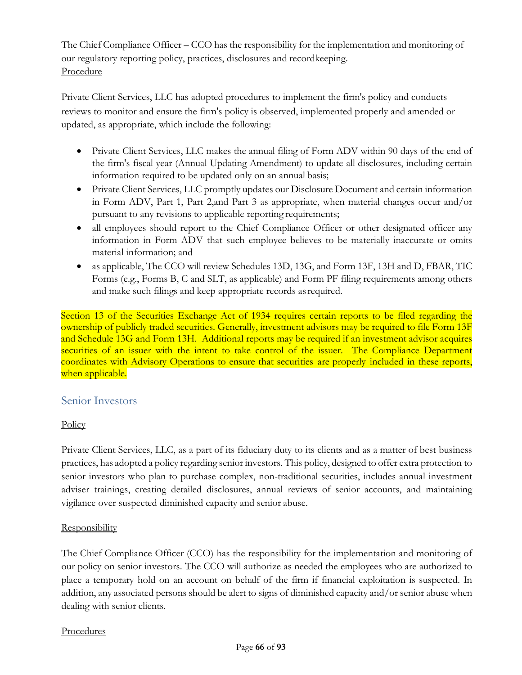The Chief Compliance Officer – CCO has the responsibility for the implementation and monitoring of our regulatory reporting policy, practices, disclosures and recordkeeping. Procedure

Private Client Services, LLC has adopted procedures to implement the firm's policy and conducts reviews to monitor and ensure the firm's policy is observed, implemented properly and amended or updated, as appropriate, which include the following:

- Private Client Services, LLC makes the annual filing of Form ADV within 90 days of the end of the firm's fiscal year (Annual Updating Amendment) to update all disclosures, including certain information required to be updated only on an annual basis;
- Private Client Services, LLC promptly updates our Disclosure Document and certain information in Form ADV, Part 1, Part 2,and Part 3 as appropriate, when material changes occur and/or pursuant to any revisions to applicable reporting requirements;
- all employees should report to the Chief Compliance Officer or other designated officer any information in Form ADV that such employee believes to be materially inaccurate or omits material information; and
- as applicable, The CCO will review Schedules 13D, 13G, and Form 13F, 13H and D, FBAR, TIC Forms (e.g., Forms B, C and SLT, as applicable) and Form PF filing requirements among others and make such filings and keep appropriate records asrequired.

Section 13 of the Securities Exchange Act of 1934 requires certain reports to be filed regarding the ownership of publicly traded securities. Generally, investment advisors may be required to file Form 13F and Schedule 13G and Form 13H. Additional reports may be required if an investment advisor acquires securities of an issuer with the intent to take control of the issuer. The Compliance Department coordinates with Advisory Operations to ensure that securities are properly included in these reports, when applicable.

# Senior Investors

# **Policy**

Private Client Services, LLC, as a part of its fiduciary duty to its clients and as a matter of best business practices, has adopted a policy regarding senior investors. This policy, designed to offer extra protection to senior investors who plan to purchase complex, non-traditional securities, includes annual investment adviser trainings, creating detailed disclosures, annual reviews of senior accounts, and maintaining vigilance over suspected diminished capacity and senior abuse.

# **Responsibility**

The Chief Compliance Officer (CCO) has the responsibility for the implementation and monitoring of our policy on senior investors. The CCO will authorize as needed the employees who are authorized to place a temporary hold on an account on behalf of the firm if financial exploitation is suspected. In addition, any associated persons should be alert to signs of diminished capacity and/or senior abuse when dealing with senior clients.

#### Procedures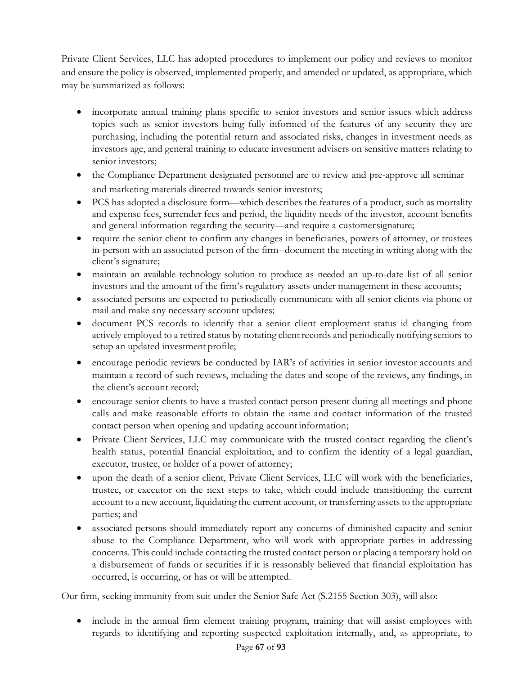Private Client Services, LLC has adopted procedures to implement our policy and reviews to monitor and ensure the policy is observed, implemented properly, and amended or updated, as appropriate, which may be summarized as follows:

- incorporate annual training plans specific to senior investors and senior issues which address topics such as senior investors being fully informed of the features of any security they are purchasing, including the potential return and associated risks, changes in investment needs as investors age, and general training to educate investment advisers on sensitive matters relating to senior investors;
- the Compliance Department designated personnel are to review and pre-approve all seminar and marketing materials directed towards senior investors;
- PCS has adopted a disclosure form—which describes the features of a product, such as mortality and expense fees, surrender fees and period, the liquidity needs of the investor, account benefits and general information regarding the security—and require a customersignature;
- require the senior client to confirm any changes in beneficiaries, powers of attorney, or trustees in-person with an associated person of the firm--document the meeting in writing along with the client's signature;
- maintain an available technology solution to produce as needed an up-to-date list of all senior investors and the amount of the firm's regulatory assets under management in these accounts;
- associated persons are expected to periodically communicate with all senior clients via phone or mail and make any necessary account updates;
- document PCS records to identify that a senior client employment status id changing from actively employed to a retired status by notating client records and periodically notifying seniors to setup an updated investment profile;
- encourage periodic reviews be conducted by IAR's of activities in senior investor accounts and maintain a record of such reviews, including the dates and scope of the reviews, any findings, in the client's account record;
- encourage senior clients to have a trusted contact person present during all meetings and phone calls and make reasonable efforts to obtain the name and contact information of the trusted contact person when opening and updating account information;
- Private Client Services, LLC may communicate with the trusted contact regarding the client's health status, potential financial exploitation, and to confirm the identity of a legal guardian, executor, trustee, or holder of a power of attorney;
- upon the death of a senior client, Private Client Services, LLC will work with the beneficiaries, trustee, or executor on the next steps to take, which could include transitioning the current account to a new account, liquidating the current account, or transferring assets to the appropriate parties; and
- associated persons should immediately report any concerns of diminished capacity and senior abuse to the Compliance Department, who will work with appropriate parties in addressing concerns. This could include contacting the trusted contact person or placing a temporary hold on a disbursement of funds or securities if it is reasonably believed that financial exploitation has occurred, is occurring, or has or will be attempted.

Our firm, seeking immunity from suit under the Senior Safe Act (S.2155 Section 303), will also:

• include in the annual firm element training program, training that will assist employees with regards to identifying and reporting suspected exploitation internally, and, as appropriate, to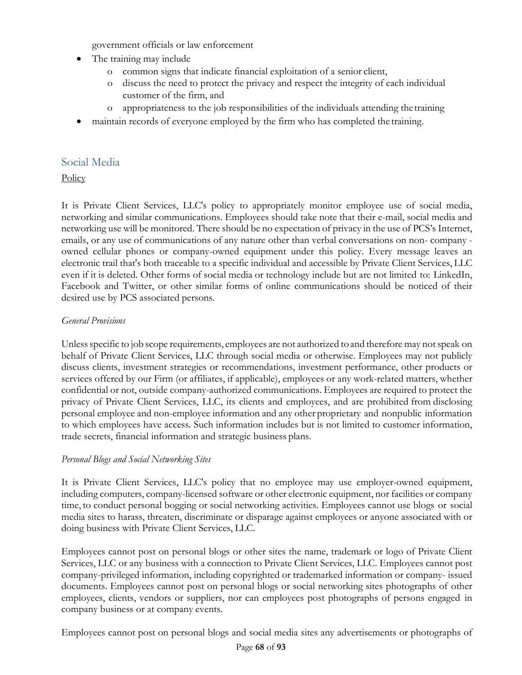government officials or law enforcement

- The training may include
	- o common signs that indicate financial exploitation of a senior client,
	- o discuss the need to protect the privacy and respect the integrity of each individual customer of the firm, and
	- o appropriateness to the job responsibilities of the individuals attending thetraining
- maintain records of everyone employed by the firm who has completed the training.

# Social Media

**Policy** 

It is Private Client Services, LLC's policy to appropriately monitor employee use of social media, networking and similar communications. Employees should take note that their e-mail, social media and networking use will be monitored. There should be no expectation of privacy in the use of PCS's Internet, emails, or any use of communications of any nature other than verbal conversations on non- company owned cellular phones or company-owned equipment under this policy. Every message leaves an electronic trail that's both traceable to a specific individual and accessible by Private Client Services, LLC even if it is deleted. Other forms of social media or technology include but are not limited to: LinkedIn, Facebook and Twitter, or other similar forms of online communications should be noticed of their desired use by PCS associated persons.

# *General Provisions*

Unless specific to job scope requirements, employees are not authorized to and therefore may not speak on behalf of Private Client Services, LLC through social media or otherwise. Employees may not publicly discuss clients, investment strategies or recommendations, investment performance, other products or services offered by our Firm (or affiliates, if applicable), employees or any work-related matters, whether confidential or not, outside company-authorized communications. Employees are required to protect the privacy of Private Client Services, LLC, its clients and employees, and are prohibited from disclosing personal employee and non-employee information and any other proprietary and nonpublic information to which employees have access. Such information includes but is not limited to customer information, trade secrets, financial information and strategic business plans.

# *Personal Blogs and Social Networking Sites*

It is Private Client Services, LLC's policy that no employee may use employer-owned equipment, including computers, company-licensed software or other electronic equipment, nor facilities or company time, to conduct personal bogging or social networking activities. Employees cannot use blogs or social media sites to harass, threaten, discriminate or disparage against employees or anyone associated with or doing business with Private Client Services, LLC.

Employees cannot post on personal blogs or other sites the name, trademark or logo of Private Client Services, LLC or any business with a connection to Private Client Services, LLC. Employees cannot post company-privileged information, including copyrighted or trademarked information or company- issued documents. Employees cannot post on personal blogs or social networking sites photographs of other employees, clients, vendors or suppliers, nor can employees post photographs of persons engaged in company business or at company events.

Employees cannot post on personal blogs and social media sites any advertisements or photographs of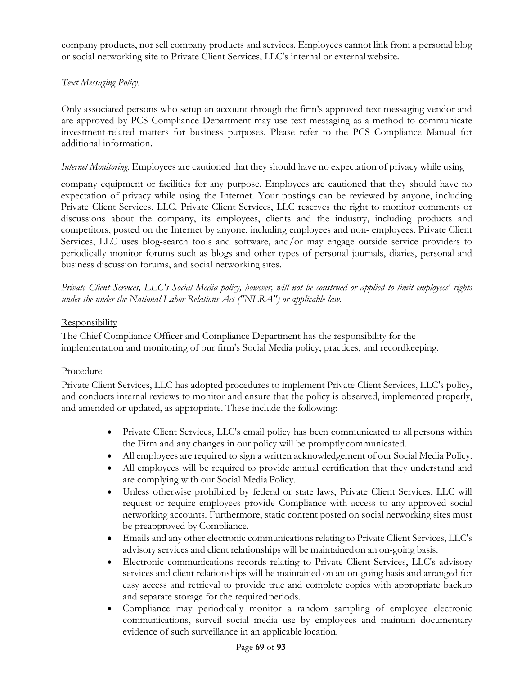company products, nor sell company products and services. Employees cannot link from a personal blog or social networking site to Private Client Services, LLC's internal or externalwebsite.

# *Text Messaging Policy.*

Only associated persons who setup an account through the firm's approved text messaging vendor and are approved by PCS Compliance Department may use text messaging as a method to communicate investment-related matters for business purposes. Please refer to the PCS Compliance Manual for additional information.

#### *Internet Monitoring.* Employees are cautioned that they should have no expectation of privacy while using

company equipment or facilities for any purpose. Employees are cautioned that they should have no expectation of privacy while using the Internet. Your postings can be reviewed by anyone, including Private Client Services, LLC. Private Client Services, LLC reserves the right to monitor comments or discussions about the company, its employees, clients and the industry, including products and competitors, posted on the Internet by anyone, including employees and non- employees. Private Client Services, LLC uses blog-search tools and software, and/or may engage outside service providers to periodically monitor forums such as blogs and other types of personal journals, diaries, personal and business discussion forums, and social networking sites.

*Private Client Services, LLC's Social Media policy, however, will not be construed or applied to limit employees' rights under the under the National Labor Relations Act ("NLRA") or applicable law.*

#### **Responsibility**

The Chief Compliance Officer and Compliance Department has the responsibility for the implementation and monitoring of our firm's Social Media policy, practices, and recordkeeping.

#### Procedure

Private Client Services, LLC has adopted procedures to implement Private Client Services, LLC's policy, and conducts internal reviews to monitor and ensure that the policy is observed, implemented properly, and amended or updated, as appropriate. These include the following:

- Private Client Services, LLC's email policy has been communicated to all persons within the Firm and any changes in our policy will be promptly communicated.
- All employees are required to sign a written acknowledgement of our Social Media Policy.
- All employees will be required to provide annual certification that they understand and are complying with our Social Media Policy.
- Unless otherwise prohibited by federal or state laws, Private Client Services, LLC will request or require employees provide Compliance with access to any approved social networking accounts. Furthermore, static content posted on social networking sites must be preapproved by Compliance.
- Emails and any other electronic communications relating to Private Client Services, LLC's advisory services and client relationships will be maintainedon an on-going basis.
- Electronic communications records relating to Private Client Services, LLC's advisory services and client relationships will be maintained on an on-going basis and arranged for easy access and retrieval to provide true and complete copies with appropriate backup and separate storage for the requiredperiods.
- Compliance may periodically monitor a random sampling of employee electronic communications, surveil social media use by employees and maintain documentary evidence of such surveillance in an applicable location.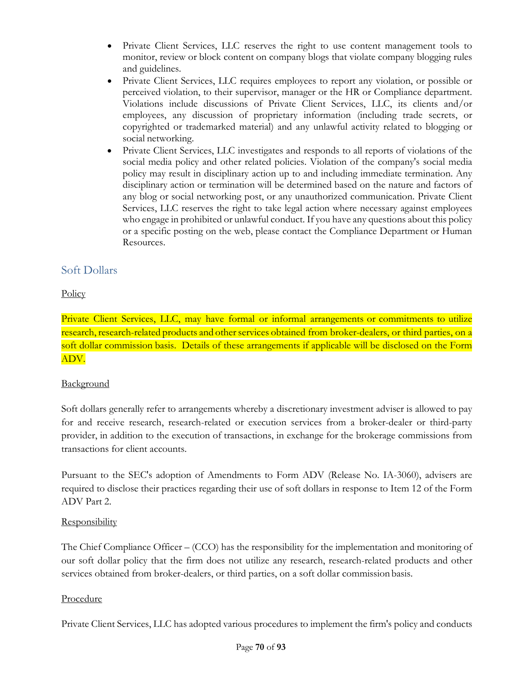- Private Client Services, LLC reserves the right to use content management tools to monitor, review or block content on company blogs that violate company blogging rules and guidelines.
- Private Client Services, LLC requires employees to report any violation, or possible or perceived violation, to their supervisor, manager or the HR or Compliance department. Violations include discussions of Private Client Services, LLC, its clients and/or employees, any discussion of proprietary information (including trade secrets, or copyrighted or trademarked material) and any unlawful activity related to blogging or social networking.
- Private Client Services, LLC investigates and responds to all reports of violations of the social media policy and other related policies. Violation of the company's social media policy may result in disciplinary action up to and including immediate termination. Any disciplinary action or termination will be determined based on the nature and factors of any blog or social networking post, or any unauthorized communication. Private Client Services, LLC reserves the right to take legal action where necessary against employees who engage in prohibited or unlawful conduct. If you have any questions about this policy or a specific posting on the web, please contact the Compliance Department or Human Resources.

# Soft Dollars

# **Policy**

Private Client Services, LLC, may have formal or informal arrangements or commitments to utilize research, research-related products and other services obtained from broker-dealers, or third parties, on a soft dollar commission basis. Details of these arrangements if applicable will be disclosed on the Form ADV.

# **Background**

Soft dollars generally refer to arrangements whereby a discretionary investment adviser is allowed to pay for and receive research, research-related or execution services from a broker-dealer or third-party provider, in addition to the execution of transactions, in exchange for the brokerage commissions from transactions for client accounts.

Pursuant to the SEC's adoption of Amendments to Form ADV (Release No. IA-3060), advisers are required to disclose their practices regarding their use of soft dollars in response to Item 12 of the Form ADV Part 2.

#### **Responsibility**

The Chief Compliance Officer – (CCO) has the responsibility for the implementation and monitoring of our soft dollar policy that the firm does not utilize any research, research-related products and other services obtained from broker-dealers, or third parties, on a soft dollar commission basis.

#### Procedure

Private Client Services, LLC has adopted various procedures to implement the firm's policy and conducts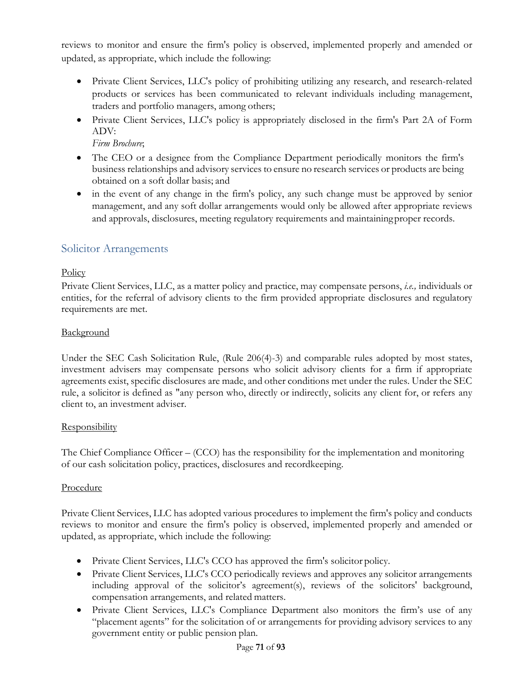reviews to monitor and ensure the firm's policy is observed, implemented properly and amended or updated, as appropriate, which include the following:

- Private Client Services, LLC's policy of prohibiting utilizing any research, and research-related products or services has been communicated to relevant individuals including management, traders and portfolio managers, among others;
- Private Client Services, LLC's policy is appropriately disclosed in the firm's Part 2A of Form ADV:

*Firm Brochure*;

- The CEO or a designee from the Compliance Department periodically monitors the firm's business relationships and advisory services to ensure no research services or products are being obtained on a soft dollar basis; and
- in the event of any change in the firm's policy, any such change must be approved by senior management, and any soft dollar arrangements would only be allowed after appropriate reviews and approvals, disclosures, meeting regulatory requirements and maintainingproper records.

# Solicitor Arrangements

# **Policy**

Private Client Services, LLC, as a matter policy and practice, may compensate persons, *i.e.,* individuals or entities, for the referral of advisory clients to the firm provided appropriate disclosures and regulatory requirements are met.

# **Background**

Under the SEC Cash Solicitation Rule, (Rule 206(4)-3) and comparable rules adopted by most states, investment advisers may compensate persons who solicit advisory clients for a firm if appropriate agreements exist, specific disclosures are made, and other conditions met under the rules. Under the SEC rule, a solicitor is defined as "any person who, directly or indirectly, solicits any client for, or refers any client to, an investment adviser.

# Responsibility

The Chief Compliance Officer – (CCO) has the responsibility for the implementation and monitoring of our cash solicitation policy, practices, disclosures and recordkeeping.

# Procedure

Private Client Services, LLC has adopted various procedures to implement the firm's policy and conducts reviews to monitor and ensure the firm's policy is observed, implemented properly and amended or updated, as appropriate, which include the following:

- Private Client Services, LLC's CCO has approved the firm's solicitor policy.
- Private Client Services, LLC's CCO periodically reviews and approves any solicitor arrangements including approval of the solicitor's agreement(s), reviews of the solicitors' background, compensation arrangements, and related matters.
- Private Client Services, LLC's Compliance Department also monitors the firm's use of any "placement agents" for the solicitation of or arrangements for providing advisory services to any government entity or public pension plan.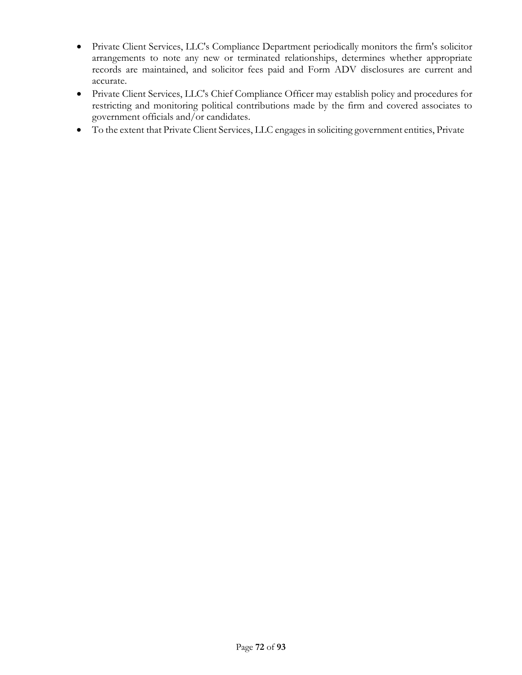- Private Client Services, LLC's Compliance Department periodically monitors the firm's solicitor arrangements to note any new or terminated relationships, determines whether appropriate records are maintained, and solicitor fees paid and Form ADV disclosures are current and accurate.
- Private Client Services, LLC's Chief Compliance Officer may establish policy and procedures for restricting and monitoring political contributions made by the firm and covered associates to government officials and/or candidates.
- To the extent that Private Client Services, LLC engages in soliciting government entities, Private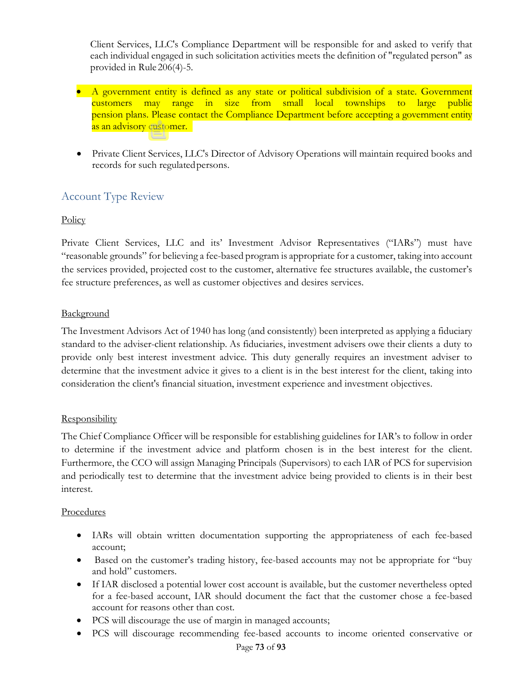Client Services, LLC's Compliance Department will be responsible for and asked to verify that each individual engaged in such solicitation activities meets the definition of "regulated person" as provided in Rule 206(4)-5.

- A government entity is defined as any state or political subdivision of a state. Government customers may range in size from small local townships to large public pension plans. Please contact the Compliance Department before accepting a government entity as an advisory customer.
- Private Client Services, LLC's Director of Advisory Operations will maintain required books and records for such regulatedpersons.

# Account Type Review

### **Policy**

Private Client Services, LLC and its' Investment Advisor Representatives ("IARs") must have "reasonable grounds" for believing a fee-based program is appropriate for a customer, taking into account the services provided, projected cost to the customer, alternative fee structures available, the customer's fee structure preferences, as well as customer objectives and desires services.

### **Background**

The Investment Advisors Act of 1940 has long (and consistently) been interpreted as applying a fiduciary standard to the adviser-client relationship. As fiduciaries, investment advisers owe their clients a duty to provide only best interest investment advice. This duty generally requires an investment adviser to determine that the investment advice it gives to a client is in the best interest for the client, taking into consideration the client's financial situation, investment experience and investment objectives.

### **Responsibility**

The Chief Compliance Officer will be responsible for establishing guidelines for IAR's to follow in order to determine if the investment advice and platform chosen is in the best interest for the client. Furthermore, the CCO will assign Managing Principals (Supervisors) to each IAR of PCS for supervision and periodically test to determine that the investment advice being provided to clients is in their best interest.

### Procedures

- IARs will obtain written documentation supporting the appropriateness of each fee-based account;
- Based on the customer's trading history, fee-based accounts may not be appropriate for "buy" and hold" customers.
- If IAR disclosed a potential lower cost account is available, but the customer nevertheless opted for a fee-based account, IAR should document the fact that the customer chose a fee-based account for reasons other than cost.
- PCS will discourage the use of margin in managed accounts;
- PCS will discourage recommending fee-based accounts to income oriented conservative or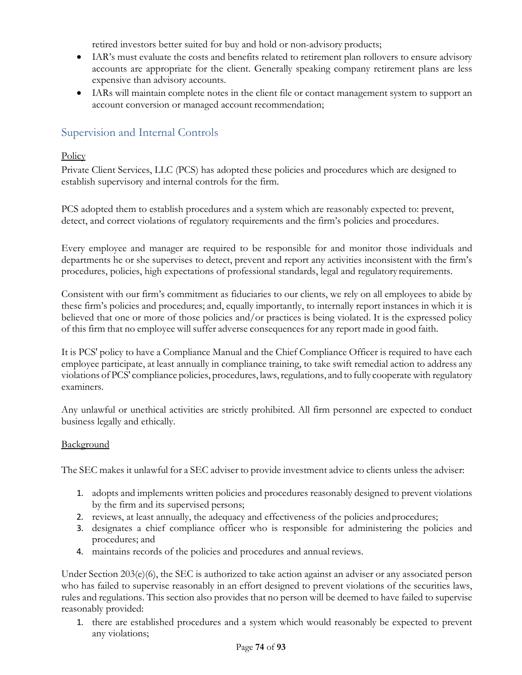retired investors better suited for buy and hold or non-advisory products;

- IAR's must evaluate the costs and benefits related to retirement plan rollovers to ensure advisory accounts are appropriate for the client. Generally speaking company retirement plans are less expensive than advisory accounts.
- IARs will maintain complete notes in the client file or contact management system to support an account conversion or managed account recommendation;

# Supervision and Internal Controls

### Policy

Private Client Services, LLC (PCS) has adopted these policies and procedures which are designed to establish supervisory and internal controls for the firm.

PCS adopted them to establish procedures and a system which are reasonably expected to: prevent, detect, and correct violations of regulatory requirements and the firm's policies and procedures.

Every employee and manager are required to be responsible for and monitor those individuals and departments he or she supervises to detect, prevent and report any activities inconsistent with the firm's procedures, policies, high expectations of professional standards, legal and regulatory requirements.

Consistent with our firm's commitment as fiduciaries to our clients, we rely on all employees to abide by these firm's policies and procedures; and, equally importantly, to internally report instances in which it is believed that one or more of those policies and/or practices is being violated. It is the expressed policy of this firm that no employee will suffer adverse consequences for any report made in good faith.

It is PCS' policy to have a Compliance Manual and the Chief Compliance Officer is required to have each employee participate, at least annually in compliance training, to take swift remedial action to address any violations of PCS' compliance policies, procedures, laws, regulations, and to fully cooperate with regulatory examiners.

Any unlawful or unethical activities are strictly prohibited. All firm personnel are expected to conduct business legally and ethically.

### **Background**

The SEC makes it unlawful for a SEC adviser to provide investment advice to clients unless the adviser:

- 1. adopts and implements written policies and procedures reasonably designed to prevent violations by the firm and its supervised persons;
- 2. reviews, at least annually, the adequacy and effectiveness of the policies andprocedures;
- 3. designates a chief compliance officer who is responsible for administering the policies and procedures; and
- 4. maintains records of the policies and procedures and annual reviews.

Under Section 203(e)(6), the SEC is authorized to take action against an adviser or any associated person who has failed to supervise reasonably in an effort designed to prevent violations of the securities laws, rules and regulations. This section also provides that no person will be deemed to have failed to supervise reasonably provided:

1. there are established procedures and a system which would reasonably be expected to prevent any violations;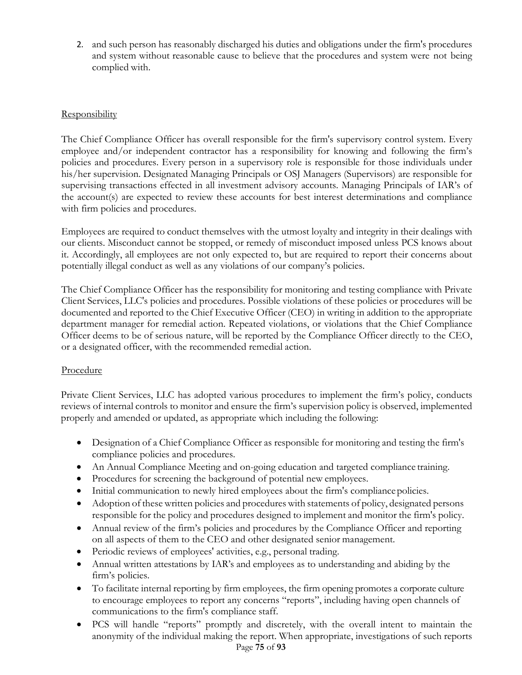2. and such person has reasonably discharged his duties and obligations under the firm's procedures and system without reasonable cause to believe that the procedures and system were not being complied with.

### **Responsibility**

The Chief Compliance Officer has overall responsible for the firm's supervisory control system. Every employee and/or independent contractor has a responsibility for knowing and following the firm's policies and procedures. Every person in a supervisory role is responsible for those individuals under his/her supervision. Designated Managing Principals or OSJ Managers (Supervisors) are responsible for supervising transactions effected in all investment advisory accounts. Managing Principals of IAR's of the account(s) are expected to review these accounts for best interest determinations and compliance with firm policies and procedures.

Employees are required to conduct themselves with the utmost loyalty and integrity in their dealings with our clients. Misconduct cannot be stopped, or remedy of misconduct imposed unless PCS knows about it. Accordingly, all employees are not only expected to, but are required to report their concerns about potentially illegal conduct as well as any violations of our company's policies.

The Chief Compliance Officer has the responsibility for monitoring and testing compliance with Private Client Services, LLC's policies and procedures. Possible violations of these policies or procedures will be documented and reported to the Chief Executive Officer (CEO) in writing in addition to the appropriate department manager for remedial action. Repeated violations, or violations that the Chief Compliance Officer deems to be of serious nature, will be reported by the Compliance Officer directly to the CEO, or a designated officer, with the recommended remedial action.

### Procedure

Private Client Services, LLC has adopted various procedures to implement the firm's policy, conducts reviews of internal controls to monitor and ensure the firm's supervision policy is observed, implemented properly and amended or updated, as appropriate which including the following:

- Designation of a Chief Compliance Officer as responsible for monitoring and testing the firm's compliance policies and procedures.
- An Annual Compliance Meeting and on-going education and targeted compliance training.
- Procedures for screening the background of potential new employees.
- Initial communication to newly hired employees about the firm's compliance policies.
- Adoption of these written policies and procedures with statements of policy, designated persons responsible for the policy and procedures designed to implement and monitor the firm's policy.
- Annual review of the firm's policies and procedures by the Compliance Officer and reporting on all aspects of them to the CEO and other designated senior management.
- Periodic reviews of employees' activities, e.g., personal trading.
- Annual written attestations by IAR's and employees as to understanding and abiding by the firm's policies.
- To facilitate internal reporting by firm employees, the firm opening promotes a corporate culture to encourage employees to report any concerns "reports", including having open channels of communications to the firm's compliance staff.
- Page **75** of **93** • PCS will handle "reports" promptly and discretely, with the overall intent to maintain the anonymity of the individual making the report. When appropriate, investigations of such reports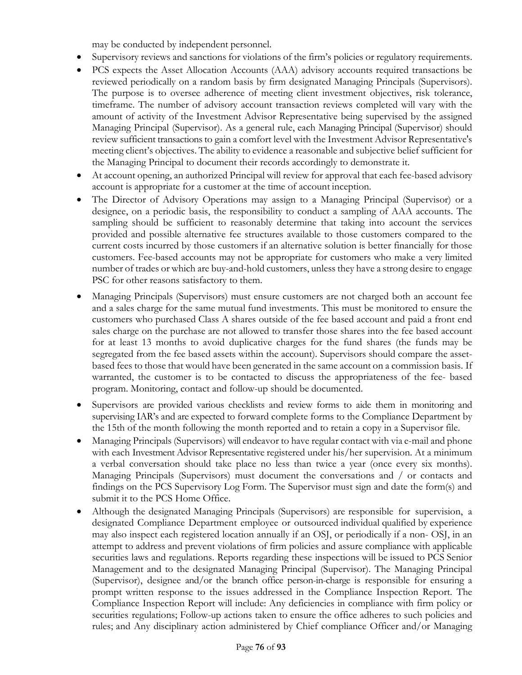may be conducted by independent personnel.

- Supervisory reviews and sanctions for violations of the firm's policies or regulatory requirements.
- PCS expects the Asset Allocation Accounts (AAA) advisory accounts required transactions be reviewed periodically on a random basis by firm designated Managing Principals (Supervisors). The purpose is to oversee adherence of meeting client investment objectives, risk tolerance, timeframe. The number of advisory account transaction reviews completed will vary with the amount of activity of the Investment Advisor Representative being supervised by the assigned Managing Principal (Supervisor). As a general rule, each Managing Principal (Supervisor) should review sufficient transactions to gain a comfort level with the Investment Advisor Representative's meeting client's objectives. The ability to evidence a reasonable and subjective belief sufficient for the Managing Principal to document their records accordingly to demonstrate it.
- At account opening, an authorized Principal will review for approval that each fee-based advisory account is appropriate for a customer at the time of account inception.
- The Director of Advisory Operations may assign to a Managing Principal (Supervisor) or a designee, on a periodic basis, the responsibility to conduct a sampling of AAA accounts. The sampling should be sufficient to reasonably determine that taking into account the services provided and possible alternative fee structures available to those customers compared to the current costs incurred by those customers if an alternative solution is better financially for those customers. Fee-based accounts may not be appropriate for customers who make a very limited number of trades or which are buy-and-hold customers, unless they have a strong desire to engage PSC for other reasons satisfactory to them.
- Managing Principals (Supervisors) must ensure customers are not charged both an account fee and a sales charge for the same mutual fund investments. This must be monitored to ensure the customers who purchased Class A shares outside of the fee based account and paid a front end sales charge on the purchase are not allowed to transfer those shares into the fee based account for at least 13 months to avoid duplicative charges for the fund shares (the funds may be segregated from the fee based assets within the account). Supervisors should compare the assetbased fees to those that would have been generated in the same account on a commission basis. If warranted, the customer is to be contacted to discuss the appropriateness of the fee- based program. Monitoring, contact and follow-up should be documented.
- Supervisors are provided various checklists and review forms to aide them in monitoring and supervising IAR's and are expected to forward complete forms to the Compliance Department by the 15th of the month following the month reported and to retain a copy in a Supervisor file.
- Managing Principals (Supervisors) will endeavor to have regular contact with via e-mail and phone with each Investment Advisor Representative registered under his/her supervision. At a minimum a verbal conversation should take place no less than twice a year (once every six months). Managing Principals (Supervisors) must document the conversations and / or contacts and findings on the PCS Supervisory Log Form. The Supervisor must sign and date the form(s) and submit it to the PCS Home Office.
- Although the designated Managing Principals (Supervisors) are responsible for supervision, a designated Compliance Department employee or outsourced individual qualified by experience may also inspect each registered location annually if an OSJ, or periodically if a non- OSJ, in an attempt to address and prevent violations of firm policies and assure compliance with applicable securities laws and regulations. Reports regarding these inspections will be issued to PCS Senior Management and to the designated Managing Principal (Supervisor). The Managing Principal (Supervisor), designee and/or the branch office person-in-charge is responsible for ensuring a prompt written response to the issues addressed in the Compliance Inspection Report. The Compliance Inspection Report will include: Any deficiencies in compliance with firm policy or securities regulations; Follow-up actions taken to ensure the office adheres to such policies and rules; and Any disciplinary action administered by Chief compliance Officer and/or Managing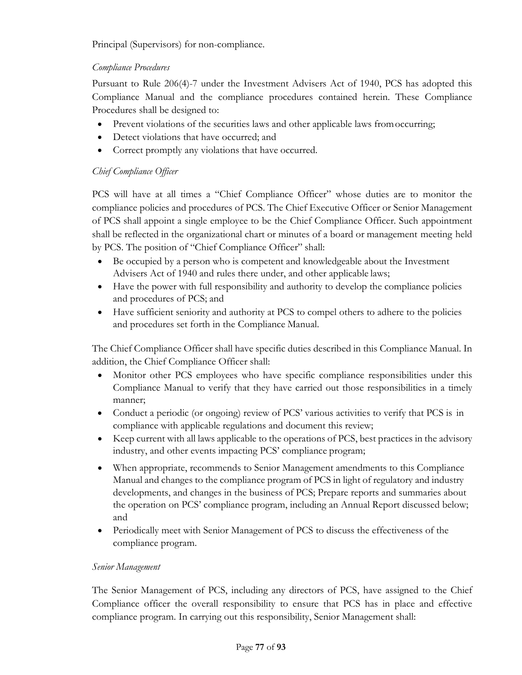Principal (Supervisors) for non-compliance.

### *Compliance Procedures*

Pursuant to Rule 206(4)-7 under the Investment Advisers Act of 1940, PCS has adopted this Compliance Manual and the compliance procedures contained herein. These Compliance Procedures shall be designed to:

- Prevent violations of the securities laws and other applicable laws from occurring;
- Detect violations that have occurred; and
- Correct promptly any violations that have occurred.

### *Chief Compliance Officer*

PCS will have at all times a "Chief Compliance Officer" whose duties are to monitor the compliance policies and procedures of PCS. The Chief Executive Officer or Senior Management of PCS shall appoint a single employee to be the Chief Compliance Officer. Such appointment shall be reflected in the organizational chart or minutes of a board or management meeting held by PCS. The position of "Chief Compliance Officer" shall:

- Be occupied by a person who is competent and knowledgeable about the Investment Advisers Act of 1940 and rules there under, and other applicable laws;
- Have the power with full responsibility and authority to develop the compliance policies and procedures of PCS; and
- Have sufficient seniority and authority at PCS to compel others to adhere to the policies and procedures set forth in the Compliance Manual.

The Chief Compliance Officer shall have specific duties described in this Compliance Manual. In addition, the Chief Compliance Officer shall:

- Monitor other PCS employees who have specific compliance responsibilities under this Compliance Manual to verify that they have carried out those responsibilities in a timely manner;
- Conduct a periodic (or ongoing) review of PCS' various activities to verify that PCS is in compliance with applicable regulations and document this review;
- Keep current with all laws applicable to the operations of PCS, best practices in the advisory industry, and other events impacting PCS' compliance program;
- When appropriate, recommends to Senior Management amendments to this Compliance Manual and changes to the compliance program of PCS in light of regulatory and industry developments, and changes in the business of PCS; Prepare reports and summaries about the operation on PCS' compliance program, including an Annual Report discussed below; and
- Periodically meet with Senior Management of PCS to discuss the effectiveness of the compliance program.

### *Senior Management*

The Senior Management of PCS, including any directors of PCS, have assigned to the Chief Compliance officer the overall responsibility to ensure that PCS has in place and effective compliance program. In carrying out this responsibility, Senior Management shall: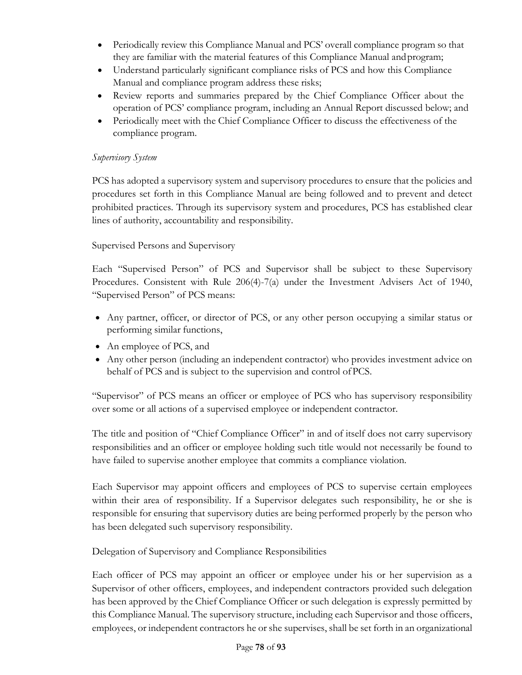- Periodically review this Compliance Manual and PCS' overall compliance program so that they are familiar with the material features of this Compliance Manual andprogram;
- Understand particularly significant compliance risks of PCS and how this Compliance Manual and compliance program address these risks;
- Review reports and summaries prepared by the Chief Compliance Officer about the operation of PCS' compliance program, including an Annual Report discussed below; and
- Periodically meet with the Chief Compliance Officer to discuss the effectiveness of the compliance program.

### *Supervisory System*

PCS has adopted a supervisory system and supervisory procedures to ensure that the policies and procedures set forth in this Compliance Manual are being followed and to prevent and detect prohibited practices. Through its supervisory system and procedures, PCS has established clear lines of authority, accountability and responsibility.

### Supervised Persons and Supervisory

Each "Supervised Person" of PCS and Supervisor shall be subject to these Supervisory Procedures. Consistent with Rule 206(4)-7(a) under the Investment Advisers Act of 1940, "Supervised Person" of PCS means:

- Any partner, officer, or director of PCS, or any other person occupying a similar status or performing similar functions,
- An employee of PCS, and
- Any other person (including an independent contractor) who provides investment advice on behalf of PCS and is subject to the supervision and control ofPCS.

"Supervisor" of PCS means an officer or employee of PCS who has supervisory responsibility over some or all actions of a supervised employee or independent contractor.

The title and position of "Chief Compliance Officer" in and of itself does not carry supervisory responsibilities and an officer or employee holding such title would not necessarily be found to have failed to supervise another employee that commits a compliance violation.

Each Supervisor may appoint officers and employees of PCS to supervise certain employees within their area of responsibility. If a Supervisor delegates such responsibility, he or she is responsible for ensuring that supervisory duties are being performed properly by the person who has been delegated such supervisory responsibility.

Delegation of Supervisory and Compliance Responsibilities

Each officer of PCS may appoint an officer or employee under his or her supervision as a Supervisor of other officers, employees, and independent contractors provided such delegation has been approved by the Chief Compliance Officer or such delegation is expressly permitted by this Compliance Manual. The supervisory structure, including each Supervisor and those officers, employees, or independent contractors he or she supervises, shall be set forth in an organizational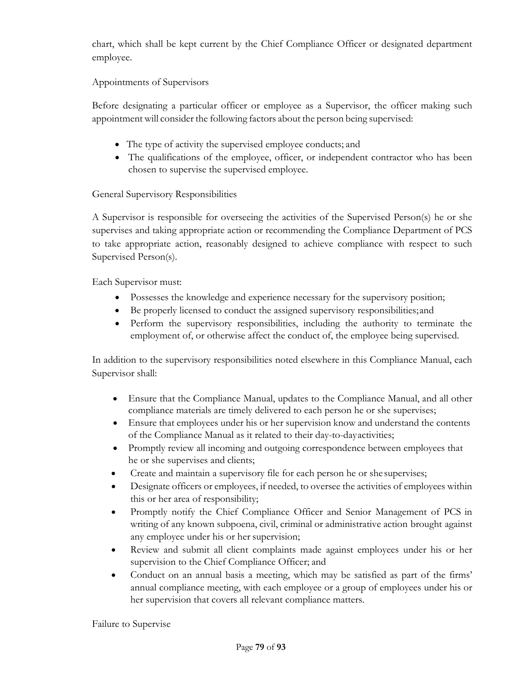chart, which shall be kept current by the Chief Compliance Officer or designated department employee.

Appointments of Supervisors

Before designating a particular officer or employee as a Supervisor, the officer making such appointment will consider the following factors about the person being supervised:

- The type of activity the supervised employee conducts; and
- The qualifications of the employee, officer, or independent contractor who has been chosen to supervise the supervised employee.

General Supervisory Responsibilities

A Supervisor is responsible for overseeing the activities of the Supervised Person(s) he or she supervises and taking appropriate action or recommending the Compliance Department of PCS to take appropriate action, reasonably designed to achieve compliance with respect to such Supervised Person(s).

Each Supervisor must:

- Possesses the knowledge and experience necessary for the supervisory position;
- Be properly licensed to conduct the assigned supervisory responsibilities;and
- Perform the supervisory responsibilities, including the authority to terminate the employment of, or otherwise affect the conduct of, the employee being supervised.

In addition to the supervisory responsibilities noted elsewhere in this Compliance Manual, each Supervisor shall:

- Ensure that the Compliance Manual, updates to the Compliance Manual, and all other compliance materials are timely delivered to each person he or she supervises;
- Ensure that employees under his or her supervision know and understand the contents of the Compliance Manual as it related to their day-to-dayactivities;
- Promptly review all incoming and outgoing correspondence between employees that he or she supervises and clients;
- Create and maintain a supervisory file for each person he or she supervises;
- Designate officers or employees, if needed, to oversee the activities of employees within this or her area of responsibility;
- Promptly notify the Chief Compliance Officer and Senior Management of PCS in writing of any known subpoena, civil, criminal or administrative action brought against any employee under his or her supervision;
- Review and submit all client complaints made against employees under his or her supervision to the Chief Compliance Officer; and
- Conduct on an annual basis a meeting, which may be satisfied as part of the firms' annual compliance meeting, with each employee or a group of employees under his or her supervision that covers all relevant compliance matters.

Failure to Supervise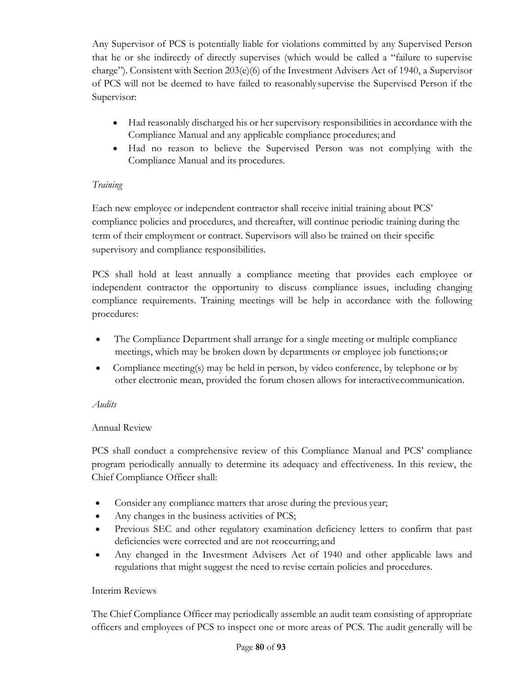Any Supervisor of PCS is potentially liable for violations committed by any Supervised Person that he or she indirectly of directly supervises (which would be called a "failure to supervise charge"). Consistent with Section 203(e)(6) of the Investment Advisers Act of 1940, a Supervisor of PCS will not be deemed to have failed to reasonably supervise the Supervised Person if the Supervisor:

- Had reasonably discharged his or her supervisory responsibilities in accordance with the Compliance Manual and any applicable compliance procedures; and
- Had no reason to believe the Supervised Person was not complying with the Compliance Manual and its procedures.

### *Training*

Each new employee or independent contractor shall receive initial training about PCS' compliance policies and procedures, and thereafter, will continue periodic training during the term of their employment or contract. Supervisors will also be trained on their specific supervisory and compliance responsibilities.

PCS shall hold at least annually a compliance meeting that provides each employee or independent contractor the opportunity to discuss compliance issues, including changing compliance requirements. Training meetings will be help in accordance with the following procedures:

- The Compliance Department shall arrange for a single meeting or multiple compliance meetings, which may be broken down by departments or employee job functions;or
- Compliance meeting(s) may be held in person, by video conference, by telephone or by other electronic mean, provided the forum chosen allows for interactivecommunication.

### *Audits*

### Annual Review

PCS shall conduct a comprehensive review of this Compliance Manual and PCS' compliance program periodically annually to determine its adequacy and effectiveness. In this review, the Chief Compliance Officer shall:

- Consider any compliance matters that arose during the previous year;
- Any changes in the business activities of PCS;
- Previous SEC and other regulatory examination deficiency letters to confirm that past deficiencies were corrected and are not reoccurring; and
- Any changed in the Investment Advisers Act of 1940 and other applicable laws and regulations that might suggest the need to revise certain policies and procedures.

### Interim Reviews

The Chief Compliance Officer may periodically assemble an audit team consisting of appropriate officers and employees of PCS to inspect one or more areas of PCS. The audit generally will be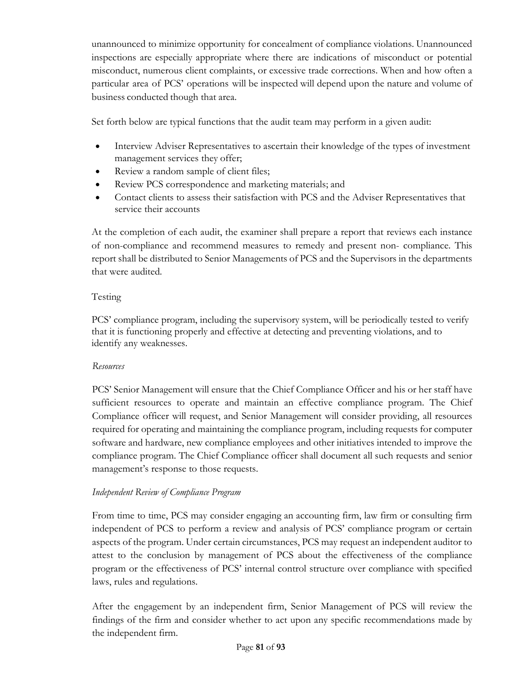unannounced to minimize opportunity for concealment of compliance violations. Unannounced inspections are especially appropriate where there are indications of misconduct or potential misconduct, numerous client complaints, or excessive trade corrections. When and how often a particular area of PCS' operations will be inspected will depend upon the nature and volume of business conducted though that area.

Set forth below are typical functions that the audit team may perform in a given audit:

- Interview Adviser Representatives to ascertain their knowledge of the types of investment management services they offer;
- Review a random sample of client files;
- Review PCS correspondence and marketing materials; and
- Contact clients to assess their satisfaction with PCS and the Adviser Representatives that service their accounts

At the completion of each audit, the examiner shall prepare a report that reviews each instance of non-compliance and recommend measures to remedy and present non- compliance. This report shall be distributed to Senior Managements of PCS and the Supervisors in the departments that were audited.

### Testing

PCS' compliance program, including the supervisory system, will be periodically tested to verify that it is functioning properly and effective at detecting and preventing violations, and to identify any weaknesses.

### *Resources*

PCS' Senior Management will ensure that the Chief Compliance Officer and his or her staff have sufficient resources to operate and maintain an effective compliance program. The Chief Compliance officer will request, and Senior Management will consider providing, all resources required for operating and maintaining the compliance program, including requests for computer software and hardware, new compliance employees and other initiatives intended to improve the compliance program. The Chief Compliance officer shall document all such requests and senior management's response to those requests.

### *Independent Review of Compliance Program*

From time to time, PCS may consider engaging an accounting firm, law firm or consulting firm independent of PCS to perform a review and analysis of PCS' compliance program or certain aspects of the program. Under certain circumstances, PCS may request an independent auditor to attest to the conclusion by management of PCS about the effectiveness of the compliance program or the effectiveness of PCS' internal control structure over compliance with specified laws, rules and regulations.

After the engagement by an independent firm, Senior Management of PCS will review the findings of the firm and consider whether to act upon any specific recommendations made by the independent firm.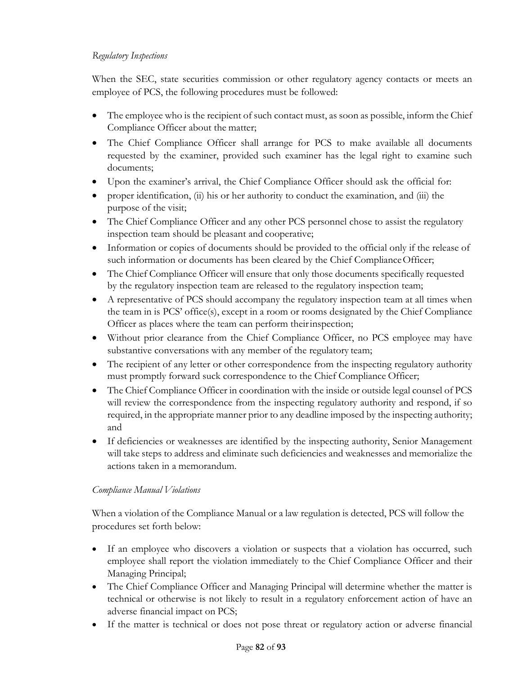### *Regulatory Inspections*

When the SEC, state securities commission or other regulatory agency contacts or meets an employee of PCS, the following procedures must be followed:

- The employee who is the recipient of such contact must, as soon as possible, inform the Chief Compliance Officer about the matter;
- The Chief Compliance Officer shall arrange for PCS to make available all documents requested by the examiner, provided such examiner has the legal right to examine such documents;
- Upon the examiner's arrival, the Chief Compliance Officer should ask the official for:
- proper identification, (ii) his or her authority to conduct the examination, and (iii) the purpose of the visit;
- The Chief Compliance Officer and any other PCS personnel chose to assist the regulatory inspection team should be pleasant and cooperative;
- Information or copies of documents should be provided to the official only if the release of such information or documents has been cleared by the Chief ComplianceOfficer;
- The Chief Compliance Officer will ensure that only those documents specifically requested by the regulatory inspection team are released to the regulatory inspection team;
- A representative of PCS should accompany the regulatory inspection team at all times when the team in is PCS' office(s), except in a room or rooms designated by the Chief Compliance Officer as places where the team can perform theirinspection;
- Without prior clearance from the Chief Compliance Officer, no PCS employee may have substantive conversations with any member of the regulatory team;
- The recipient of any letter or other correspondence from the inspecting regulatory authority must promptly forward suck correspondence to the Chief Compliance Officer;
- The Chief Compliance Officer in coordination with the inside or outside legal counsel of PCS will review the correspondence from the inspecting regulatory authority and respond, if so required, in the appropriate manner prior to any deadline imposed by the inspecting authority; and
- If deficiencies or weaknesses are identified by the inspecting authority, Senior Management will take steps to address and eliminate such deficiencies and weaknesses and memorialize the actions taken in a memorandum.

### *Compliance Manual Violations*

When a violation of the Compliance Manual or a law regulation is detected, PCS will follow the procedures set forth below:

- If an employee who discovers a violation or suspects that a violation has occurred, such employee shall report the violation immediately to the Chief Compliance Officer and their Managing Principal;
- The Chief Compliance Officer and Managing Principal will determine whether the matter is technical or otherwise is not likely to result in a regulatory enforcement action of have an adverse financial impact on PCS;
- If the matter is technical or does not pose threat or regulatory action or adverse financial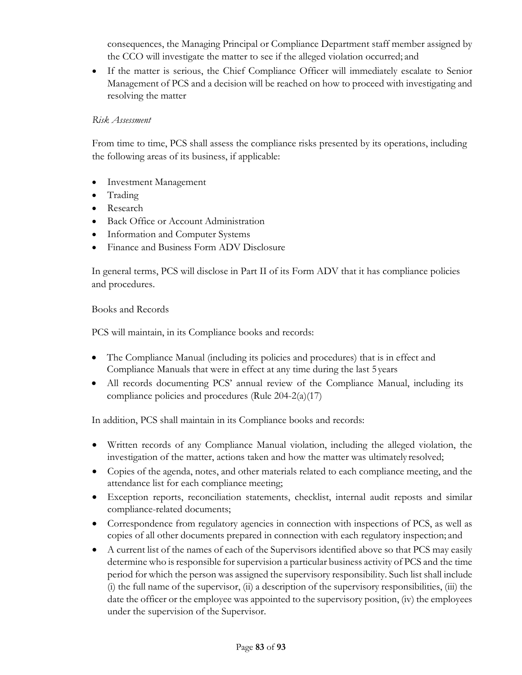consequences, the Managing Principal or Compliance Department staff member assigned by the CCO will investigate the matter to see if the alleged violation occurred; and

• If the matter is serious, the Chief Compliance Officer will immediately escalate to Senior Management of PCS and a decision will be reached on how to proceed with investigating and resolving the matter

### *Risk Assessment*

From time to time, PCS shall assess the compliance risks presented by its operations, including the following areas of its business, if applicable:

- **Investment Management**
- Trading
- Research
- Back Office or Account Administration
- Information and Computer Systems
- Finance and Business Form ADV Disclosure

In general terms, PCS will disclose in Part II of its Form ADV that it has compliance policies and procedures.

Books and Records

PCS will maintain, in its Compliance books and records:

- The Compliance Manual (including its policies and procedures) that is in effect and Compliance Manuals that were in effect at any time during the last 5 years
- All records documenting PCS' annual review of the Compliance Manual, including its compliance policies and procedures (Rule 204-2(a)(17)

In addition, PCS shall maintain in its Compliance books and records:

- Written records of any Compliance Manual violation, including the alleged violation, the investigation of the matter, actions taken and how the matter was ultimately resolved;
- Copies of the agenda, notes, and other materials related to each compliance meeting, and the attendance list for each compliance meeting;
- Exception reports, reconciliation statements, checklist, internal audit reposts and similar compliance-related documents;
- Correspondence from regulatory agencies in connection with inspections of PCS, as well as copies of all other documents prepared in connection with each regulatory inspection; and
- A current list of the names of each of the Supervisors identified above so that PCS may easily determine who is responsible for supervision a particular business activity of PCS and the time period for which the person was assigned the supervisory responsibility. Such list shall include (i) the full name of the supervisor, (ii) a description of the supervisory responsibilities, (iii) the date the officer or the employee was appointed to the supervisory position, (iv) the employees under the supervision of the Supervisor.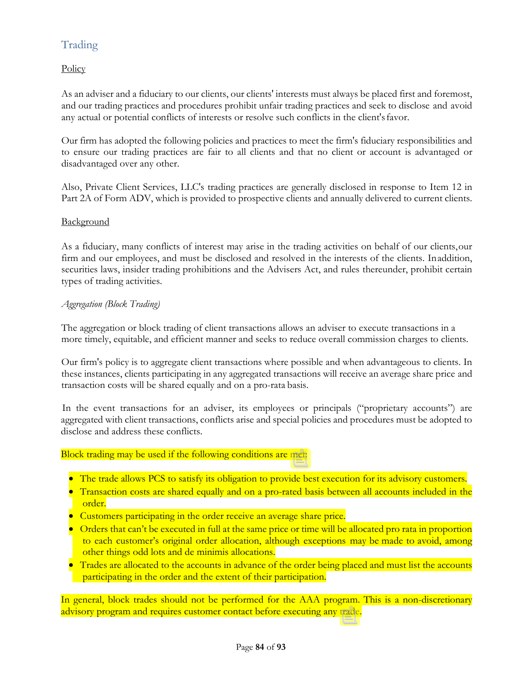# Trading

**Policy** 

As an adviser and a fiduciary to our clients, our clients' interests must always be placed first and foremost, and our trading practices and procedures prohibit unfair trading practices and seek to disclose and avoid any actual or potential conflicts of interests or resolve such conflicts in the client'sfavor.

Our firm has adopted the following policies and practices to meet the firm's fiduciary responsibilities and to ensure our trading practices are fair to all clients and that no client or account is advantaged or disadvantaged over any other.

Also, Private Client Services, LLC's trading practices are generally disclosed in response to Item 12 in Part 2A of Form ADV, which is provided to prospective clients and annually delivered to current clients.

### **Background**

As a fiduciary, many conflicts of interest may arise in the trading activities on behalf of our clients,our firm and our employees, and must be disclosed and resolved in the interests of the clients. Inaddition, securities laws, insider trading prohibitions and the Advisers Act, and rules thereunder, prohibit certain types of trading activities.

### *Aggregation (Block Trading)*

The aggregation or block trading of client transactions allows an adviser to execute transactions in a more timely, equitable, and efficient manner and seeks to reduce overall commission charges to clients.

Our firm's policy is to aggregate client transactions where possible and when advantageous to clients. In these instances, clients participating in any aggregated transactions will receive an average share price and transaction costs will be shared equally and on a pro-rata basis.

In the event transactions for an adviser, its employees or principals ("proprietary accounts") are aggregated with client transactions, conflicts arise and special policies and procedures must be adopted to disclose and address these conflicts.

#### Block trading may be used if the following conditions are met:

- The trade allows PCS to satisfy its obligation to provide best execution for its advisory customers.
- Transaction costs are shared equally and on a pro-rated basis between all accounts included in the order.
- Customers participating in the order receive an average share price.
- Orders that can't be executed in full at the same price or time will be allocated pro rata in proportion to each customer's original order allocation, although exceptions may be made to avoid, among other things odd lots and de minimis allocations.
- Trades are allocated to the accounts in advance of the order being placed and must list the accounts participating in the order and the extent of their participation.

In general, block trades should not be performed for the AAA program. This is a non-discretionary advisory program and requires customer contact before executing any trade.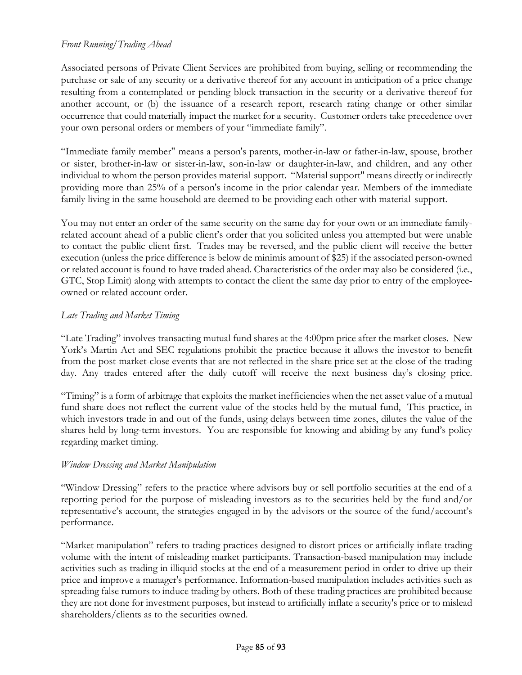### *Front Running/Trading Ahead*

Associated persons of Private Client Services are prohibited from buying, selling or recommending the purchase or sale of any security or a derivative thereof for any account in anticipation of a price change resulting from a contemplated or pending block transaction in the security or a derivative thereof for another account, or (b) the issuance of a research report, research rating change or other similar occurrence that could materially impact the market for a security. Customer orders take precedence over your own personal orders or members of your "immediate family".

"Immediate family member" means a person's parents, mother-in-law or father-in-law, spouse, brother or sister, brother-in-law or sister-in-law, son-in-law or daughter-in-law, and children, and any other individual to whom the person provides material support. "Material support" means directly or indirectly providing more than 25% of a person's income in the prior calendar year. Members of the immediate family living in the same household are deemed to be providing each other with material support.

You may not enter an order of the same security on the same day for your own or an immediate familyrelated account ahead of a public client's order that you solicited unless you attempted but were unable to contact the public client first. Trades may be reversed, and the public client will receive the better execution (unless the price difference is below de minimis amount of \$25) if the associated person-owned or related account is found to have traded ahead. Characteristics of the order may also be considered (i.e., GTC, Stop Limit) along with attempts to contact the client the same day prior to entry of the employeeowned or related account order.

### *Late Trading and Market Timing*

"Late Trading" involves transacting mutual fund shares at the 4:00pm price after the market closes. New York's Martin Act and SEC regulations prohibit the practice because it allows the investor to benefit from the post-market-close events that are not reflected in the share price set at the close of the trading day. Any trades entered after the daily cutoff will receive the next business day's closing price.

"Timing" is a form of arbitrage that exploits the market inefficiencies when the net asset value of a mutual fund share does not reflect the current value of the stocks held by the mutual fund, This practice, in which investors trade in and out of the funds, using delays between time zones, dilutes the value of the shares held by long-term investors. You are responsible for knowing and abiding by any fund's policy regarding market timing.

### *Window Dressing and Market Manipulation*

"Window Dressing" refers to the practice where advisors buy or sell portfolio securities at the end of a reporting period for the purpose of misleading investors as to the securities held by the fund and/or representative's account, the strategies engaged in by the advisors or the source of the fund/account's performance.

"Market manipulation" refers to trading practices designed to distort prices or artificially inflate trading volume with the intent of misleading market participants. Transaction-based manipulation may include activities such as trading in illiquid stocks at the end of a measurement period in order to drive up their price and improve a manager's performance. Information-based manipulation includes activities such as spreading false rumors to induce trading by others. Both of these trading practices are prohibited because they are not done for investment purposes, but instead to artificially inflate a security's price or to mislead shareholders/clients as to the securities owned.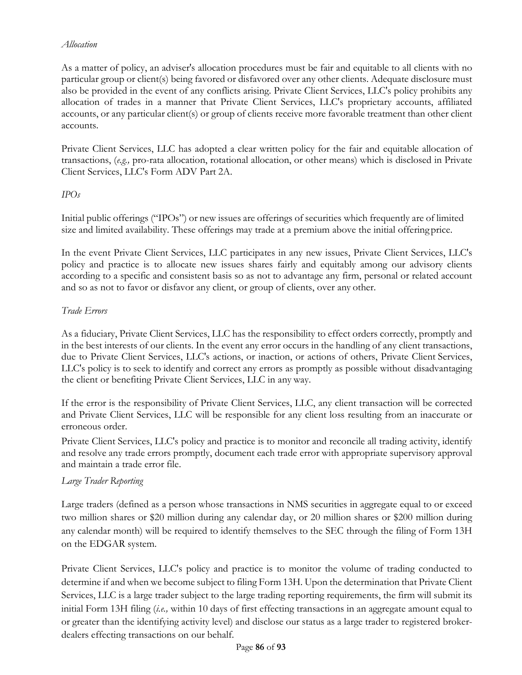### *Allocation*

As a matter of policy, an adviser's allocation procedures must be fair and equitable to all clients with no particular group or client(s) being favored or disfavored over any other clients. Adequate disclosure must also be provided in the event of any conflicts arising. Private Client Services, LLC's policy prohibits any allocation of trades in a manner that Private Client Services, LLC's proprietary accounts, affiliated accounts, or any particular client(s) or group of clients receive more favorable treatment than other client accounts.

Private Client Services, LLC has adopted a clear written policy for the fair and equitable allocation of transactions, (*e.g.,* pro-rata allocation, rotational allocation, or other means) which is disclosed in Private Client Services, LLC's Form ADV Part 2A.

### *IPOs*

Initial public offerings ("IPOs") or new issues are offerings of securities which frequently are of limited size and limited availability. These offerings may trade at a premium above the initial offeringprice.

In the event Private Client Services, LLC participates in any new issues, Private Client Services, LLC's policy and practice is to allocate new issues shares fairly and equitably among our advisory clients according to a specific and consistent basis so as not to advantage any firm, personal or related account and so as not to favor or disfavor any client, or group of clients, over any other.

### *Trade Errors*

As a fiduciary, Private Client Services, LLC has the responsibility to effect orders correctly, promptly and in the best interests of our clients. In the event any error occurs in the handling of any client transactions, due to Private Client Services, LLC's actions, or inaction, or actions of others, Private Client Services, LLC's policy is to seek to identify and correct any errors as promptly as possible without disadvantaging the client or benefiting Private Client Services, LLC in any way.

If the error is the responsibility of Private Client Services, LLC, any client transaction will be corrected and Private Client Services, LLC will be responsible for any client loss resulting from an inaccurate or erroneous order.

Private Client Services, LLC's policy and practice is to monitor and reconcile all trading activity, identify and resolve any trade errors promptly, document each trade error with appropriate supervisory approval and maintain a trade error file.

### *Large Trader Reporting*

Large traders (defined as a person whose transactions in NMS securities in aggregate equal to or exceed two million shares or \$20 million during any calendar day, or 20 million shares or \$200 million during any calendar month) will be required to identify themselves to the SEC through the filing of Form 13H on the EDGAR system.

Private Client Services, LLC's policy and practice is to monitor the volume of trading conducted to determine if and when we become subject to filing Form 13H. Upon the determination that Private Client Services, LLC is a large trader subject to the large trading reporting requirements, the firm will submit its initial Form 13H filing (*i.e.,* within 10 days of first effecting transactions in an aggregate amount equal to or greater than the identifying activity level) and disclose our status as a large trader to registered brokerdealers effecting transactions on our behalf.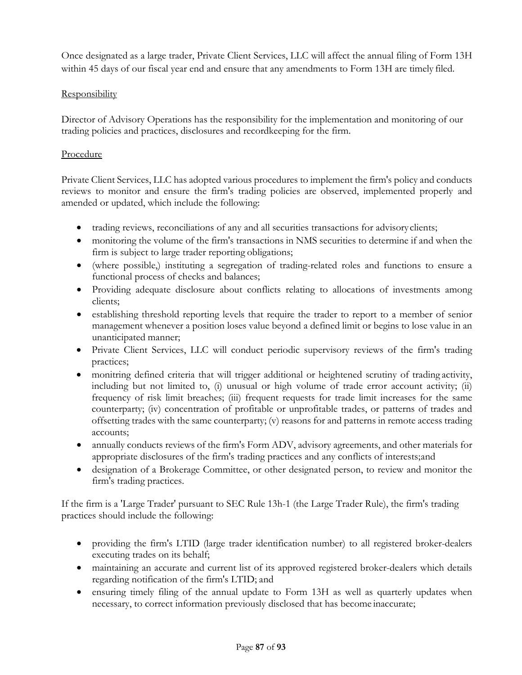Once designated as a large trader, Private Client Services, LLC will affect the annual filing of Form 13H within 45 days of our fiscal year end and ensure that any amendments to Form 13H are timely filed.

### **Responsibility**

Director of Advisory Operations has the responsibility for the implementation and monitoring of our trading policies and practices, disclosures and recordkeeping for the firm.

### Procedure

Private Client Services, LLC has adopted various procedures to implement the firm's policy and conducts reviews to monitor and ensure the firm's trading policies are observed, implemented properly and amended or updated, which include the following:

- trading reviews, reconciliations of any and all securities transactions for advisory clients;
- monitoring the volume of the firm's transactions in NMS securities to determine if and when the firm is subject to large trader reporting obligations;
- (where possible,) instituting a segregation of trading-related roles and functions to ensure a functional process of checks and balances;
- Providing adequate disclosure about conflicts relating to allocations of investments among clients;
- establishing threshold reporting levels that require the trader to report to a member of senior management whenever a position loses value beyond a defined limit or begins to lose value in an unanticipated manner;
- Private Client Services, LLC will conduct periodic supervisory reviews of the firm's trading practices;
- monitring defined criteria that will trigger additional or heightened scrutiny of trading activity, including but not limited to, (i) unusual or high volume of trade error account activity; (ii) frequency of risk limit breaches; (iii) frequent requests for trade limit increases for the same counterparty; (iv) concentration of profitable or unprofitable trades, or patterns of trades and offsetting trades with the same counterparty; (v) reasons for and patterns in remote access trading accounts;
- annually conducts reviews of the firm's Form ADV, advisory agreements, and other materials for appropriate disclosures of the firm's trading practices and any conflicts of interests;and
- designation of a Brokerage Committee, or other designated person, to review and monitor the firm's trading practices.

If the firm is a 'Large Trader' pursuant to SEC Rule 13h-1 (the Large Trader Rule), the firm's trading practices should include the following:

- providing the firm's LTID (large trader identification number) to all registered broker-dealers executing trades on its behalf;
- maintaining an accurate and current list of its approved registered broker-dealers which details regarding notification of the firm's LTID; and
- ensuring timely filing of the annual update to Form 13H as well as quarterly updates when necessary, to correct information previously disclosed that has become inaccurate;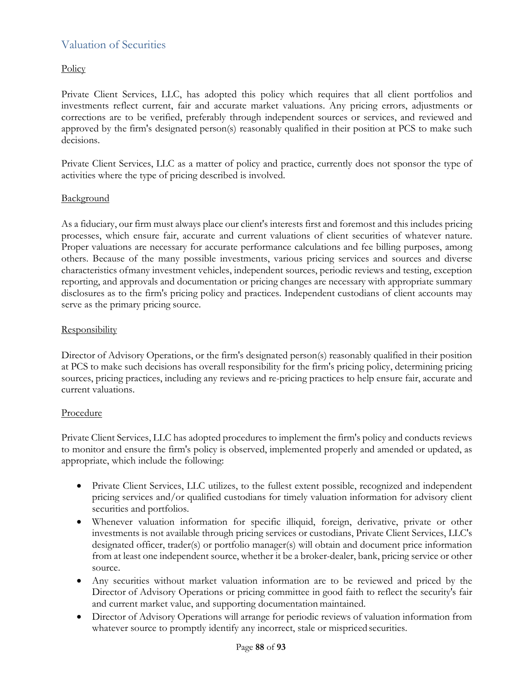## Valuation of Securities

### Policy

Private Client Services, LLC, has adopted this policy which requires that all client portfolios and investments reflect current, fair and accurate market valuations. Any pricing errors, adjustments or corrections are to be verified, preferably through independent sources or services, and reviewed and approved by the firm's designated person(s) reasonably qualified in their position at PCS to make such decisions.

Private Client Services, LLC as a matter of policy and practice, currently does not sponsor the type of activities where the type of pricing described is involved.

### **Background**

As a fiduciary, our firm must always place our client's interests first and foremost and this includes pricing processes, which ensure fair, accurate and current valuations of client securities of whatever nature. Proper valuations are necessary for accurate performance calculations and fee billing purposes, among others. Because of the many possible investments, various pricing services and sources and diverse characteristics ofmany investment vehicles, independent sources, periodic reviews and testing, exception reporting, and approvals and documentation or pricing changes are necessary with appropriate summary disclosures as to the firm's pricing policy and practices. Independent custodians of client accounts may serve as the primary pricing source.

### **Responsibility**

Director of Advisory Operations, or the firm's designated person(s) reasonably qualified in their position at PCS to make such decisions has overall responsibility for the firm's pricing policy, determining pricing sources, pricing practices, including any reviews and re-pricing practices to help ensure fair, accurate and current valuations.

### Procedure

Private Client Services, LLC has adopted procedures to implement the firm's policy and conducts reviews to monitor and ensure the firm's policy is observed, implemented properly and amended or updated, as appropriate, which include the following:

- Private Client Services, LLC utilizes, to the fullest extent possible, recognized and independent pricing services and/or qualified custodians for timely valuation information for advisory client securities and portfolios.
- Whenever valuation information for specific illiquid, foreign, derivative, private or other investments is not available through pricing services or custodians, Private Client Services, LLC's designated officer, trader(s) or portfolio manager(s) will obtain and document price information from at least one independent source, whether it be a broker-dealer, bank, pricing service or other source.
- Any securities without market valuation information are to be reviewed and priced by the Director of Advisory Operations or pricing committee in good faith to reflect the security's fair and current market value, and supporting documentation maintained.
- Director of Advisory Operations will arrange for periodic reviews of valuation information from whatever source to promptly identify any incorrect, stale or mispriced securities.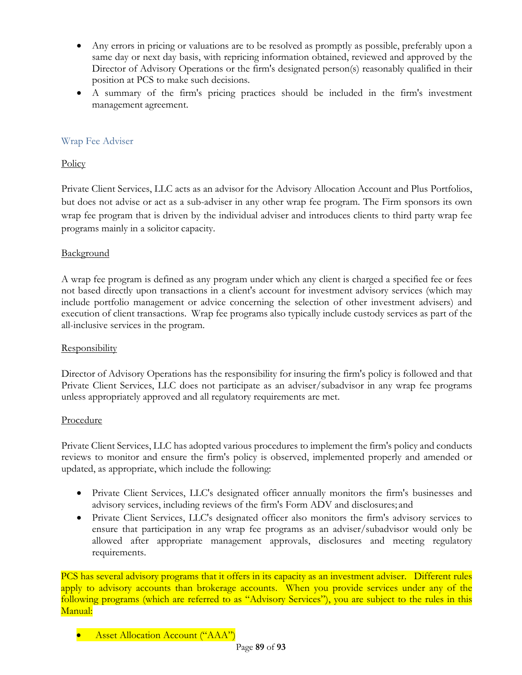- Any errors in pricing or valuations are to be resolved as promptly as possible, preferably upon a same day or next day basis, with repricing information obtained, reviewed and approved by the Director of Advisory Operations or the firm's designated person(s) reasonably qualified in their position at PCS to make such decisions.
- A summary of the firm's pricing practices should be included in the firm's investment management agreement.

### Wrap Fee Adviser

### **Policy**

Private Client Services, LLC acts as an advisor for the Advisory Allocation Account and Plus Portfolios, but does not advise or act as a sub-adviser in any other wrap fee program. The Firm sponsors its own wrap fee program that is driven by the individual adviser and introduces clients to third party wrap fee programs mainly in a solicitor capacity.

### **Background**

A wrap fee program is defined as any program under which any client is charged a specified fee or fees not based directly upon transactions in a client's account for investment advisory services (which may include portfolio management or advice concerning the selection of other investment advisers) and execution of client transactions. Wrap fee programs also typically include custody services as part of the all-inclusive services in the program.

### **Responsibility**

Director of Advisory Operations has the responsibility for insuring the firm's policy is followed and that Private Client Services, LLC does not participate as an adviser/subadvisor in any wrap fee programs unless appropriately approved and all regulatory requirements are met.

### Procedure

Private Client Services, LLC has adopted various procedures to implement the firm's policy and conducts reviews to monitor and ensure the firm's policy is observed, implemented properly and amended or updated, as appropriate, which include the following:

- Private Client Services, LLC's designated officer annually monitors the firm's businesses and advisory services, including reviews of the firm's Form ADV and disclosures; and
- Private Client Services, LLC's designated officer also monitors the firm's advisory services to ensure that participation in any wrap fee programs as an adviser/subadvisor would only be allowed after appropriate management approvals, disclosures and meeting regulatory requirements.

PCS has several advisory programs that it offers in its capacity as an investment adviser. Different rules apply to advisory accounts than brokerage accounts. When you provide services under any of the following programs (which are referred to as "Advisory Services"), you are subject to the rules in this Manual:

• Asset Allocation Account ("AAA")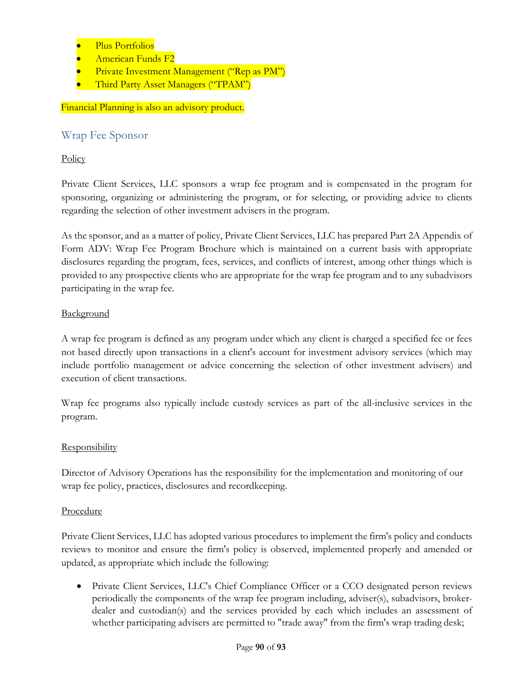- Plus Portfolios
- American Funds F2
- Private Investment Management ("Rep as PM")
- Third Party Asset Managers ("TPAM")

### Financial Planning is also an advisory product.

### Wrap Fee Sponsor

### **Policy**

Private Client Services, LLC sponsors a wrap fee program and is compensated in the program for sponsoring, organizing or administering the program, or for selecting, or providing advice to clients regarding the selection of other investment advisers in the program.

As the sponsor, and as a matter of policy, Private Client Services, LLC has prepared Part 2A Appendix of Form ADV: Wrap Fee Program Brochure which is maintained on a current basis with appropriate disclosures regarding the program, fees, services, and conflicts of interest, among other things which is provided to any prospective clients who are appropriate for the wrap fee program and to any subadvisors participating in the wrap fee.

### **Background**

A wrap fee program is defined as any program under which any client is charged a specified fee or fees not based directly upon transactions in a client's account for investment advisory services (which may include portfolio management or advice concerning the selection of other investment advisers) and execution of client transactions.

Wrap fee programs also typically include custody services as part of the all-inclusive services in the program.

### **Responsibility**

Director of Advisory Operations has the responsibility for the implementation and monitoring of our wrap fee policy, practices, disclosures and recordkeeping.

### Procedure

Private Client Services, LLC has adopted various procedures to implement the firm's policy and conducts reviews to monitor and ensure the firm's policy is observed, implemented properly and amended or updated, as appropriate which include the following:

• Private Client Services, LLC's Chief Compliance Officer or a CCO designated person reviews periodically the components of the wrap fee program including, adviser(s), subadvisors, brokerdealer and custodian(s) and the services provided by each which includes an assessment of whether participating advisers are permitted to "trade away" from the firm's wrap trading desk;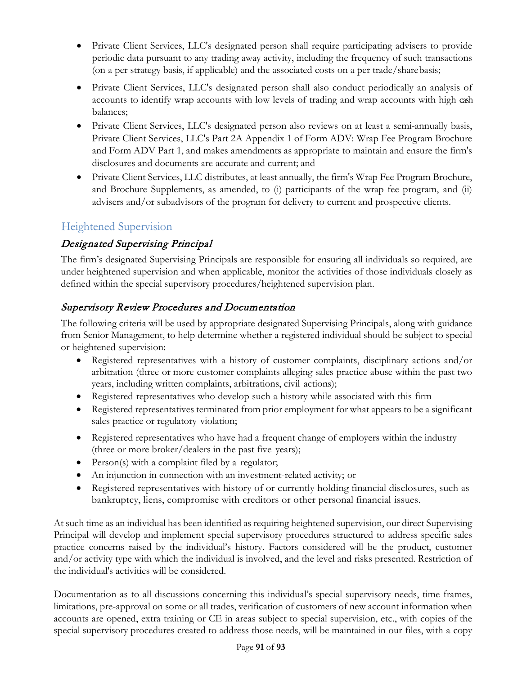- Private Client Services, LLC's designated person shall require participating advisers to provide periodic data pursuant to any trading away activity, including the frequency of such transactions (on a per strategy basis, if applicable) and the associated costs on a per trade/sharebasis;
- Private Client Services, LLC's designated person shall also conduct periodically an analysis of accounts to identify wrap accounts with low levels of trading and wrap accounts with high cash balances;
- Private Client Services, LLC's designated person also reviews on at least a semi-annually basis, Private Client Services, LLC's Part 2A Appendix 1 of Form ADV: Wrap Fee Program Brochure and Form ADV Part 1, and makes amendments as appropriate to maintain and ensure the firm's disclosures and documents are accurate and current; and
- Private Client Services, LLC distributes, at least annually, the firm's Wrap Fee Program Brochure, and Brochure Supplements, as amended, to (i) participants of the wrap fee program, and (ii) advisers and/or subadvisors of the program for delivery to current and prospective clients.

# Heightened Supervision

# Designated Supervising Principal

The firm's designated Supervising Principals are responsible for ensuring all individuals so required, are under heightened supervision and when applicable, monitor the activities of those individuals closely as defined within the special supervisory procedures/heightened supervision plan.

# Supervisory Review Procedures and Documentation

The following criteria will be used by appropriate designated Supervising Principals, along with guidance from Senior Management, to help determine whether a registered individual should be subject to special or heightened supervision:

- Registered representatives with a history of customer complaints, disciplinary actions and/or arbitration (three or more customer complaints alleging sales practice abuse within the past two years, including written complaints, arbitrations, civil actions);
- Registered representatives who develop such a history while associated with this firm
- Registered representatives terminated from prior employment for what appears to be a significant sales practice or regulatory violation;
- Registered representatives who have had a frequent change of employers within the industry (three or more broker/dealers in the past five years);
- Person(s) with a complaint filed by a regulator;
- An injunction in connection with an investment-related activity; or
- Registered representatives with history of or currently holding financial disclosures, such as bankruptcy, liens, compromise with creditors or other personal financial issues.

At such time as an individual has been identified as requiring heightened supervision, our direct Supervising Principal will develop and implement special supervisory procedures structured to address specific sales practice concerns raised by the individual's history. Factors considered will be the product, customer and/or activity type with which the individual is involved, and the level and risks presented. Restriction of the individual's activities will be considered.

Documentation as to all discussions concerning this individual's special supervisory needs, time frames, limitations, pre-approval on some or all trades, verification of customers of new account information when accounts are opened, extra training or CE in areas subject to special supervision, etc., with copies of the special supervisory procedures created to address those needs, will be maintained in our files, with a copy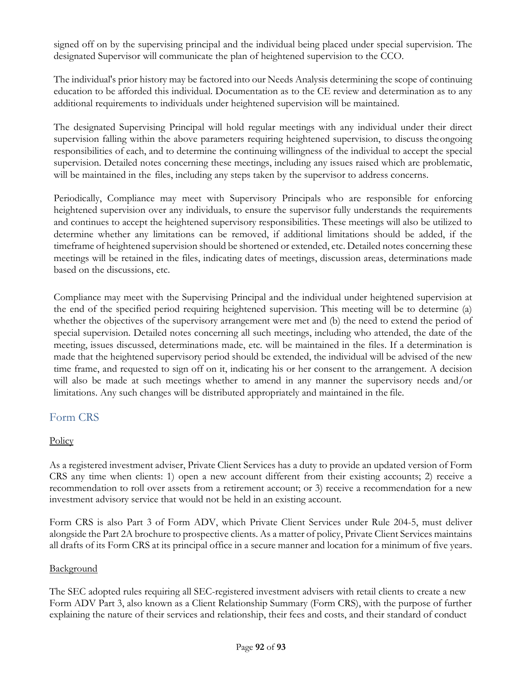signed off on by the supervising principal and the individual being placed under special supervision. The designated Supervisor will communicate the plan of heightened supervision to the CCO.

The individual's prior history may be factored into our Needs Analysis determining the scope of continuing education to be afforded this individual. Documentation as to the CE review and determination as to any additional requirements to individuals under heightened supervision will be maintained.

The designated Supervising Principal will hold regular meetings with any individual under their direct supervision falling within the above parameters requiring heightened supervision, to discuss theongoing responsibilities of each, and to determine the continuing willingness of the individual to accept the special supervision. Detailed notes concerning these meetings, including any issues raised which are problematic, will be maintained in the files, including any steps taken by the supervisor to address concerns.

Periodically, Compliance may meet with Supervisory Principals who are responsible for enforcing heightened supervision over any individuals, to ensure the supervisor fully understands the requirements and continues to accept the heightened supervisory responsibilities. These meetings will also be utilized to determine whether any limitations can be removed, if additional limitations should be added, if the timeframe of heightened supervision should be shortened or extended, etc. Detailed notes concerning these meetings will be retained in the files, indicating dates of meetings, discussion areas, determinations made based on the discussions, etc.

Compliance may meet with the Supervising Principal and the individual under heightened supervision at the end of the specified period requiring heightened supervision. This meeting will be to determine (a) whether the objectives of the supervisory arrangement were met and (b) the need to extend the period of special supervision. Detailed notes concerning all such meetings, including who attended, the date of the meeting, issues discussed, determinations made, etc. will be maintained in the files. If a determination is made that the heightened supervisory period should be extended, the individual will be advised of the new time frame, and requested to sign off on it, indicating his or her consent to the arrangement. A decision will also be made at such meetings whether to amend in any manner the supervisory needs and/or limitations. Any such changes will be distributed appropriately and maintained in the file.

### Form CRS

### **Policy**

As a registered investment adviser, Private Client Services has a duty to provide an updated version of Form CRS any time when clients: 1) open a new account different from their existing accounts; 2) receive a recommendation to roll over assets from a retirement account; or 3) receive a recommendation for a new investment advisory service that would not be held in an existing account.

Form CRS is also Part 3 of Form ADV, which Private Client Services under Rule 204-5, must deliver alongside the Part 2A brochure to prospective clients. As a matter of policy, Private Client Services maintains all drafts of its Form CRS at its principal office in a secure manner and location for a minimum of five years.

### **Background**

The SEC adopted rules requiring all SEC-registered investment advisers with retail clients to create a new Form ADV Part 3, also known as a Client Relationship Summary (Form CRS), with the purpose of further explaining the nature of their services and relationship, their fees and costs, and their standard of conduct